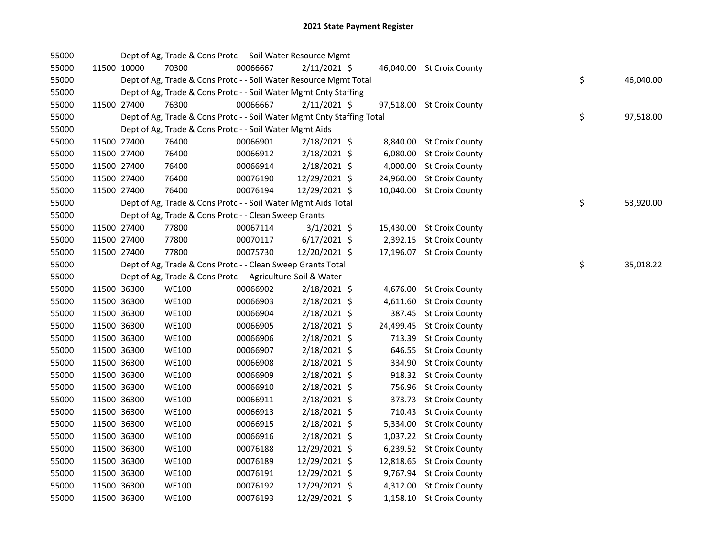| 55000 |             |             | Dept of Ag, Trade & Cons Protc - - Soil Water Resource Mgmt            |          |                |  |                           |    |           |
|-------|-------------|-------------|------------------------------------------------------------------------|----------|----------------|--|---------------------------|----|-----------|
| 55000 |             | 11500 10000 | 70300                                                                  | 00066667 | $2/11/2021$ \$ |  | 46,040.00 St Croix County |    |           |
| 55000 |             |             | Dept of Ag, Trade & Cons Protc - - Soil Water Resource Mgmt Total      |          |                |  |                           | \$ | 46,040.00 |
| 55000 |             |             | Dept of Ag, Trade & Cons Protc - - Soil Water Mgmt Cnty Staffing       |          |                |  |                           |    |           |
| 55000 |             | 11500 27400 | 76300                                                                  | 00066667 | $2/11/2021$ \$ |  | 97,518.00 St Croix County |    |           |
| 55000 |             |             | Dept of Ag, Trade & Cons Protc - - Soil Water Mgmt Cnty Staffing Total |          |                |  |                           | \$ | 97,518.00 |
| 55000 |             |             | Dept of Ag, Trade & Cons Protc - - Soil Water Mgmt Aids                |          |                |  |                           |    |           |
| 55000 |             | 11500 27400 | 76400                                                                  | 00066901 | $2/18/2021$ \$ |  | 8,840.00 St Croix County  |    |           |
| 55000 |             | 11500 27400 | 76400                                                                  | 00066912 | 2/18/2021 \$   |  | 6,080.00 St Croix County  |    |           |
| 55000 |             | 11500 27400 | 76400                                                                  | 00066914 | 2/18/2021 \$   |  | 4,000.00 St Croix County  |    |           |
| 55000 |             | 11500 27400 | 76400                                                                  | 00076190 | 12/29/2021 \$  |  | 24,960.00 St Croix County |    |           |
| 55000 |             | 11500 27400 | 76400                                                                  | 00076194 | 12/29/2021 \$  |  | 10,040.00 St Croix County |    |           |
| 55000 |             |             | Dept of Ag, Trade & Cons Protc - - Soil Water Mgmt Aids Total          |          |                |  |                           | \$ | 53,920.00 |
| 55000 |             |             | Dept of Ag, Trade & Cons Protc - - Clean Sweep Grants                  |          |                |  |                           |    |           |
| 55000 |             | 11500 27400 | 77800                                                                  | 00067114 | $3/1/2021$ \$  |  | 15,430.00 St Croix County |    |           |
| 55000 |             | 11500 27400 | 77800                                                                  | 00070117 | $6/17/2021$ \$ |  | 2,392.15 St Croix County  |    |           |
| 55000 |             | 11500 27400 | 77800                                                                  | 00075730 | 12/20/2021 \$  |  | 17,196.07 St Croix County |    |           |
| 55000 |             |             | Dept of Ag, Trade & Cons Protc - - Clean Sweep Grants Total            |          |                |  |                           | \$ | 35,018.22 |
| 55000 |             |             | Dept of Ag, Trade & Cons Protc - - Agriculture-Soil & Water            |          |                |  |                           |    |           |
| 55000 |             | 11500 36300 | <b>WE100</b>                                                           | 00066902 | 2/18/2021 \$   |  | 4,676.00 St Croix County  |    |           |
| 55000 |             | 11500 36300 | <b>WE100</b>                                                           | 00066903 | 2/18/2021 \$   |  | 4,611.60 St Croix County  |    |           |
| 55000 |             | 11500 36300 | <b>WE100</b>                                                           | 00066904 | 2/18/2021 \$   |  | 387.45 St Croix County    |    |           |
| 55000 |             | 11500 36300 | <b>WE100</b>                                                           | 00066905 | 2/18/2021 \$   |  | 24,499.45 St Croix County |    |           |
| 55000 |             | 11500 36300 | <b>WE100</b>                                                           | 00066906 | 2/18/2021 \$   |  | 713.39 St Croix County    |    |           |
| 55000 |             | 11500 36300 | <b>WE100</b>                                                           | 00066907 | 2/18/2021 \$   |  | 646.55 St Croix County    |    |           |
| 55000 |             | 11500 36300 | <b>WE100</b>                                                           | 00066908 | $2/18/2021$ \$ |  | 334.90 St Croix County    |    |           |
| 55000 |             | 11500 36300 | <b>WE100</b>                                                           | 00066909 | 2/18/2021 \$   |  | 918.32 St Croix County    |    |           |
| 55000 |             | 11500 36300 | <b>WE100</b>                                                           | 00066910 | 2/18/2021 \$   |  | 756.96 St Croix County    |    |           |
| 55000 |             | 11500 36300 | <b>WE100</b>                                                           | 00066911 | $2/18/2021$ \$ |  | 373.73 St Croix County    |    |           |
| 55000 |             | 11500 36300 | <b>WE100</b>                                                           | 00066913 | $2/18/2021$ \$ |  | 710.43 St Croix County    |    |           |
| 55000 |             | 11500 36300 | WE100                                                                  | 00066915 | 2/18/2021 \$   |  | 5,334.00 St Croix County  |    |           |
| 55000 |             | 11500 36300 | <b>WE100</b>                                                           | 00066916 | $2/18/2021$ \$ |  | 1,037.22 St Croix County  |    |           |
| 55000 |             | 11500 36300 | <b>WE100</b>                                                           | 00076188 | 12/29/2021 \$  |  | 6,239.52 St Croix County  |    |           |
| 55000 |             | 11500 36300 | <b>WE100</b>                                                           | 00076189 | 12/29/2021 \$  |  | 12,818.65 St Croix County |    |           |
| 55000 |             | 11500 36300 | <b>WE100</b>                                                           | 00076191 | 12/29/2021 \$  |  | 9,767.94 St Croix County  |    |           |
| 55000 | 11500 36300 |             | <b>WE100</b>                                                           | 00076192 | 12/29/2021 \$  |  | 4,312.00 St Croix County  |    |           |
| 55000 | 11500 36300 |             | <b>WE100</b>                                                           | 00076193 | 12/29/2021 \$  |  | 1,158.10 St Croix County  |    |           |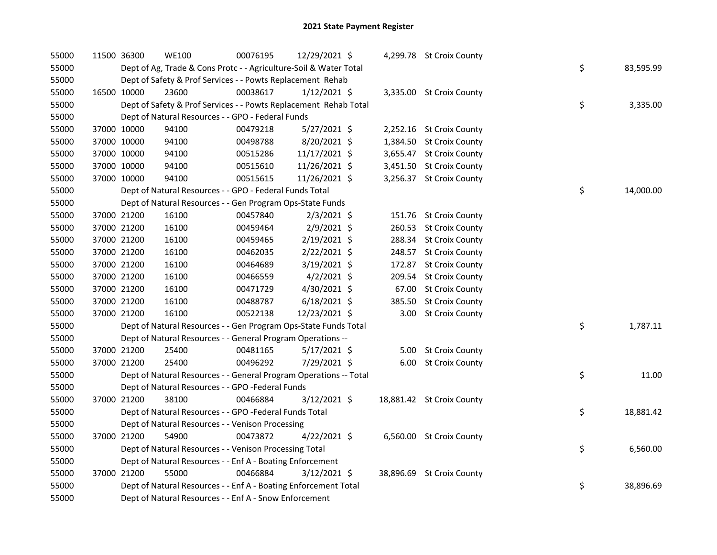| 55000 | 11500 36300 | <b>WE100</b>                                                      | 00076195 | 12/29/2021 \$  |        | 4,299.78 St Croix County  |    |           |
|-------|-------------|-------------------------------------------------------------------|----------|----------------|--------|---------------------------|----|-----------|
| 55000 |             | Dept of Ag, Trade & Cons Protc - - Agriculture-Soil & Water Total |          |                |        |                           | \$ | 83,595.99 |
| 55000 |             | Dept of Safety & Prof Services - - Powts Replacement Rehab        |          |                |        |                           |    |           |
| 55000 | 16500 10000 | 23600                                                             | 00038617 | $1/12/2021$ \$ |        | 3,335.00 St Croix County  |    |           |
| 55000 |             | Dept of Safety & Prof Services - - Powts Replacement Rehab Total  |          |                |        |                           | \$ | 3,335.00  |
| 55000 |             | Dept of Natural Resources - - GPO - Federal Funds                 |          |                |        |                           |    |           |
| 55000 | 37000 10000 | 94100                                                             | 00479218 | $5/27/2021$ \$ |        | 2,252.16 St Croix County  |    |           |
| 55000 | 37000 10000 | 94100                                                             | 00498788 | 8/20/2021 \$   |        | 1,384.50 St Croix County  |    |           |
| 55000 | 37000 10000 | 94100                                                             | 00515286 | 11/17/2021 \$  |        | 3,655.47 St Croix County  |    |           |
| 55000 | 37000 10000 | 94100                                                             | 00515610 | 11/26/2021 \$  |        | 3,451.50 St Croix County  |    |           |
| 55000 | 37000 10000 | 94100                                                             | 00515615 | 11/26/2021 \$  |        | 3,256.37 St Croix County  |    |           |
| 55000 |             | Dept of Natural Resources - - GPO - Federal Funds Total           |          |                |        |                           | \$ | 14,000.00 |
| 55000 |             | Dept of Natural Resources - - Gen Program Ops-State Funds         |          |                |        |                           |    |           |
| 55000 | 37000 21200 | 16100                                                             | 00457840 | $2/3/2021$ \$  |        | 151.76 St Croix County    |    |           |
| 55000 | 37000 21200 | 16100                                                             | 00459464 | 2/9/2021 \$    |        | 260.53 St Croix County    |    |           |
| 55000 | 37000 21200 | 16100                                                             | 00459465 | 2/19/2021 \$   |        | 288.34 St Croix County    |    |           |
| 55000 | 37000 21200 | 16100                                                             | 00462035 | $2/22/2021$ \$ |        | 248.57 St Croix County    |    |           |
| 55000 | 37000 21200 | 16100                                                             | 00464689 | 3/19/2021 \$   | 172.87 | <b>St Croix County</b>    |    |           |
| 55000 | 37000 21200 | 16100                                                             | 00466559 | $4/2/2021$ \$  |        | 209.54 St Croix County    |    |           |
| 55000 | 37000 21200 | 16100                                                             | 00471729 | 4/30/2021 \$   |        | 67.00 St Croix County     |    |           |
| 55000 | 37000 21200 | 16100                                                             | 00488787 | $6/18/2021$ \$ |        | 385.50 St Croix County    |    |           |
| 55000 | 37000 21200 | 16100                                                             | 00522138 | 12/23/2021 \$  |        | 3.00 St Croix County      |    |           |
| 55000 |             | Dept of Natural Resources - - Gen Program Ops-State Funds Total   |          |                |        |                           | \$ | 1,787.11  |
| 55000 |             | Dept of Natural Resources - - General Program Operations --       |          |                |        |                           |    |           |
| 55000 | 37000 21200 | 25400                                                             | 00481165 | 5/17/2021 \$   |        | 5.00 St Croix County      |    |           |
| 55000 | 37000 21200 | 25400                                                             | 00496292 | 7/29/2021 \$   |        | 6.00 St Croix County      |    |           |
| 55000 |             | Dept of Natural Resources - - General Program Operations -- Total |          |                |        |                           | \$ | 11.00     |
| 55000 |             | Dept of Natural Resources - - GPO -Federal Funds                  |          |                |        |                           |    |           |
| 55000 | 37000 21200 | 38100                                                             | 00466884 | $3/12/2021$ \$ |        | 18,881.42 St Croix County |    |           |
| 55000 |             | Dept of Natural Resources - - GPO -Federal Funds Total            |          |                |        |                           | \$ | 18,881.42 |
| 55000 |             | Dept of Natural Resources - - Venison Processing                  |          |                |        |                           |    |           |
| 55000 | 37000 21200 | 54900                                                             | 00473872 | $4/22/2021$ \$ |        | 6,560.00 St Croix County  |    |           |
| 55000 |             | Dept of Natural Resources - - Venison Processing Total            |          |                |        |                           | \$ | 6,560.00  |
| 55000 |             | Dept of Natural Resources - - Enf A - Boating Enforcement         |          |                |        |                           |    |           |
| 55000 | 37000 21200 | 55000                                                             | 00466884 | 3/12/2021 \$   |        | 38,896.69 St Croix County |    |           |
| 55000 |             | Dept of Natural Resources - - Enf A - Boating Enforcement Total   |          |                |        |                           | \$ | 38,896.69 |
| 55000 |             | Dept of Natural Resources - - Enf A - Snow Enforcement            |          |                |        |                           |    |           |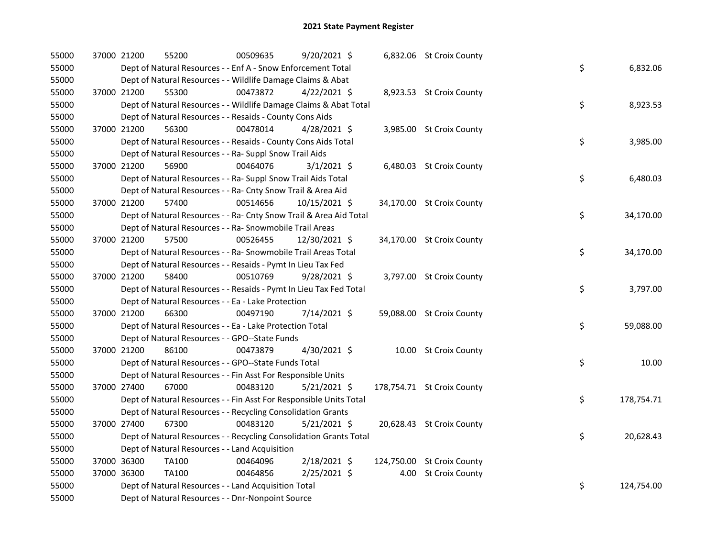| 55000 | 37000 21200 | 55200                                                              | 00509635 | 9/20/2021 \$   | 6,832.06 St Croix County   |    |            |
|-------|-------------|--------------------------------------------------------------------|----------|----------------|----------------------------|----|------------|
| 55000 |             | Dept of Natural Resources - - Enf A - Snow Enforcement Total       |          |                |                            | \$ | 6,832.06   |
| 55000 |             | Dept of Natural Resources - - Wildlife Damage Claims & Abat        |          |                |                            |    |            |
| 55000 | 37000 21200 | 55300                                                              | 00473872 | $4/22/2021$ \$ | 8,923.53 St Croix County   |    |            |
| 55000 |             | Dept of Natural Resources - - Wildlife Damage Claims & Abat Total  |          |                |                            | \$ | 8,923.53   |
| 55000 |             | Dept of Natural Resources - - Resaids - County Cons Aids           |          |                |                            |    |            |
| 55000 | 37000 21200 | 56300                                                              | 00478014 | $4/28/2021$ \$ | 3,985.00 St Croix County   |    |            |
| 55000 |             | Dept of Natural Resources - - Resaids - County Cons Aids Total     |          |                |                            | \$ | 3,985.00   |
| 55000 |             | Dept of Natural Resources - - Ra- Suppl Snow Trail Aids            |          |                |                            |    |            |
| 55000 | 37000 21200 | 56900                                                              | 00464076 | $3/1/2021$ \$  | 6,480.03 St Croix County   |    |            |
| 55000 |             | Dept of Natural Resources - - Ra- Suppl Snow Trail Aids Total      |          |                |                            | \$ | 6,480.03   |
| 55000 |             | Dept of Natural Resources - - Ra- Cnty Snow Trail & Area Aid       |          |                |                            |    |            |
| 55000 | 37000 21200 | 57400                                                              | 00514656 | 10/15/2021 \$  | 34,170.00 St Croix County  |    |            |
| 55000 |             | Dept of Natural Resources - - Ra- Cnty Snow Trail & Area Aid Total |          |                |                            | \$ | 34,170.00  |
| 55000 |             | Dept of Natural Resources - - Ra- Snowmobile Trail Areas           |          |                |                            |    |            |
| 55000 | 37000 21200 | 57500                                                              | 00526455 | 12/30/2021 \$  | 34,170.00 St Croix County  |    |            |
| 55000 |             | Dept of Natural Resources - - Ra- Snowmobile Trail Areas Total     |          |                |                            | \$ | 34,170.00  |
| 55000 |             | Dept of Natural Resources - - Resaids - Pymt In Lieu Tax Fed       |          |                |                            |    |            |
| 55000 | 37000 21200 | 58400                                                              | 00510769 | 9/28/2021 \$   | 3,797.00 St Croix County   |    |            |
| 55000 |             | Dept of Natural Resources - - Resaids - Pymt In Lieu Tax Fed Total |          |                |                            | \$ | 3,797.00   |
| 55000 |             | Dept of Natural Resources - - Ea - Lake Protection                 |          |                |                            |    |            |
| 55000 | 37000 21200 | 66300                                                              | 00497190 | 7/14/2021 \$   | 59,088.00 St Croix County  |    |            |
| 55000 |             | Dept of Natural Resources - - Ea - Lake Protection Total           |          |                |                            | \$ | 59,088.00  |
| 55000 |             | Dept of Natural Resources - - GPO--State Funds                     |          |                |                            |    |            |
| 55000 | 37000 21200 | 86100                                                              | 00473879 | 4/30/2021 \$   | 10.00 St Croix County      |    |            |
| 55000 |             | Dept of Natural Resources - - GPO--State Funds Total               |          |                |                            | \$ | 10.00      |
| 55000 |             | Dept of Natural Resources - - Fin Asst For Responsible Units       |          |                |                            |    |            |
| 55000 | 37000 27400 | 67000                                                              | 00483120 | $5/21/2021$ \$ | 178,754.71 St Croix County |    |            |
| 55000 |             | Dept of Natural Resources - - Fin Asst For Responsible Units Total |          |                |                            | \$ | 178,754.71 |
| 55000 |             | Dept of Natural Resources - - Recycling Consolidation Grants       |          |                |                            |    |            |
| 55000 | 37000 27400 | 67300                                                              | 00483120 | $5/21/2021$ \$ | 20,628.43 St Croix County  |    |            |
| 55000 |             | Dept of Natural Resources - - Recycling Consolidation Grants Total |          |                |                            | \$ | 20,628.43  |
| 55000 |             | Dept of Natural Resources - - Land Acquisition                     |          |                |                            |    |            |
| 55000 | 37000 36300 | <b>TA100</b>                                                       | 00464096 | 2/18/2021 \$   | 124,750.00 St Croix County |    |            |
| 55000 | 37000 36300 | TA100                                                              | 00464856 | 2/25/2021 \$   | 4.00 St Croix County       |    |            |
| 55000 |             | Dept of Natural Resources - - Land Acquisition Total               |          |                |                            | \$ | 124,754.00 |
| 55000 |             | Dept of Natural Resources - - Dnr-Nonpoint Source                  |          |                |                            |    |            |
|       |             |                                                                    |          |                |                            |    |            |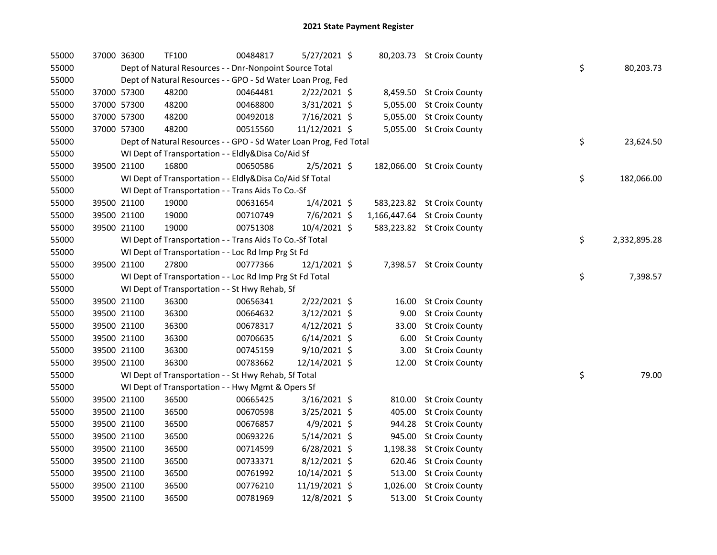| 55000 | 37000 36300 | <b>TF100</b>                                                      | 00484817 | 5/27/2021 \$   |       | 80,203.73 St Croix County    |    |              |
|-------|-------------|-------------------------------------------------------------------|----------|----------------|-------|------------------------------|----|--------------|
| 55000 |             | Dept of Natural Resources - - Dnr-Nonpoint Source Total           |          |                |       |                              | \$ | 80,203.73    |
| 55000 |             | Dept of Natural Resources - - GPO - Sd Water Loan Prog, Fed       |          |                |       |                              |    |              |
| 55000 | 37000 57300 | 48200                                                             | 00464481 | $2/22/2021$ \$ |       | 8,459.50 St Croix County     |    |              |
| 55000 | 37000 57300 | 48200                                                             | 00468800 | 3/31/2021 \$   |       | 5,055.00 St Croix County     |    |              |
| 55000 | 37000 57300 | 48200                                                             | 00492018 | 7/16/2021 \$   |       | 5,055.00 St Croix County     |    |              |
| 55000 | 37000 57300 | 48200                                                             | 00515560 | 11/12/2021 \$  |       | 5,055.00 St Croix County     |    |              |
| 55000 |             | Dept of Natural Resources - - GPO - Sd Water Loan Prog, Fed Total |          |                |       |                              | \$ | 23,624.50    |
| 55000 |             | WI Dept of Transportation - - Eldly&Disa Co/Aid Sf                |          |                |       |                              |    |              |
| 55000 | 39500 21100 | 16800                                                             | 00650586 | $2/5/2021$ \$  |       | 182,066.00 St Croix County   |    |              |
| 55000 |             | WI Dept of Transportation - - Eldly&Disa Co/Aid Sf Total          |          |                |       |                              | \$ | 182,066.00   |
| 55000 |             | WI Dept of Transportation - - Trans Aids To Co.-Sf                |          |                |       |                              |    |              |
| 55000 | 39500 21100 | 19000                                                             | 00631654 | $1/4/2021$ \$  |       | 583,223.82 St Croix County   |    |              |
| 55000 | 39500 21100 | 19000                                                             | 00710749 | 7/6/2021 \$    |       | 1,166,447.64 St Croix County |    |              |
| 55000 | 39500 21100 | 19000                                                             | 00751308 | $10/4/2021$ \$ |       | 583,223.82 St Croix County   |    |              |
| 55000 |             | WI Dept of Transportation - - Trans Aids To Co.-Sf Total          |          |                |       |                              | \$ | 2,332,895.28 |
| 55000 |             | WI Dept of Transportation - - Loc Rd Imp Prg St Fd                |          |                |       |                              |    |              |
| 55000 | 39500 21100 | 27800                                                             | 00777366 | 12/1/2021 \$   |       | 7,398.57 St Croix County     |    |              |
| 55000 |             | WI Dept of Transportation - - Loc Rd Imp Prg St Fd Total          |          |                |       |                              | \$ | 7,398.57     |
| 55000 |             | WI Dept of Transportation - - St Hwy Rehab, Sf                    |          |                |       |                              |    |              |
| 55000 | 39500 21100 | 36300                                                             | 00656341 | 2/22/2021 \$   | 16.00 | <b>St Croix County</b>       |    |              |
| 55000 | 39500 21100 | 36300                                                             | 00664632 | $3/12/2021$ \$ | 9.00  | <b>St Croix County</b>       |    |              |
| 55000 | 39500 21100 | 36300                                                             | 00678317 | $4/12/2021$ \$ | 33.00 | <b>St Croix County</b>       |    |              |
| 55000 | 39500 21100 | 36300                                                             | 00706635 | $6/14/2021$ \$ | 6.00  | <b>St Croix County</b>       |    |              |
| 55000 | 39500 21100 | 36300                                                             | 00745159 | $9/10/2021$ \$ | 3.00  | <b>St Croix County</b>       |    |              |
| 55000 | 39500 21100 | 36300                                                             | 00783662 | 12/14/2021 \$  | 12.00 | <b>St Croix County</b>       |    |              |
| 55000 |             | WI Dept of Transportation - - St Hwy Rehab, Sf Total              |          |                |       |                              | \$ | 79.00        |
| 55000 |             | WI Dept of Transportation - - Hwy Mgmt & Opers Sf                 |          |                |       |                              |    |              |
| 55000 | 39500 21100 | 36500                                                             | 00665425 | $3/16/2021$ \$ |       | 810.00 St Croix County       |    |              |
| 55000 | 39500 21100 | 36500                                                             | 00670598 | $3/25/2021$ \$ |       | 405.00 St Croix County       |    |              |
| 55000 | 39500 21100 | 36500                                                             | 00676857 | 4/9/2021 \$    |       | 944.28 St Croix County       |    |              |
| 55000 | 39500 21100 | 36500                                                             | 00693226 | $5/14/2021$ \$ |       | 945.00 St Croix County       |    |              |
| 55000 | 39500 21100 | 36500                                                             | 00714599 | $6/28/2021$ \$ |       | 1,198.38 St Croix County     |    |              |
| 55000 | 39500 21100 | 36500                                                             | 00733371 | $8/12/2021$ \$ |       | 620.46 St Croix County       |    |              |
| 55000 | 39500 21100 | 36500                                                             | 00761992 | 10/14/2021 \$  |       | 513.00 St Croix County       |    |              |
| 55000 | 39500 21100 | 36500                                                             | 00776210 | 11/19/2021 \$  |       | 1,026.00 St Croix County     |    |              |
| 55000 | 39500 21100 | 36500                                                             | 00781969 | 12/8/2021 \$   |       | 513.00 St Croix County       |    |              |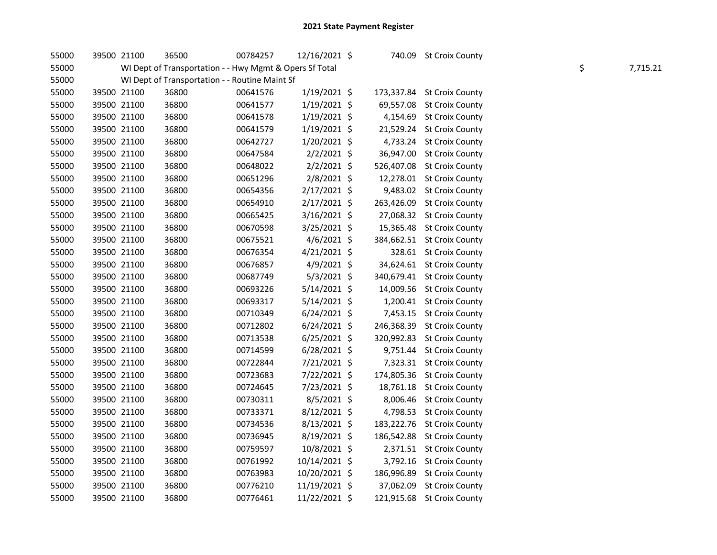| 55000 | 39500 21100 | 36500                                                   | 00784257 | 12/16/2021 \$  |            | 740.09 St Croix County     |    |          |
|-------|-------------|---------------------------------------------------------|----------|----------------|------------|----------------------------|----|----------|
| 55000 |             | WI Dept of Transportation - - Hwy Mgmt & Opers Sf Total |          |                |            |                            | \$ | 7,715.21 |
| 55000 |             | WI Dept of Transportation - - Routine Maint Sf          |          |                |            |                            |    |          |
| 55000 | 39500 21100 | 36800                                                   | 00641576 | $1/19/2021$ \$ |            | 173,337.84 St Croix County |    |          |
| 55000 | 39500 21100 | 36800                                                   | 00641577 | $1/19/2021$ \$ |            | 69,557.08 St Croix County  |    |          |
| 55000 | 39500 21100 | 36800                                                   | 00641578 | $1/19/2021$ \$ |            | 4,154.69 St Croix County   |    |          |
| 55000 | 39500 21100 | 36800                                                   | 00641579 | $1/19/2021$ \$ |            | 21,529.24 St Croix County  |    |          |
| 55000 | 39500 21100 | 36800                                                   | 00642727 | $1/20/2021$ \$ |            | 4,733.24 St Croix County   |    |          |
| 55000 | 39500 21100 | 36800                                                   | 00647584 | $2/2/2021$ \$  | 36,947.00  | <b>St Croix County</b>     |    |          |
| 55000 | 39500 21100 | 36800                                                   | 00648022 | $2/2/2021$ \$  |            | 526,407.08 St Croix County |    |          |
| 55000 | 39500 21100 | 36800                                                   | 00651296 | 2/8/2021 \$    |            | 12,278.01 St Croix County  |    |          |
| 55000 | 39500 21100 | 36800                                                   | 00654356 | $2/17/2021$ \$ |            | 9,483.02 St Croix County   |    |          |
| 55000 | 39500 21100 | 36800                                                   | 00654910 | 2/17/2021 \$   | 263,426.09 | <b>St Croix County</b>     |    |          |
| 55000 | 39500 21100 | 36800                                                   | 00665425 | $3/16/2021$ \$ |            | 27,068.32 St Croix County  |    |          |
| 55000 | 39500 21100 | 36800                                                   | 00670598 | 3/25/2021 \$   |            | 15,365.48 St Croix County  |    |          |
| 55000 | 39500 21100 | 36800                                                   | 00675521 | $4/6/2021$ \$  |            | 384,662.51 St Croix County |    |          |
| 55000 | 39500 21100 | 36800                                                   | 00676354 | $4/21/2021$ \$ |            | 328.61 St Croix County     |    |          |
| 55000 | 39500 21100 | 36800                                                   | 00676857 | $4/9/2021$ \$  |            | 34,624.61 St Croix County  |    |          |
| 55000 | 39500 21100 | 36800                                                   | 00687749 | $5/3/2021$ \$  |            | 340,679.41 St Croix County |    |          |
| 55000 | 39500 21100 | 36800                                                   | 00693226 | 5/14/2021 \$   |            | 14,009.56 St Croix County  |    |          |
| 55000 | 39500 21100 | 36800                                                   | 00693317 | $5/14/2021$ \$ |            | 1,200.41 St Croix County   |    |          |
| 55000 | 39500 21100 | 36800                                                   | 00710349 | $6/24/2021$ \$ |            | 7,453.15 St Croix County   |    |          |
| 55000 | 39500 21100 | 36800                                                   | 00712802 | $6/24/2021$ \$ |            | 246,368.39 St Croix County |    |          |
| 55000 | 39500 21100 | 36800                                                   | 00713538 | $6/25/2021$ \$ |            | 320,992.83 St Croix County |    |          |
| 55000 | 39500 21100 | 36800                                                   | 00714599 | $6/28/2021$ \$ |            | 9,751.44 St Croix County   |    |          |
| 55000 | 39500 21100 | 36800                                                   | 00722844 | 7/21/2021 \$   |            | 7,323.31 St Croix County   |    |          |
| 55000 | 39500 21100 | 36800                                                   | 00723683 | 7/22/2021 \$   |            | 174,805.36 St Croix County |    |          |
| 55000 | 39500 21100 | 36800                                                   | 00724645 | 7/23/2021 \$   | 18,761.18  | <b>St Croix County</b>     |    |          |
| 55000 | 39500 21100 | 36800                                                   | 00730311 | $8/5/2021$ \$  |            | 8,006.46 St Croix County   |    |          |
| 55000 | 39500 21100 | 36800                                                   | 00733371 | $8/12/2021$ \$ |            | 4,798.53 St Croix County   |    |          |
| 55000 | 39500 21100 | 36800                                                   | 00734536 | 8/13/2021 \$   |            | 183,222.76 St Croix County |    |          |
| 55000 | 39500 21100 | 36800                                                   | 00736945 | 8/19/2021 \$   |            | 186,542.88 St Croix County |    |          |
| 55000 | 39500 21100 | 36800                                                   | 00759597 | 10/8/2021 \$   |            | 2,371.51 St Croix County   |    |          |
| 55000 | 39500 21100 | 36800                                                   | 00761992 | 10/14/2021 \$  |            | 3,792.16 St Croix County   |    |          |
| 55000 | 39500 21100 | 36800                                                   | 00763983 | 10/20/2021 \$  |            | 186,996.89 St Croix County |    |          |
| 55000 | 39500 21100 | 36800                                                   | 00776210 | 11/19/2021 \$  |            | 37,062.09 St Croix County  |    |          |
| 55000 | 39500 21100 | 36800                                                   | 00776461 | 11/22/2021 \$  |            | 121,915.68 St Croix County |    |          |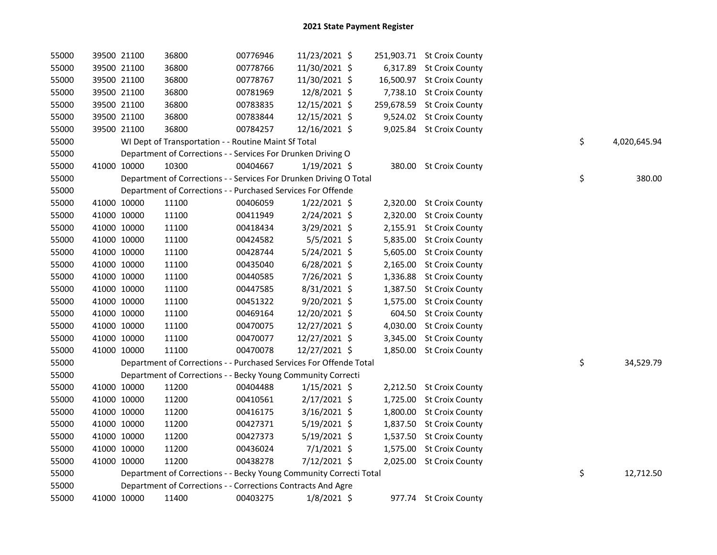| 55000 | 39500 21100 | 36800                                                              | 00776946 | 11/23/2021 \$  |          | 251,903.71 St Croix County |    |              |
|-------|-------------|--------------------------------------------------------------------|----------|----------------|----------|----------------------------|----|--------------|
| 55000 | 39500 21100 | 36800                                                              | 00778766 | 11/30/2021 \$  |          | 6,317.89 St Croix County   |    |              |
| 55000 | 39500 21100 | 36800                                                              | 00778767 | 11/30/2021 \$  |          | 16,500.97 St Croix County  |    |              |
| 55000 | 39500 21100 | 36800                                                              | 00781969 | 12/8/2021 \$   |          | 7,738.10 St Croix County   |    |              |
| 55000 | 39500 21100 | 36800                                                              | 00783835 | 12/15/2021 \$  |          | 259,678.59 St Croix County |    |              |
| 55000 | 39500 21100 | 36800                                                              | 00783844 | 12/15/2021 \$  |          | 9,524.02 St Croix County   |    |              |
| 55000 | 39500 21100 | 36800                                                              | 00784257 | 12/16/2021 \$  |          | 9,025.84 St Croix County   |    |              |
| 55000 |             | WI Dept of Transportation - - Routine Maint Sf Total               |          |                |          |                            | \$ | 4,020,645.94 |
| 55000 |             | Department of Corrections - - Services For Drunken Driving O       |          |                |          |                            |    |              |
| 55000 | 41000 10000 | 10300                                                              | 00404667 | $1/19/2021$ \$ |          | 380.00 St Croix County     |    |              |
| 55000 |             | Department of Corrections - - Services For Drunken Driving O Total |          |                |          |                            | \$ | 380.00       |
| 55000 |             | Department of Corrections - - Purchased Services For Offende       |          |                |          |                            |    |              |
| 55000 | 41000 10000 | 11100                                                              | 00406059 | $1/22/2021$ \$ |          | 2,320.00 St Croix County   |    |              |
| 55000 | 41000 10000 | 11100                                                              | 00411949 | 2/24/2021 \$   |          | 2,320.00 St Croix County   |    |              |
| 55000 | 41000 10000 | 11100                                                              | 00418434 | 3/29/2021 \$   |          | 2,155.91 St Croix County   |    |              |
| 55000 | 41000 10000 | 11100                                                              | 00424582 | $5/5/2021$ \$  |          | 5,835.00 St Croix County   |    |              |
| 55000 | 41000 10000 | 11100                                                              | 00428744 | $5/24/2021$ \$ |          | 5,605.00 St Croix County   |    |              |
| 55000 | 41000 10000 | 11100                                                              | 00435040 | $6/28/2021$ \$ |          | 2,165.00 St Croix County   |    |              |
| 55000 | 41000 10000 | 11100                                                              | 00440585 | 7/26/2021 \$   |          | 1,336.88 St Croix County   |    |              |
| 55000 | 41000 10000 | 11100                                                              | 00447585 | 8/31/2021 \$   |          | 1,387.50 St Croix County   |    |              |
| 55000 | 41000 10000 | 11100                                                              | 00451322 | 9/20/2021 \$   | 1,575.00 | <b>St Croix County</b>     |    |              |
| 55000 | 41000 10000 | 11100                                                              | 00469164 | 12/20/2021 \$  |          | 604.50 St Croix County     |    |              |
| 55000 | 41000 10000 | 11100                                                              | 00470075 | 12/27/2021 \$  |          | 4,030.00 St Croix County   |    |              |
| 55000 | 41000 10000 | 11100                                                              | 00470077 | 12/27/2021 \$  |          | 3,345.00 St Croix County   |    |              |
| 55000 | 41000 10000 | 11100                                                              | 00470078 | 12/27/2021 \$  |          | 1,850.00 St Croix County   |    |              |
| 55000 |             | Department of Corrections - - Purchased Services For Offende Total |          |                |          |                            | \$ | 34,529.79    |
| 55000 |             | Department of Corrections - - Becky Young Community Correcti       |          |                |          |                            |    |              |
| 55000 | 41000 10000 | 11200                                                              | 00404488 | $1/15/2021$ \$ |          | 2,212.50 St Croix County   |    |              |
| 55000 | 41000 10000 | 11200                                                              | 00410561 | 2/17/2021 \$   |          | 1,725.00 St Croix County   |    |              |
| 55000 | 41000 10000 | 11200                                                              | 00416175 | $3/16/2021$ \$ |          | 1,800.00 St Croix County   |    |              |
| 55000 | 41000 10000 | 11200                                                              | 00427371 | 5/19/2021 \$   |          | 1,837.50 St Croix County   |    |              |
| 55000 | 41000 10000 | 11200                                                              | 00427373 | 5/19/2021 \$   |          | 1,537.50 St Croix County   |    |              |
| 55000 | 41000 10000 | 11200                                                              | 00436024 | $7/1/2021$ \$  |          | 1,575.00 St Croix County   |    |              |
| 55000 | 41000 10000 | 11200                                                              | 00438278 | 7/12/2021 \$   |          | 2,025.00 St Croix County   |    |              |
| 55000 |             | Department of Corrections - - Becky Young Community Correcti Total |          |                |          |                            | \$ | 12,712.50    |
| 55000 |             | Department of Corrections - - Corrections Contracts And Agre       |          |                |          |                            |    |              |
| 55000 | 41000 10000 | 11400                                                              | 00403275 | $1/8/2021$ \$  |          | 977.74 St Croix County     |    |              |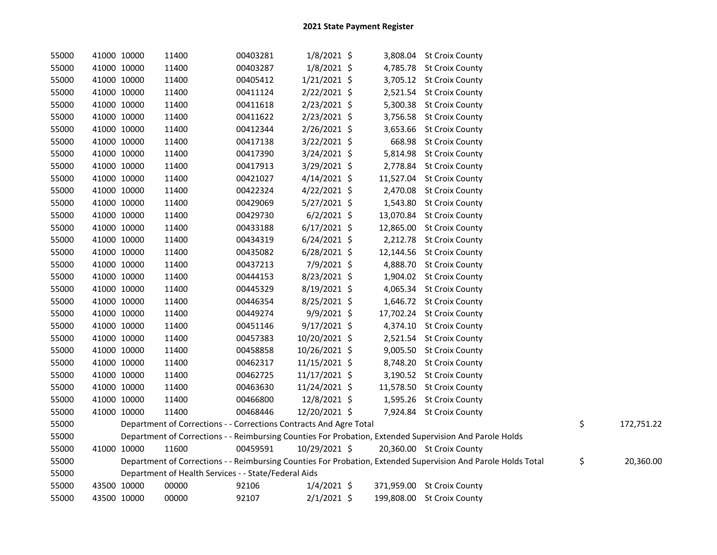| 55000 | 41000 10000 |             | 11400                                                              | 00403281 | $1/8/2021$ \$  |  | 3,808.04 St Croix County                                                                                      |                  |
|-------|-------------|-------------|--------------------------------------------------------------------|----------|----------------|--|---------------------------------------------------------------------------------------------------------------|------------------|
| 55000 | 41000 10000 |             | 11400                                                              | 00403287 | 1/8/2021 \$    |  | 4,785.78 St Croix County                                                                                      |                  |
| 55000 | 41000 10000 |             | 11400                                                              | 00405412 | $1/21/2021$ \$ |  | 3,705.12 St Croix County                                                                                      |                  |
| 55000 | 41000 10000 |             | 11400                                                              | 00411124 | $2/22/2021$ \$ |  | 2,521.54 St Croix County                                                                                      |                  |
| 55000 | 41000 10000 |             | 11400                                                              | 00411618 | 2/23/2021 \$   |  | 5,300.38 St Croix County                                                                                      |                  |
| 55000 | 41000 10000 |             | 11400                                                              | 00411622 | 2/23/2021 \$   |  | 3,756.58 St Croix County                                                                                      |                  |
| 55000 |             | 41000 10000 | 11400                                                              | 00412344 | 2/26/2021 \$   |  | 3,653.66 St Croix County                                                                                      |                  |
| 55000 | 41000 10000 |             | 11400                                                              | 00417138 | 3/22/2021 \$   |  | 668.98 St Croix County                                                                                        |                  |
| 55000 | 41000 10000 |             | 11400                                                              | 00417390 | 3/24/2021 \$   |  | 5,814.98 St Croix County                                                                                      |                  |
| 55000 | 41000 10000 |             | 11400                                                              | 00417913 | 3/29/2021 \$   |  | 2,778.84 St Croix County                                                                                      |                  |
| 55000 | 41000 10000 |             | 11400                                                              | 00421027 | $4/14/2021$ \$ |  | 11,527.04 St Croix County                                                                                     |                  |
| 55000 |             | 41000 10000 | 11400                                                              | 00422324 | $4/22/2021$ \$ |  | 2,470.08 St Croix County                                                                                      |                  |
| 55000 |             | 41000 10000 | 11400                                                              | 00429069 | 5/27/2021 \$   |  | 1,543.80 St Croix County                                                                                      |                  |
| 55000 |             | 41000 10000 | 11400                                                              | 00429730 | $6/2/2021$ \$  |  | 13,070.84 St Croix County                                                                                     |                  |
| 55000 |             | 41000 10000 | 11400                                                              | 00433188 | $6/17/2021$ \$ |  | 12,865.00 St Croix County                                                                                     |                  |
| 55000 |             | 41000 10000 | 11400                                                              | 00434319 | $6/24/2021$ \$ |  | 2,212.78 St Croix County                                                                                      |                  |
| 55000 |             | 41000 10000 | 11400                                                              | 00435082 | $6/28/2021$ \$ |  | 12,144.56 St Croix County                                                                                     |                  |
| 55000 |             | 41000 10000 | 11400                                                              | 00437213 | 7/9/2021 \$    |  | 4,888.70 St Croix County                                                                                      |                  |
| 55000 |             | 41000 10000 | 11400                                                              | 00444153 | 8/23/2021 \$   |  | 1,904.02 St Croix County                                                                                      |                  |
| 55000 |             | 41000 10000 | 11400                                                              | 00445329 | 8/19/2021 \$   |  | 4,065.34 St Croix County                                                                                      |                  |
| 55000 |             | 41000 10000 | 11400                                                              | 00446354 | 8/25/2021 \$   |  | 1,646.72 St Croix County                                                                                      |                  |
| 55000 |             | 41000 10000 | 11400                                                              | 00449274 | 9/9/2021 \$    |  | 17,702.24 St Croix County                                                                                     |                  |
| 55000 |             | 41000 10000 | 11400                                                              | 00451146 | 9/17/2021 \$   |  | 4,374.10 St Croix County                                                                                      |                  |
| 55000 |             | 41000 10000 | 11400                                                              | 00457383 | 10/20/2021 \$  |  | 2,521.54 St Croix County                                                                                      |                  |
| 55000 |             | 41000 10000 | 11400                                                              | 00458858 | 10/26/2021 \$  |  | 9,005.50 St Croix County                                                                                      |                  |
| 55000 |             | 41000 10000 | 11400                                                              | 00462317 | 11/15/2021 \$  |  | 8,748.20 St Croix County                                                                                      |                  |
| 55000 | 41000 10000 |             | 11400                                                              | 00462725 | 11/17/2021 \$  |  | 3,190.52 St Croix County                                                                                      |                  |
| 55000 | 41000 10000 |             | 11400                                                              | 00463630 | 11/24/2021 \$  |  | 11,578.50 St Croix County                                                                                     |                  |
| 55000 | 41000 10000 |             | 11400                                                              | 00466800 | 12/8/2021 \$   |  | 1,595.26 St Croix County                                                                                      |                  |
| 55000 | 41000 10000 |             | 11400                                                              | 00468446 | 12/20/2021 \$  |  | 7,924.84 St Croix County                                                                                      |                  |
| 55000 |             |             | Department of Corrections - - Corrections Contracts And Agre Total |          |                |  |                                                                                                               | \$<br>172,751.22 |
| 55000 |             |             |                                                                    |          |                |  | Department of Corrections - - Reimbursing Counties For Probation, Extended Supervision And Parole Holds       |                  |
| 55000 |             | 41000 10000 | 11600                                                              | 00459591 | 10/29/2021 \$  |  | 20,360.00 St Croix County                                                                                     |                  |
| 55000 |             |             |                                                                    |          |                |  | Department of Corrections - - Reimbursing Counties For Probation, Extended Supervision And Parole Holds Total | \$<br>20,360.00  |
| 55000 |             |             | Department of Health Services - - State/Federal Aids               |          |                |  |                                                                                                               |                  |
| 55000 |             | 43500 10000 | 00000                                                              | 92106    | $1/4/2021$ \$  |  | 371,959.00 St Croix County                                                                                    |                  |
| 55000 | 43500 10000 |             | 00000                                                              | 92107    | $2/1/2021$ \$  |  | 199,808.00 St Croix County                                                                                    |                  |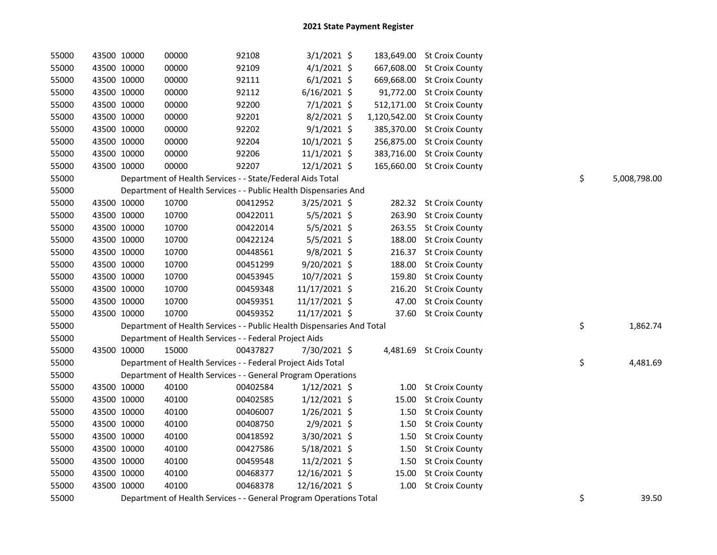| 55000 | 43500 10000 |             | 00000                                                                  | 92108    | $3/1/2021$ \$  |       | 183,649.00 St Croix County   |    |              |
|-------|-------------|-------------|------------------------------------------------------------------------|----------|----------------|-------|------------------------------|----|--------------|
| 55000 | 43500 10000 |             | 00000                                                                  | 92109    | $4/1/2021$ \$  |       | 667,608.00 St Croix County   |    |              |
| 55000 | 43500 10000 |             | 00000                                                                  | 92111    | $6/1/2021$ \$  |       | 669,668.00 St Croix County   |    |              |
| 55000 | 43500 10000 |             | 00000                                                                  | 92112    | $6/16/2021$ \$ |       | 91,772.00 St Croix County    |    |              |
| 55000 | 43500 10000 |             | 00000                                                                  | 92200    | $7/1/2021$ \$  |       | 512,171.00 St Croix County   |    |              |
| 55000 | 43500 10000 |             | 00000                                                                  | 92201    | 8/2/2021 \$    |       | 1,120,542.00 St Croix County |    |              |
| 55000 | 43500 10000 |             | 00000                                                                  | 92202    | $9/1/2021$ \$  |       | 385,370.00 St Croix County   |    |              |
| 55000 | 43500 10000 |             | 00000                                                                  | 92204    | 10/1/2021 \$   |       | 256,875.00 St Croix County   |    |              |
| 55000 | 43500 10000 |             | 00000                                                                  | 92206    | 11/1/2021 \$   |       | 383,716.00 St Croix County   |    |              |
| 55000 | 43500 10000 |             | 00000                                                                  | 92207    | 12/1/2021 \$   |       | 165,660.00 St Croix County   |    |              |
| 55000 |             |             | Department of Health Services - - State/Federal Aids Total             |          |                |       |                              | \$ | 5,008,798.00 |
| 55000 |             |             | Department of Health Services - - Public Health Dispensaries And       |          |                |       |                              |    |              |
| 55000 |             | 43500 10000 | 10700                                                                  | 00412952 | $3/25/2021$ \$ |       | 282.32 St Croix County       |    |              |
| 55000 | 43500 10000 |             | 10700                                                                  | 00422011 | $5/5/2021$ \$  |       | 263.90 St Croix County       |    |              |
| 55000 | 43500 10000 |             | 10700                                                                  | 00422014 | $5/5/2021$ \$  |       | 263.55 St Croix County       |    |              |
| 55000 | 43500 10000 |             | 10700                                                                  | 00422124 | 5/5/2021 \$    |       | 188.00 St Croix County       |    |              |
| 55000 | 43500 10000 |             | 10700                                                                  | 00448561 | 9/8/2021 \$    |       | 216.37 St Croix County       |    |              |
| 55000 | 43500 10000 |             | 10700                                                                  | 00451299 | 9/20/2021 \$   |       | 188.00 St Croix County       |    |              |
| 55000 | 43500 10000 |             | 10700                                                                  | 00453945 | 10/7/2021 \$   |       | 159.80 St Croix County       |    |              |
| 55000 | 43500 10000 |             | 10700                                                                  | 00459348 | 11/17/2021 \$  |       | 216.20 St Croix County       |    |              |
| 55000 | 43500 10000 |             | 10700                                                                  | 00459351 | 11/17/2021 \$  |       | 47.00 St Croix County        |    |              |
| 55000 | 43500 10000 |             | 10700                                                                  | 00459352 | 11/17/2021 \$  |       | 37.60 St Croix County        |    |              |
| 55000 |             |             | Department of Health Services - - Public Health Dispensaries And Total |          |                |       |                              | \$ | 1,862.74     |
| 55000 |             |             | Department of Health Services - - Federal Project Aids                 |          |                |       |                              |    |              |
| 55000 | 43500 10000 |             | 15000                                                                  | 00437827 | 7/30/2021 \$   |       | 4,481.69 St Croix County     |    |              |
| 55000 |             |             | Department of Health Services - - Federal Project Aids Total           |          |                |       |                              | \$ | 4,481.69     |
| 55000 |             |             | Department of Health Services - - General Program Operations           |          |                |       |                              |    |              |
| 55000 |             | 43500 10000 | 40100                                                                  | 00402584 | $1/12/2021$ \$ |       | 1.00 St Croix County         |    |              |
| 55000 | 43500 10000 |             | 40100                                                                  | 00402585 | $1/12/2021$ \$ | 15.00 | <b>St Croix County</b>       |    |              |
| 55000 | 43500 10000 |             | 40100                                                                  | 00406007 | $1/26/2021$ \$ |       | 1.50 St Croix County         |    |              |
| 55000 | 43500 10000 |             | 40100                                                                  | 00408750 | 2/9/2021 \$    | 1.50  | <b>St Croix County</b>       |    |              |
| 55000 | 43500 10000 |             | 40100                                                                  | 00418592 | 3/30/2021 \$   | 1.50  | <b>St Croix County</b>       |    |              |
| 55000 | 43500 10000 |             | 40100                                                                  | 00427586 | $5/18/2021$ \$ | 1.50  | <b>St Croix County</b>       |    |              |
| 55000 | 43500 10000 |             | 40100                                                                  | 00459548 | 11/2/2021 \$   |       | 1.50 St Croix County         |    |              |
| 55000 | 43500 10000 |             | 40100                                                                  | 00468377 | 12/16/2021 \$  |       | 15.00 St Croix County        |    |              |
| 55000 | 43500 10000 |             | 40100                                                                  | 00468378 | 12/16/2021 \$  | 1.00  | <b>St Croix County</b>       |    |              |
| 55000 |             |             | Department of Health Services - - General Program Operations Total     |          |                |       |                              | \$ | 39.50        |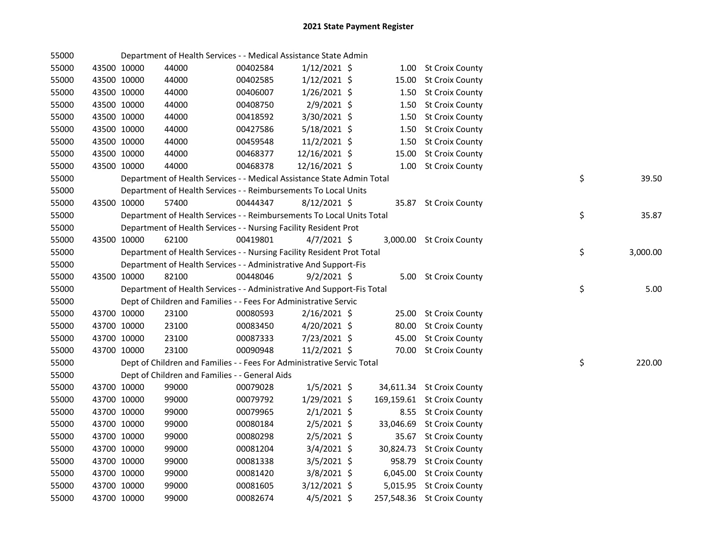| 55000 |             |             | Department of Health Services - - Medical Assistance State Admin       |          |                |           |                            |    |          |
|-------|-------------|-------------|------------------------------------------------------------------------|----------|----------------|-----------|----------------------------|----|----------|
| 55000 | 43500 10000 |             | 44000                                                                  | 00402584 | $1/12/2021$ \$ |           | 1.00 St Croix County       |    |          |
| 55000 | 43500 10000 |             | 44000                                                                  | 00402585 | $1/12/2021$ \$ | 15.00     | <b>St Croix County</b>     |    |          |
| 55000 | 43500 10000 |             | 44000                                                                  | 00406007 | $1/26/2021$ \$ | 1.50      | <b>St Croix County</b>     |    |          |
| 55000 | 43500 10000 |             | 44000                                                                  | 00408750 | 2/9/2021 \$    | 1.50      | <b>St Croix County</b>     |    |          |
| 55000 |             | 43500 10000 | 44000                                                                  | 00418592 | 3/30/2021 \$   | 1.50      | <b>St Croix County</b>     |    |          |
| 55000 |             | 43500 10000 | 44000                                                                  | 00427586 | 5/18/2021 \$   | 1.50      | <b>St Croix County</b>     |    |          |
| 55000 |             | 43500 10000 | 44000                                                                  | 00459548 | $11/2/2021$ \$ | 1.50      | <b>St Croix County</b>     |    |          |
| 55000 |             | 43500 10000 | 44000                                                                  | 00468377 | 12/16/2021 \$  | 15.00     | <b>St Croix County</b>     |    |          |
| 55000 | 43500 10000 |             | 44000                                                                  | 00468378 | 12/16/2021 \$  |           | 1.00 St Croix County       |    |          |
| 55000 |             |             | Department of Health Services - - Medical Assistance State Admin Total |          |                |           |                            | \$ | 39.50    |
| 55000 |             |             | Department of Health Services - - Reimbursements To Local Units        |          |                |           |                            |    |          |
| 55000 | 43500 10000 |             | 57400                                                                  | 00444347 | $8/12/2021$ \$ |           | 35.87 St Croix County      |    |          |
| 55000 |             |             | Department of Health Services - - Reimbursements To Local Units Total  |          |                |           |                            | \$ | 35.87    |
| 55000 |             |             | Department of Health Services - - Nursing Facility Resident Prot       |          |                |           |                            |    |          |
| 55000 |             | 43500 10000 | 62100                                                                  | 00419801 | $4/7/2021$ \$  |           | 3,000.00 St Croix County   |    |          |
| 55000 |             |             | Department of Health Services - - Nursing Facility Resident Prot Total |          |                |           |                            | \$ | 3,000.00 |
| 55000 |             |             | Department of Health Services - - Administrative And Support-Fis       |          |                |           |                            |    |          |
| 55000 |             | 43500 10000 | 82100                                                                  | 00448046 | $9/2/2021$ \$  |           | 5.00 St Croix County       |    |          |
| 55000 |             |             | Department of Health Services - - Administrative And Support-Fis Total |          |                |           |                            | \$ | 5.00     |
| 55000 |             |             | Dept of Children and Families - - Fees For Administrative Servic       |          |                |           |                            |    |          |
| 55000 |             | 43700 10000 | 23100                                                                  | 00080593 | $2/16/2021$ \$ |           | 25.00 St Croix County      |    |          |
| 55000 |             | 43700 10000 | 23100                                                                  | 00083450 | 4/20/2021 \$   | 80.00     | <b>St Croix County</b>     |    |          |
| 55000 | 43700 10000 |             | 23100                                                                  | 00087333 | 7/23/2021 \$   | 45.00     | <b>St Croix County</b>     |    |          |
| 55000 | 43700 10000 |             | 23100                                                                  | 00090948 | 11/2/2021 \$   |           | 70.00 St Croix County      |    |          |
| 55000 |             |             | Dept of Children and Families - - Fees For Administrative Servic Total |          |                |           |                            | \$ | 220.00   |
| 55000 |             |             | Dept of Children and Families - - General Aids                         |          |                |           |                            |    |          |
| 55000 |             | 43700 10000 | 99000                                                                  | 00079028 | $1/5/2021$ \$  |           | 34,611.34 St Croix County  |    |          |
| 55000 |             | 43700 10000 | 99000                                                                  | 00079792 | 1/29/2021 \$   |           | 169,159.61 St Croix County |    |          |
| 55000 | 43700 10000 |             | 99000                                                                  | 00079965 | $2/1/2021$ \$  | 8.55      | <b>St Croix County</b>     |    |          |
| 55000 | 43700 10000 |             | 99000                                                                  | 00080184 | $2/5/2021$ \$  | 33,046.69 | <b>St Croix County</b>     |    |          |
| 55000 | 43700 10000 |             | 99000                                                                  | 00080298 | $2/5/2021$ \$  |           | 35.67 St Croix County      |    |          |
| 55000 | 43700 10000 |             | 99000                                                                  | 00081204 | $3/4/2021$ \$  |           | 30,824.73 St Croix County  |    |          |
| 55000 | 43700 10000 |             | 99000                                                                  | 00081338 | $3/5/2021$ \$  |           | 958.79 St Croix County     |    |          |
| 55000 | 43700 10000 |             | 99000                                                                  | 00081420 | 3/8/2021 \$    |           | 6,045.00 St Croix County   |    |          |
| 55000 | 43700 10000 |             | 99000                                                                  | 00081605 | $3/12/2021$ \$ |           | 5,015.95 St Croix County   |    |          |
| 55000 | 43700 10000 |             | 99000                                                                  | 00082674 | $4/5/2021$ \$  |           | 257,548.36 St Croix County |    |          |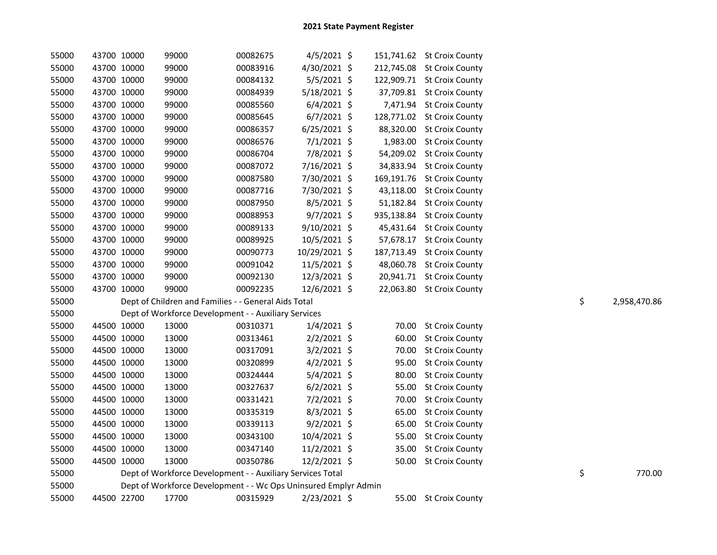| 55000 | 43700 10000 | 99000                                                           | 00082675 | $4/5/2021$ \$  |            | 151,741.62 St Croix County |    |              |
|-------|-------------|-----------------------------------------------------------------|----------|----------------|------------|----------------------------|----|--------------|
| 55000 | 43700 10000 | 99000                                                           | 00083916 | 4/30/2021 \$   |            | 212,745.08 St Croix County |    |              |
| 55000 | 43700 10000 | 99000                                                           | 00084132 | $5/5/2021$ \$  |            | 122,909.71 St Croix County |    |              |
| 55000 | 43700 10000 | 99000                                                           | 00084939 | 5/18/2021 \$   |            | 37,709.81 St Croix County  |    |              |
| 55000 | 43700 10000 | 99000                                                           | 00085560 | $6/4/2021$ \$  |            | 7,471.94 St Croix County   |    |              |
| 55000 | 43700 10000 | 99000                                                           | 00085645 | $6/7/2021$ \$  |            | 128,771.02 St Croix County |    |              |
| 55000 | 43700 10000 | 99000                                                           | 00086357 | $6/25/2021$ \$ | 88,320.00  | <b>St Croix County</b>     |    |              |
| 55000 | 43700 10000 | 99000                                                           | 00086576 | $7/1/2021$ \$  | 1,983.00   | <b>St Croix County</b>     |    |              |
| 55000 | 43700 10000 | 99000                                                           | 00086704 | 7/8/2021 \$    | 54,209.02  | <b>St Croix County</b>     |    |              |
| 55000 | 43700 10000 | 99000                                                           | 00087072 | 7/16/2021 \$   | 34,833.94  | <b>St Croix County</b>     |    |              |
| 55000 | 43700 10000 | 99000                                                           | 00087580 | 7/30/2021 \$   | 169,191.76 | <b>St Croix County</b>     |    |              |
| 55000 | 43700 10000 | 99000                                                           | 00087716 | 7/30/2021 \$   | 43,118.00  | <b>St Croix County</b>     |    |              |
| 55000 | 43700 10000 | 99000                                                           | 00087950 | 8/5/2021 \$    | 51,182.84  | <b>St Croix County</b>     |    |              |
| 55000 | 43700 10000 | 99000                                                           | 00088953 | $9/7/2021$ \$  | 935,138.84 | <b>St Croix County</b>     |    |              |
| 55000 | 43700 10000 | 99000                                                           | 00089133 | 9/10/2021 \$   | 45,431.64  | <b>St Croix County</b>     |    |              |
| 55000 | 43700 10000 | 99000                                                           | 00089925 | 10/5/2021 \$   | 57,678.17  | <b>St Croix County</b>     |    |              |
| 55000 | 43700 10000 | 99000                                                           | 00090773 | 10/29/2021 \$  |            | 187,713.49 St Croix County |    |              |
| 55000 | 43700 10000 | 99000                                                           | 00091042 | 11/5/2021 \$   |            | 48,060.78 St Croix County  |    |              |
| 55000 | 43700 10000 | 99000                                                           | 00092130 | 12/3/2021 \$   |            | 20,941.71 St Croix County  |    |              |
| 55000 | 43700 10000 | 99000                                                           | 00092235 | 12/6/2021 \$   |            | 22,063.80 St Croix County  |    |              |
| 55000 |             | Dept of Children and Families - - General Aids Total            |          |                |            |                            | \$ | 2,958,470.86 |
| 55000 |             | Dept of Workforce Development - - Auxiliary Services            |          |                |            |                            |    |              |
| 55000 | 44500 10000 | 13000                                                           | 00310371 | $1/4/2021$ \$  | 70.00      | <b>St Croix County</b>     |    |              |
| 55000 | 44500 10000 | 13000                                                           | 00313461 | $2/2/2021$ \$  | 60.00      | <b>St Croix County</b>     |    |              |
| 55000 | 44500 10000 | 13000                                                           | 00317091 | $3/2/2021$ \$  | 70.00      | <b>St Croix County</b>     |    |              |
| 55000 | 44500 10000 | 13000                                                           | 00320899 | $4/2/2021$ \$  | 95.00      | <b>St Croix County</b>     |    |              |
| 55000 | 44500 10000 | 13000                                                           | 00324444 | 5/4/2021 \$    | 80.00      | <b>St Croix County</b>     |    |              |
| 55000 | 44500 10000 | 13000                                                           | 00327637 | $6/2/2021$ \$  | 55.00      | <b>St Croix County</b>     |    |              |
| 55000 | 44500 10000 | 13000                                                           | 00331421 | $7/2/2021$ \$  | 70.00      | <b>St Croix County</b>     |    |              |
| 55000 | 44500 10000 | 13000                                                           | 00335319 | $8/3/2021$ \$  | 65.00      | <b>St Croix County</b>     |    |              |
| 55000 | 44500 10000 | 13000                                                           | 00339113 | $9/2/2021$ \$  | 65.00      | <b>St Croix County</b>     |    |              |
| 55000 | 44500 10000 | 13000                                                           | 00343100 | 10/4/2021 \$   | 55.00      | <b>St Croix County</b>     |    |              |
| 55000 | 44500 10000 | 13000                                                           | 00347140 | 11/2/2021 \$   | 35.00      | <b>St Croix County</b>     |    |              |
| 55000 | 44500 10000 | 13000                                                           | 00350786 | 12/2/2021 \$   | 50.00      | <b>St Croix County</b>     |    |              |
| 55000 |             | Dept of Workforce Development - - Auxiliary Services Total      |          |                |            |                            | \$ | 770.00       |
| 55000 |             | Dept of Workforce Development - - Wc Ops Uninsured Emplyr Admin |          |                |            |                            |    |              |
| 55000 | 44500 22700 | 17700                                                           | 00315929 | $2/23/2021$ \$ |            | 55.00 St Croix County      |    |              |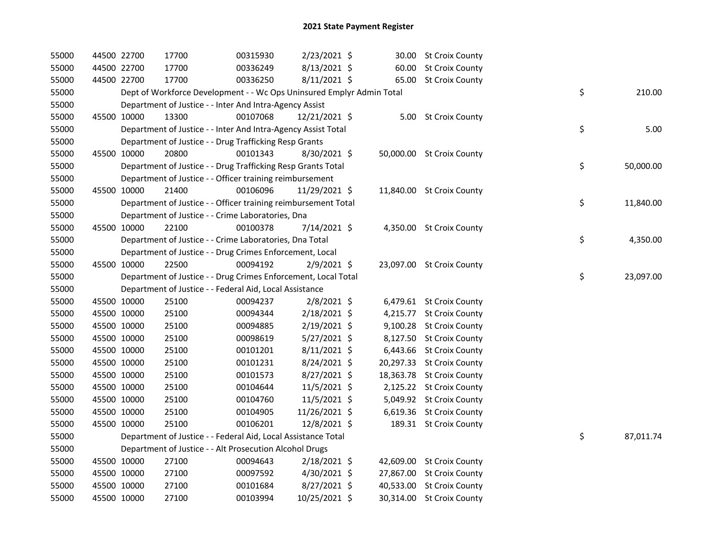| 55000 | 44500 22700 | 17700                                                                 | 00315930 | 2/23/2021 \$   |           | 30.00 St Croix County     |    |           |
|-------|-------------|-----------------------------------------------------------------------|----------|----------------|-----------|---------------------------|----|-----------|
| 55000 | 44500 22700 | 17700                                                                 | 00336249 | 8/13/2021 \$   |           | 60.00 St Croix County     |    |           |
| 55000 | 44500 22700 | 17700                                                                 | 00336250 | 8/11/2021 \$   |           | 65.00 St Croix County     |    |           |
| 55000 |             | Dept of Workforce Development - - Wc Ops Uninsured Emplyr Admin Total |          |                |           |                           | \$ | 210.00    |
| 55000 |             | Department of Justice - - Inter And Intra-Agency Assist               |          |                |           |                           |    |           |
| 55000 | 45500 10000 | 13300                                                                 | 00107068 | 12/21/2021 \$  |           | 5.00 St Croix County      |    |           |
| 55000 |             | Department of Justice - - Inter And Intra-Agency Assist Total         |          |                |           |                           | \$ | 5.00      |
| 55000 |             | Department of Justice - - Drug Trafficking Resp Grants                |          |                |           |                           |    |           |
| 55000 | 45500 10000 | 20800                                                                 | 00101343 | 8/30/2021 \$   |           | 50,000.00 St Croix County |    |           |
| 55000 |             | Department of Justice - - Drug Trafficking Resp Grants Total          |          |                |           |                           | \$ | 50,000.00 |
| 55000 |             | Department of Justice - - Officer training reimbursement              |          |                |           |                           |    |           |
| 55000 | 45500 10000 | 21400                                                                 | 00106096 | 11/29/2021 \$  |           | 11,840.00 St Croix County |    |           |
| 55000 |             | Department of Justice - - Officer training reimbursement Total        |          |                |           |                           | \$ | 11,840.00 |
| 55000 |             | Department of Justice - - Crime Laboratories, Dna                     |          |                |           |                           |    |           |
| 55000 | 45500 10000 | 22100                                                                 | 00100378 | 7/14/2021 \$   |           | 4,350.00 St Croix County  |    |           |
| 55000 |             | Department of Justice - - Crime Laboratories, Dna Total               |          |                |           |                           | \$ | 4,350.00  |
| 55000 |             | Department of Justice - - Drug Crimes Enforcement, Local              |          |                |           |                           |    |           |
| 55000 | 45500 10000 | 22500                                                                 | 00094192 | $2/9/2021$ \$  |           | 23,097.00 St Croix County |    |           |
| 55000 |             | Department of Justice - - Drug Crimes Enforcement, Local Total        |          |                |           |                           | \$ | 23,097.00 |
| 55000 |             | Department of Justice - - Federal Aid, Local Assistance               |          |                |           |                           |    |           |
| 55000 | 45500 10000 | 25100                                                                 | 00094237 | $2/8/2021$ \$  |           | 6,479.61 St Croix County  |    |           |
| 55000 | 45500 10000 | 25100                                                                 | 00094344 | 2/18/2021 \$   |           | 4,215.77 St Croix County  |    |           |
| 55000 | 45500 10000 | 25100                                                                 | 00094885 | 2/19/2021 \$   |           | 9,100.28 St Croix County  |    |           |
| 55000 | 45500 10000 | 25100                                                                 | 00098619 | 5/27/2021 \$   |           | 8,127.50 St Croix County  |    |           |
| 55000 | 45500 10000 | 25100                                                                 | 00101201 | 8/11/2021 \$   |           | 6,443.66 St Croix County  |    |           |
| 55000 | 45500 10000 | 25100                                                                 | 00101231 | 8/24/2021 \$   |           | 20,297.33 St Croix County |    |           |
| 55000 | 45500 10000 | 25100                                                                 | 00101573 | 8/27/2021 \$   |           | 18,363.78 St Croix County |    |           |
| 55000 | 45500 10000 | 25100                                                                 | 00104644 | 11/5/2021 \$   |           | 2,125.22 St Croix County  |    |           |
| 55000 | 45500 10000 | 25100                                                                 | 00104760 | 11/5/2021 \$   |           | 5,049.92 St Croix County  |    |           |
| 55000 | 45500 10000 | 25100                                                                 | 00104905 | 11/26/2021 \$  |           | 6,619.36 St Croix County  |    |           |
| 55000 | 45500 10000 | 25100                                                                 | 00106201 | 12/8/2021 \$   |           | 189.31 St Croix County    |    |           |
| 55000 |             | Department of Justice - - Federal Aid, Local Assistance Total         |          |                |           |                           | \$ | 87,011.74 |
| 55000 |             | Department of Justice - - Alt Prosecution Alcohol Drugs               |          |                |           |                           |    |           |
| 55000 | 45500 10000 | 27100                                                                 | 00094643 | $2/18/2021$ \$ |           | 42,609.00 St Croix County |    |           |
| 55000 | 45500 10000 | 27100                                                                 | 00097592 | 4/30/2021 \$   | 27,867.00 | <b>St Croix County</b>    |    |           |
| 55000 | 45500 10000 | 27100                                                                 | 00101684 | 8/27/2021 \$   | 40,533.00 | <b>St Croix County</b>    |    |           |
| 55000 | 45500 10000 | 27100                                                                 | 00103994 | 10/25/2021 \$  |           | 30,314.00 St Croix County |    |           |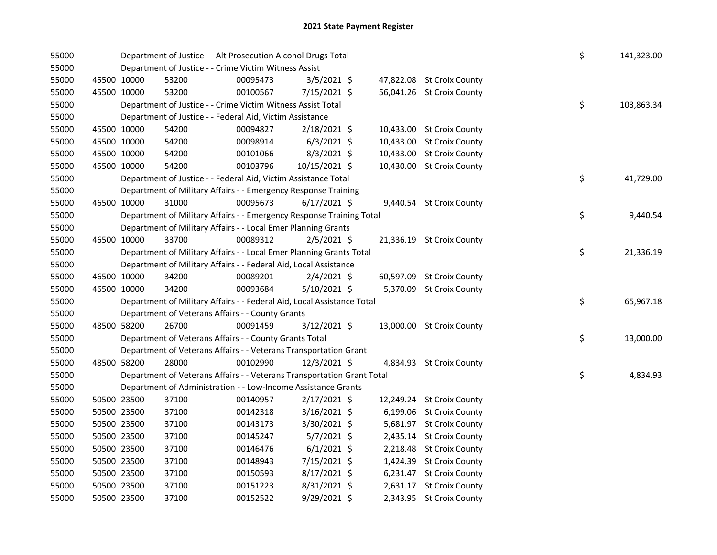| 55000 |             |             | Department of Justice - - Alt Prosecution Alcohol Drugs Total          |          |                |           |                           | \$ | 141,323.00 |
|-------|-------------|-------------|------------------------------------------------------------------------|----------|----------------|-----------|---------------------------|----|------------|
| 55000 |             |             | Department of Justice - - Crime Victim Witness Assist                  |          |                |           |                           |    |            |
| 55000 | 45500 10000 |             | 53200                                                                  | 00095473 | $3/5/2021$ \$  |           | 47,822.08 St Croix County |    |            |
| 55000 | 45500 10000 |             | 53200                                                                  | 00100567 | $7/15/2021$ \$ |           | 56,041.26 St Croix County |    |            |
| 55000 |             |             | Department of Justice - - Crime Victim Witness Assist Total            |          |                |           |                           | \$ | 103,863.34 |
| 55000 |             |             | Department of Justice - - Federal Aid, Victim Assistance               |          |                |           |                           |    |            |
| 55000 | 45500 10000 |             | 54200                                                                  | 00094827 | $2/18/2021$ \$ |           | 10,433.00 St Croix County |    |            |
| 55000 | 45500 10000 |             | 54200                                                                  | 00098914 | $6/3/2021$ \$  | 10,433.00 | <b>St Croix County</b>    |    |            |
| 55000 | 45500 10000 |             | 54200                                                                  | 00101066 | $8/3/2021$ \$  | 10,433.00 | <b>St Croix County</b>    |    |            |
| 55000 | 45500 10000 |             | 54200                                                                  | 00103796 | 10/15/2021 \$  |           | 10,430.00 St Croix County |    |            |
| 55000 |             |             | Department of Justice - - Federal Aid, Victim Assistance Total         |          |                |           |                           | \$ | 41,729.00  |
| 55000 |             |             | Department of Military Affairs - - Emergency Response Training         |          |                |           |                           |    |            |
| 55000 | 46500 10000 |             | 31000                                                                  | 00095673 | $6/17/2021$ \$ |           | 9,440.54 St Croix County  |    |            |
| 55000 |             |             | Department of Military Affairs - - Emergency Response Training Total   |          |                |           |                           | \$ | 9,440.54   |
| 55000 |             |             | Department of Military Affairs - - Local Emer Planning Grants          |          |                |           |                           |    |            |
| 55000 | 46500 10000 |             | 33700                                                                  | 00089312 | $2/5/2021$ \$  |           | 21,336.19 St Croix County |    |            |
| 55000 |             |             | Department of Military Affairs - - Local Emer Planning Grants Total    |          |                |           |                           | \$ | 21,336.19  |
| 55000 |             |             | Department of Military Affairs - - Federal Aid, Local Assistance       |          |                |           |                           |    |            |
| 55000 | 46500 10000 |             | 34200                                                                  | 00089201 | $2/4/2021$ \$  |           | 60,597.09 St Croix County |    |            |
| 55000 | 46500 10000 |             | 34200                                                                  | 00093684 | $5/10/2021$ \$ |           | 5,370.09 St Croix County  |    |            |
| 55000 |             |             | Department of Military Affairs - - Federal Aid, Local Assistance Total |          |                |           |                           | \$ | 65,967.18  |
| 55000 |             |             | Department of Veterans Affairs - - County Grants                       |          |                |           |                           |    |            |
| 55000 | 48500 58200 |             | 26700                                                                  | 00091459 | 3/12/2021 \$   |           | 13,000.00 St Croix County |    |            |
| 55000 |             |             | Department of Veterans Affairs - - County Grants Total                 |          |                |           |                           | \$ | 13,000.00  |
| 55000 |             |             | Department of Veterans Affairs - - Veterans Transportation Grant       |          |                |           |                           |    |            |
| 55000 | 48500 58200 |             | 28000                                                                  | 00102990 | 12/3/2021 \$   |           | 4,834.93 St Croix County  |    |            |
| 55000 |             |             | Department of Veterans Affairs - - Veterans Transportation Grant Total |          |                |           |                           | \$ | 4,834.93   |
| 55000 |             |             | Department of Administration - - Low-Income Assistance Grants          |          |                |           |                           |    |            |
| 55000 |             | 50500 23500 | 37100                                                                  | 00140957 | $2/17/2021$ \$ |           | 12,249.24 St Croix County |    |            |
| 55000 |             | 50500 23500 | 37100                                                                  | 00142318 | $3/16/2021$ \$ |           | 6,199.06 St Croix County  |    |            |
| 55000 | 50500 23500 |             | 37100                                                                  | 00143173 | $3/30/2021$ \$ |           | 5,681.97 St Croix County  |    |            |
| 55000 | 50500 23500 |             | 37100                                                                  | 00145247 | $5/7/2021$ \$  |           | 2,435.14 St Croix County  |    |            |
| 55000 |             | 50500 23500 | 37100                                                                  | 00146476 | $6/1/2021$ \$  |           | 2,218.48 St Croix County  |    |            |
| 55000 |             | 50500 23500 | 37100                                                                  | 00148943 | 7/15/2021 \$   | 1,424.39  | <b>St Croix County</b>    |    |            |
| 55000 | 50500 23500 |             | 37100                                                                  | 00150593 | 8/17/2021 \$   |           | 6,231.47 St Croix County  |    |            |
| 55000 |             | 50500 23500 | 37100                                                                  | 00151223 | 8/31/2021 \$   | 2,631.17  | <b>St Croix County</b>    |    |            |
| 55000 |             | 50500 23500 | 37100                                                                  | 00152522 | 9/29/2021 \$   |           | 2,343.95 St Croix County  |    |            |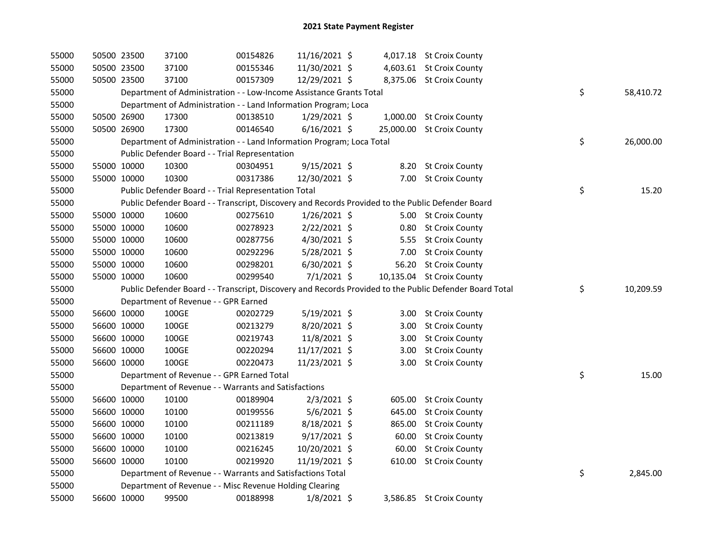| 55000 |             | 50500 23500 | 37100                                                                                             | 00154826 | 11/16/2021 \$  |        | 4,017.18 St Croix County                                                                                |                 |
|-------|-------------|-------------|---------------------------------------------------------------------------------------------------|----------|----------------|--------|---------------------------------------------------------------------------------------------------------|-----------------|
| 55000 |             | 50500 23500 | 37100                                                                                             | 00155346 | 11/30/2021 \$  |        | 4,603.61 St Croix County                                                                                |                 |
| 55000 |             | 50500 23500 | 37100                                                                                             | 00157309 | 12/29/2021 \$  |        | 8,375.06 St Croix County                                                                                |                 |
| 55000 |             |             | Department of Administration - - Low-Income Assistance Grants Total                               |          |                |        |                                                                                                         | \$<br>58,410.72 |
| 55000 |             |             | Department of Administration - - Land Information Program; Loca                                   |          |                |        |                                                                                                         |                 |
| 55000 |             | 50500 26900 | 17300                                                                                             | 00138510 | $1/29/2021$ \$ |        | 1,000.00 St Croix County                                                                                |                 |
| 55000 |             | 50500 26900 | 17300                                                                                             | 00146540 | $6/16/2021$ \$ |        | 25,000.00 St Croix County                                                                               |                 |
| 55000 |             |             | Department of Administration - - Land Information Program; Loca Total                             |          |                |        |                                                                                                         | \$<br>26,000.00 |
| 55000 |             |             | Public Defender Board - - Trial Representation                                                    |          |                |        |                                                                                                         |                 |
| 55000 |             | 55000 10000 | 10300                                                                                             | 00304951 | $9/15/2021$ \$ |        | 8.20 St Croix County                                                                                    |                 |
| 55000 |             | 55000 10000 | 10300                                                                                             | 00317386 | 12/30/2021 \$  |        | 7.00 St Croix County                                                                                    |                 |
| 55000 |             |             | Public Defender Board - - Trial Representation Total                                              |          |                |        |                                                                                                         | \$<br>15.20     |
| 55000 |             |             | Public Defender Board - - Transcript, Discovery and Records Provided to the Public Defender Board |          |                |        |                                                                                                         |                 |
| 55000 |             | 55000 10000 | 10600                                                                                             | 00275610 | $1/26/2021$ \$ |        | 5.00 St Croix County                                                                                    |                 |
| 55000 |             | 55000 10000 | 10600                                                                                             | 00278923 | $2/22/2021$ \$ |        | 0.80 St Croix County                                                                                    |                 |
| 55000 |             | 55000 10000 | 10600                                                                                             | 00287756 | 4/30/2021 \$   |        | 5.55 St Croix County                                                                                    |                 |
| 55000 |             | 55000 10000 | 10600                                                                                             | 00292296 | 5/28/2021 \$   | 7.00   | <b>St Croix County</b>                                                                                  |                 |
| 55000 |             | 55000 10000 | 10600                                                                                             | 00298201 | 6/30/2021 \$   | 56.20  | <b>St Croix County</b>                                                                                  |                 |
| 55000 | 55000 10000 |             | 10600                                                                                             | 00299540 | $7/1/2021$ \$  |        | 10,135.04 St Croix County                                                                               |                 |
| 55000 |             |             |                                                                                                   |          |                |        | Public Defender Board - - Transcript, Discovery and Records Provided to the Public Defender Board Total | \$<br>10,209.59 |
| 55000 |             |             | Department of Revenue - - GPR Earned                                                              |          |                |        |                                                                                                         |                 |
| 55000 |             | 56600 10000 | 100GE                                                                                             | 00202729 | $5/19/2021$ \$ |        | 3.00 St Croix County                                                                                    |                 |
| 55000 |             | 56600 10000 | 100GE                                                                                             | 00213279 | 8/20/2021 \$   | 3.00   | <b>St Croix County</b>                                                                                  |                 |
| 55000 |             | 56600 10000 | 100GE                                                                                             | 00219743 | 11/8/2021 \$   | 3.00   | <b>St Croix County</b>                                                                                  |                 |
| 55000 |             | 56600 10000 | 100GE                                                                                             | 00220294 | 11/17/2021 \$  | 3.00   | <b>St Croix County</b>                                                                                  |                 |
| 55000 |             | 56600 10000 | 100GE                                                                                             | 00220473 | 11/23/2021 \$  |        | 3.00 St Croix County                                                                                    |                 |
| 55000 |             |             | Department of Revenue - - GPR Earned Total                                                        |          |                |        |                                                                                                         | \$<br>15.00     |
| 55000 |             |             | Department of Revenue - - Warrants and Satisfactions                                              |          |                |        |                                                                                                         |                 |
| 55000 |             | 56600 10000 | 10100                                                                                             | 00189904 | $2/3/2021$ \$  |        | 605.00 St Croix County                                                                                  |                 |
| 55000 |             | 56600 10000 | 10100                                                                                             | 00199556 | 5/6/2021 \$    | 645.00 | <b>St Croix County</b>                                                                                  |                 |
| 55000 |             | 56600 10000 | 10100                                                                                             | 00211189 | 8/18/2021 \$   | 865.00 | <b>St Croix County</b>                                                                                  |                 |
| 55000 |             | 56600 10000 | 10100                                                                                             | 00213819 | $9/17/2021$ \$ | 60.00  | <b>St Croix County</b>                                                                                  |                 |
| 55000 | 56600 10000 |             | 10100                                                                                             | 00216245 | 10/20/2021 \$  | 60.00  | <b>St Croix County</b>                                                                                  |                 |
| 55000 |             | 56600 10000 | 10100                                                                                             | 00219920 | 11/19/2021 \$  | 610.00 | <b>St Croix County</b>                                                                                  |                 |
| 55000 |             |             | Department of Revenue - - Warrants and Satisfactions Total                                        |          |                |        |                                                                                                         | \$<br>2,845.00  |
| 55000 |             |             | Department of Revenue - - Misc Revenue Holding Clearing                                           |          |                |        |                                                                                                         |                 |
| 55000 |             | 56600 10000 | 99500                                                                                             | 00188998 | $1/8/2021$ \$  |        | 3,586.85 St Croix County                                                                                |                 |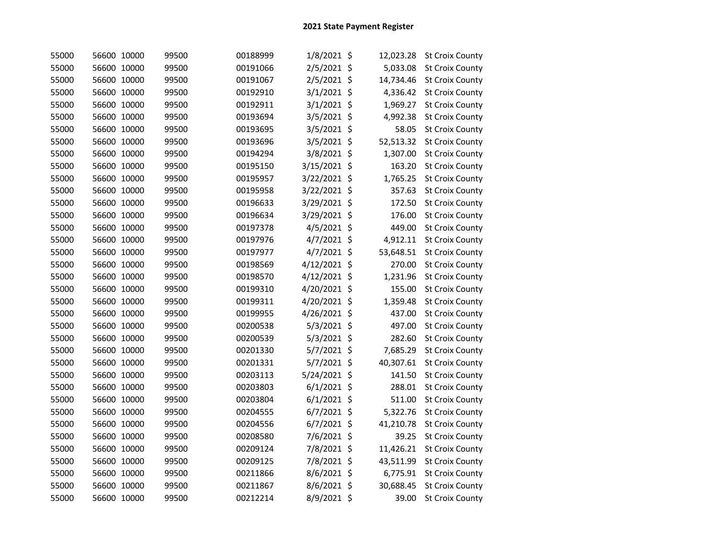| 55000 | 56600 10000 | 99500 | 00188999 | 1/8/2021 \$   | 12,023.28      | <b>St Croix County</b> |
|-------|-------------|-------|----------|---------------|----------------|------------------------|
| 55000 | 56600 10000 | 99500 | 00191066 | 2/5/2021 \$   | 5,033.08       | <b>St Croix County</b> |
| 55000 | 56600 10000 | 99500 | 00191067 | 2/5/2021 \$   | 14,734.46      | <b>St Croix County</b> |
| 55000 | 56600 10000 | 99500 | 00192910 | 3/1/2021 \$   | 4,336.42       | <b>St Croix County</b> |
| 55000 | 56600 10000 | 99500 | 00192911 | 3/1/2021 \$   | 1,969.27       | <b>St Croix County</b> |
| 55000 | 56600 10000 | 99500 | 00193694 | 3/5/2021      | \$<br>4,992.38 | <b>St Croix County</b> |
| 55000 | 56600 10000 | 99500 | 00193695 | 3/5/2021 \$   | 58.05          | <b>St Croix County</b> |
| 55000 | 56600 10000 | 99500 | 00193696 | 3/5/2021 \$   | 52,513.32      | <b>St Croix County</b> |
| 55000 | 56600 10000 | 99500 | 00194294 | 3/8/2021 \$   | 1,307.00       | <b>St Croix County</b> |
| 55000 | 56600 10000 | 99500 | 00195150 | 3/15/2021 \$  | 163.20         | <b>St Croix County</b> |
| 55000 | 56600 10000 | 99500 | 00195957 | 3/22/2021 \$  | 1,765.25       | <b>St Croix County</b> |
| 55000 | 56600 10000 | 99500 | 00195958 | 3/22/2021 \$  | 357.63         | <b>St Croix County</b> |
| 55000 | 56600 10000 | 99500 | 00196633 | 3/29/2021 \$  | 172.50         | <b>St Croix County</b> |
| 55000 | 56600 10000 | 99500 | 00196634 | 3/29/2021 \$  | 176.00         | <b>St Croix County</b> |
| 55000 | 56600 10000 | 99500 | 00197378 | 4/5/2021 \$   | 449.00         | <b>St Croix County</b> |
| 55000 | 56600 10000 | 99500 | 00197976 | 4/7/2021 \$   | 4,912.11       | <b>St Croix County</b> |
| 55000 | 56600 10000 | 99500 | 00197977 | 4/7/2021 \$   | 53,648.51      | <b>St Croix County</b> |
| 55000 | 56600 10000 | 99500 | 00198569 | 4/12/2021 \$  | 270.00         | <b>St Croix County</b> |
| 55000 | 56600 10000 | 99500 | 00198570 | 4/12/2021 \$  | 1,231.96       | <b>St Croix County</b> |
| 55000 | 56600 10000 | 99500 | 00199310 | 4/20/2021 \$  | 155.00         | <b>St Croix County</b> |
| 55000 | 56600 10000 | 99500 | 00199311 | 4/20/2021     | \$<br>1,359.48 | <b>St Croix County</b> |
| 55000 | 56600 10000 | 99500 | 00199955 | 4/26/2021 \$  | 437.00         | <b>St Croix County</b> |
| 55000 | 56600 10000 | 99500 | 00200538 | 5/3/2021 \$   | 497.00         | <b>St Croix County</b> |
| 55000 | 56600 10000 | 99500 | 00200539 | 5/3/2021 \$   | 282.60         | <b>St Croix County</b> |
| 55000 | 56600 10000 | 99500 | 00201330 | 5/7/2021 \$   | 7,685.29       | <b>St Croix County</b> |
| 55000 | 56600 10000 | 99500 | 00201331 | 5/7/2021 \$   | 40,307.61      | <b>St Croix County</b> |
| 55000 | 56600 10000 | 99500 | 00203113 | 5/24/2021 \$  | 141.50         | <b>St Croix County</b> |
| 55000 | 56600 10000 | 99500 | 00203803 | $6/1/2021$ \$ | 288.01         | <b>St Croix County</b> |
| 55000 | 56600 10000 | 99500 | 00203804 | $6/1/2021$ \$ | 511.00         | <b>St Croix County</b> |
| 55000 | 56600 10000 | 99500 | 00204555 | 6/7/2021 \$   | 5,322.76       | <b>St Croix County</b> |
| 55000 | 56600 10000 | 99500 | 00204556 | 6/7/2021 \$   | 41,210.78      | <b>St Croix County</b> |
| 55000 | 56600 10000 | 99500 | 00208580 | 7/6/2021 \$   | 39.25          | <b>St Croix County</b> |
| 55000 | 56600 10000 | 99500 | 00209124 | 7/8/2021 \$   | 11,426.21      | <b>St Croix County</b> |
| 55000 | 56600 10000 | 99500 | 00209125 | 7/8/2021 \$   | 43,511.99      | <b>St Croix County</b> |
| 55000 | 56600 10000 | 99500 | 00211866 | 8/6/2021 \$   | 6,775.91       | <b>St Croix County</b> |
| 55000 | 56600 10000 | 99500 | 00211867 | 8/6/2021 \$   | 30,688.45      | <b>St Croix County</b> |
| 55000 | 56600 10000 | 99500 | 00212214 | 8/9/2021 \$   | 39.00          | <b>St Croix County</b> |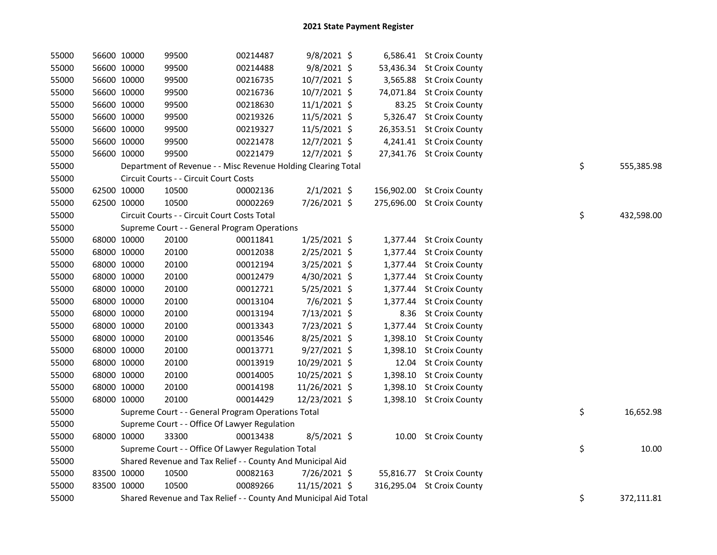| 55000 |             | 56600 10000 | 99500                                                            | 00214487 | $9/8/2021$ \$  |          | 6,586.41 St Croix County   |    |            |
|-------|-------------|-------------|------------------------------------------------------------------|----------|----------------|----------|----------------------------|----|------------|
| 55000 |             | 56600 10000 | 99500                                                            | 00214488 | $9/8/2021$ \$  |          | 53,436.34 St Croix County  |    |            |
| 55000 |             | 56600 10000 | 99500                                                            | 00216735 | 10/7/2021 \$   |          | 3,565.88 St Croix County   |    |            |
| 55000 |             | 56600 10000 | 99500                                                            | 00216736 | 10/7/2021 \$   |          | 74,071.84 St Croix County  |    |            |
| 55000 |             | 56600 10000 | 99500                                                            | 00218630 | $11/1/2021$ \$ |          | 83.25 St Croix County      |    |            |
| 55000 |             | 56600 10000 | 99500                                                            | 00219326 | 11/5/2021 \$   |          | 5,326.47 St Croix County   |    |            |
| 55000 |             | 56600 10000 | 99500                                                            | 00219327 | $11/5/2021$ \$ |          | 26,353.51 St Croix County  |    |            |
| 55000 |             | 56600 10000 | 99500                                                            | 00221478 | 12/7/2021 \$   |          | 4,241.41 St Croix County   |    |            |
| 55000 |             | 56600 10000 | 99500                                                            | 00221479 | 12/7/2021 \$   |          | 27,341.76 St Croix County  |    |            |
| 55000 |             |             | Department of Revenue - - Misc Revenue Holding Clearing Total    |          |                |          |                            | \$ | 555,385.98 |
| 55000 |             |             | Circuit Courts - - Circuit Court Costs                           |          |                |          |                            |    |            |
| 55000 |             | 62500 10000 | 10500                                                            | 00002136 | $2/1/2021$ \$  |          | 156,902.00 St Croix County |    |            |
| 55000 |             | 62500 10000 | 10500                                                            | 00002269 | 7/26/2021 \$   |          | 275,696.00 St Croix County |    |            |
| 55000 |             |             | Circuit Courts - - Circuit Court Costs Total                     |          |                |          |                            | \$ | 432,598.00 |
| 55000 |             |             | Supreme Court - - General Program Operations                     |          |                |          |                            |    |            |
| 55000 |             | 68000 10000 | 20100                                                            | 00011841 | $1/25/2021$ \$ |          | 1,377.44 St Croix County   |    |            |
| 55000 |             | 68000 10000 | 20100                                                            | 00012038 | 2/25/2021 \$   |          | 1,377.44 St Croix County   |    |            |
| 55000 |             | 68000 10000 | 20100                                                            | 00012194 | 3/25/2021 \$   |          | 1,377.44 St Croix County   |    |            |
| 55000 |             | 68000 10000 | 20100                                                            | 00012479 | 4/30/2021 \$   |          | 1,377.44 St Croix County   |    |            |
| 55000 |             | 68000 10000 | 20100                                                            | 00012721 | $5/25/2021$ \$ | 1,377.44 | <b>St Croix County</b>     |    |            |
| 55000 |             | 68000 10000 | 20100                                                            | 00013104 | 7/6/2021 \$    | 1,377.44 | <b>St Croix County</b>     |    |            |
| 55000 |             | 68000 10000 | 20100                                                            | 00013194 | 7/13/2021 \$   | 8.36     | <b>St Croix County</b>     |    |            |
| 55000 |             | 68000 10000 | 20100                                                            | 00013343 | 7/23/2021 \$   | 1,377.44 | <b>St Croix County</b>     |    |            |
| 55000 |             | 68000 10000 | 20100                                                            | 00013546 | 8/25/2021 \$   | 1,398.10 | <b>St Croix County</b>     |    |            |
| 55000 |             | 68000 10000 | 20100                                                            | 00013771 | $9/27/2021$ \$ | 1,398.10 | <b>St Croix County</b>     |    |            |
| 55000 |             | 68000 10000 | 20100                                                            | 00013919 | 10/29/2021 \$  | 12.04    | <b>St Croix County</b>     |    |            |
| 55000 |             | 68000 10000 | 20100                                                            | 00014005 | 10/25/2021 \$  |          | 1,398.10 St Croix County   |    |            |
| 55000 | 68000 10000 |             | 20100                                                            | 00014198 | 11/26/2021 \$  |          | 1,398.10 St Croix County   |    |            |
| 55000 |             | 68000 10000 | 20100                                                            | 00014429 | 12/23/2021 \$  |          | 1,398.10 St Croix County   |    |            |
| 55000 |             |             | Supreme Court - - General Program Operations Total               |          |                |          |                            | \$ | 16,652.98  |
| 55000 |             |             | Supreme Court - - Office Of Lawyer Regulation                    |          |                |          |                            |    |            |
| 55000 |             | 68000 10000 | 33300                                                            | 00013438 | $8/5/2021$ \$  |          | 10.00 St Croix County      |    |            |
| 55000 |             |             | Supreme Court - - Office Of Lawyer Regulation Total              |          |                |          |                            | \$ | 10.00      |
| 55000 |             |             | Shared Revenue and Tax Relief - - County And Municipal Aid       |          |                |          |                            |    |            |
| 55000 |             | 83500 10000 | 10500                                                            | 00082163 | 7/26/2021 \$   |          | 55,816.77 St Croix County  |    |            |
| 55000 |             | 83500 10000 | 10500                                                            | 00089266 | 11/15/2021 \$  |          | 316,295.04 St Croix County |    |            |
| 55000 |             |             | Shared Revenue and Tax Relief - - County And Municipal Aid Total |          |                |          |                            | \$ | 372,111.81 |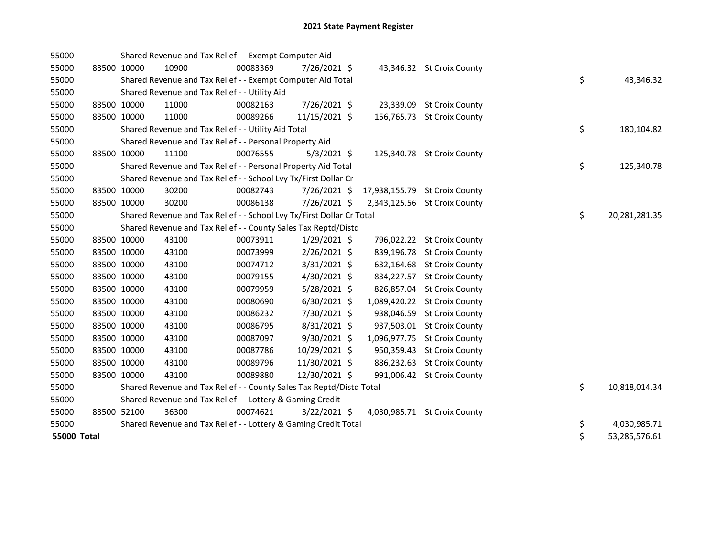| 55000       |             | Shared Revenue and Tax Relief - - Exempt Computer Aid                 |          |                |  |                               |    |               |
|-------------|-------------|-----------------------------------------------------------------------|----------|----------------|--|-------------------------------|----|---------------|
| 55000       | 83500 10000 | 10900                                                                 | 00083369 | 7/26/2021 \$   |  | 43,346.32 St Croix County     |    |               |
| 55000       |             | Shared Revenue and Tax Relief - - Exempt Computer Aid Total           |          |                |  |                               | \$ | 43,346.32     |
| 55000       |             | Shared Revenue and Tax Relief - - Utility Aid                         |          |                |  |                               |    |               |
| 55000       | 83500 10000 | 11000                                                                 | 00082163 | 7/26/2021 \$   |  | 23,339.09 St Croix County     |    |               |
| 55000       | 83500 10000 | 11000                                                                 | 00089266 | 11/15/2021 \$  |  | 156,765.73 St Croix County    |    |               |
| 55000       |             | Shared Revenue and Tax Relief - - Utility Aid Total                   |          |                |  |                               | \$ | 180,104.82    |
| 55000       |             | Shared Revenue and Tax Relief - - Personal Property Aid               |          |                |  |                               |    |               |
| 55000       | 83500 10000 | 11100                                                                 | 00076555 | $5/3/2021$ \$  |  | 125,340.78 St Croix County    |    |               |
| 55000       |             | Shared Revenue and Tax Relief - - Personal Property Aid Total         |          |                |  |                               | \$ | 125,340.78    |
| 55000       |             | Shared Revenue and Tax Relief - - School Lvy Tx/First Dollar Cr       |          |                |  |                               |    |               |
| 55000       | 83500 10000 | 30200                                                                 | 00082743 | 7/26/2021 \$   |  | 17,938,155.79 St Croix County |    |               |
| 55000       | 83500 10000 | 30200                                                                 | 00086138 | 7/26/2021 \$   |  | 2,343,125.56 St Croix County  |    |               |
| 55000       |             | Shared Revenue and Tax Relief - - School Lvy Tx/First Dollar Cr Total |          |                |  |                               | \$ | 20,281,281.35 |
| 55000       |             | Shared Revenue and Tax Relief - - County Sales Tax Reptd/Distd        |          |                |  |                               |    |               |
| 55000       | 83500 10000 | 43100                                                                 | 00073911 | $1/29/2021$ \$ |  | 796,022.22 St Croix County    |    |               |
| 55000       | 83500 10000 | 43100                                                                 | 00073999 | $2/26/2021$ \$ |  | 839,196.78 St Croix County    |    |               |
| 55000       | 83500 10000 | 43100                                                                 | 00074712 | $3/31/2021$ \$ |  | 632,164.68 St Croix County    |    |               |
| 55000       | 83500 10000 | 43100                                                                 | 00079155 | $4/30/2021$ \$ |  | 834,227.57 St Croix County    |    |               |
| 55000       | 83500 10000 | 43100                                                                 | 00079959 | 5/28/2021 \$   |  | 826,857.04 St Croix County    |    |               |
| 55000       | 83500 10000 | 43100                                                                 | 00080690 | $6/30/2021$ \$ |  | 1,089,420.22 St Croix County  |    |               |
| 55000       | 83500 10000 | 43100                                                                 | 00086232 | 7/30/2021 \$   |  | 938,046.59 St Croix County    |    |               |
| 55000       | 83500 10000 | 43100                                                                 | 00086795 | 8/31/2021 \$   |  | 937,503.01 St Croix County    |    |               |
| 55000       | 83500 10000 | 43100                                                                 | 00087097 | 9/30/2021 \$   |  | 1,096,977.75 St Croix County  |    |               |
| 55000       | 83500 10000 | 43100                                                                 | 00087786 | 10/29/2021 \$  |  | 950,359.43 St Croix County    |    |               |
| 55000       | 83500 10000 | 43100                                                                 | 00089796 | 11/30/2021 \$  |  | 886,232.63 St Croix County    |    |               |
| 55000       | 83500 10000 | 43100                                                                 | 00089880 | 12/30/2021 \$  |  | 991,006.42 St Croix County    |    |               |
| 55000       |             | Shared Revenue and Tax Relief - - County Sales Tax Reptd/Distd Total  |          |                |  |                               | \$ | 10,818,014.34 |
| 55000       |             | Shared Revenue and Tax Relief - - Lottery & Gaming Credit             |          |                |  |                               |    |               |
| 55000       | 83500 52100 | 36300                                                                 | 00074621 | $3/22/2021$ \$ |  | 4,030,985.71 St Croix County  |    |               |
| 55000       |             | Shared Revenue and Tax Relief - - Lottery & Gaming Credit Total       |          |                |  |                               | \$ | 4,030,985.71  |
| 55000 Total |             |                                                                       |          |                |  |                               | \$ | 53,285,576.61 |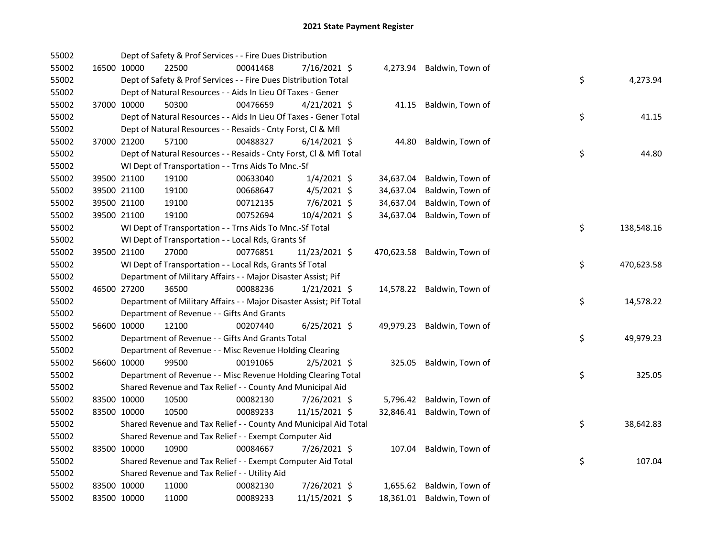| 55002 |             |             | Dept of Safety & Prof Services - - Fire Dues Distribution           |          |                |            |                            |    |            |
|-------|-------------|-------------|---------------------------------------------------------------------|----------|----------------|------------|----------------------------|----|------------|
| 55002 |             | 16500 10000 | 22500                                                               | 00041468 | 7/16/2021 \$   |            | 4,273.94 Baldwin, Town of  |    |            |
| 55002 |             |             | Dept of Safety & Prof Services - - Fire Dues Distribution Total     |          |                |            |                            | \$ | 4,273.94   |
| 55002 |             |             | Dept of Natural Resources - - Aids In Lieu Of Taxes - Gener         |          |                |            |                            |    |            |
| 55002 |             | 37000 10000 | 50300                                                               | 00476659 | $4/21/2021$ \$ | 41.15      | Baldwin, Town of           |    |            |
| 55002 |             |             | Dept of Natural Resources - - Aids In Lieu Of Taxes - Gener Total   |          |                |            |                            | \$ | 41.15      |
| 55002 |             |             | Dept of Natural Resources - - Resaids - Cnty Forst, Cl & Mfl        |          |                |            |                            |    |            |
| 55002 |             | 37000 21200 | 57100                                                               | 00488327 | $6/14/2021$ \$ | 44.80      | Baldwin, Town of           |    |            |
| 55002 |             |             | Dept of Natural Resources - - Resaids - Cnty Forst, Cl & Mfl Total  |          |                |            |                            | \$ | 44.80      |
| 55002 |             |             | WI Dept of Transportation - - Trns Aids To Mnc.-Sf                  |          |                |            |                            |    |            |
| 55002 |             | 39500 21100 | 19100                                                               | 00633040 | $1/4/2021$ \$  | 34,637.04  | Baldwin, Town of           |    |            |
| 55002 |             | 39500 21100 | 19100                                                               | 00668647 | $4/5/2021$ \$  | 34,637.04  | Baldwin, Town of           |    |            |
| 55002 |             | 39500 21100 | 19100                                                               | 00712135 | 7/6/2021 \$    | 34,637.04  | Baldwin, Town of           |    |            |
| 55002 |             | 39500 21100 | 19100                                                               | 00752694 | 10/4/2021 \$   | 34,637.04  | Baldwin, Town of           |    |            |
| 55002 |             |             | WI Dept of Transportation - - Trns Aids To Mnc.-Sf Total            |          |                |            |                            | \$ | 138,548.16 |
| 55002 |             |             | WI Dept of Transportation - - Local Rds, Grants Sf                  |          |                |            |                            |    |            |
| 55002 |             | 39500 21100 | 27000                                                               | 00776851 | 11/23/2021 \$  | 470,623.58 | Baldwin, Town of           |    |            |
| 55002 |             |             | WI Dept of Transportation - - Local Rds, Grants Sf Total            |          |                |            |                            | \$ | 470,623.58 |
| 55002 |             |             | Department of Military Affairs - - Major Disaster Assist; Pif       |          |                |            |                            |    |            |
| 55002 |             | 46500 27200 | 36500                                                               | 00088236 | $1/21/2021$ \$ |            | 14,578.22 Baldwin, Town of |    |            |
| 55002 |             |             | Department of Military Affairs - - Major Disaster Assist; Pif Total |          |                |            |                            | \$ | 14,578.22  |
| 55002 |             |             | Department of Revenue - - Gifts And Grants                          |          |                |            |                            |    |            |
| 55002 |             | 56600 10000 | 12100                                                               | 00207440 | $6/25/2021$ \$ |            | 49,979.23 Baldwin, Town of |    |            |
| 55002 |             |             | Department of Revenue - - Gifts And Grants Total                    |          |                |            |                            | \$ | 49,979.23  |
| 55002 |             |             | Department of Revenue - - Misc Revenue Holding Clearing             |          |                |            |                            |    |            |
| 55002 |             | 56600 10000 | 99500                                                               | 00191065 | $2/5/2021$ \$  |            | 325.05 Baldwin, Town of    |    |            |
| 55002 |             |             | Department of Revenue - - Misc Revenue Holding Clearing Total       |          |                |            |                            | \$ | 325.05     |
| 55002 |             |             | Shared Revenue and Tax Relief - - County And Municipal Aid          |          |                |            |                            |    |            |
| 55002 | 83500 10000 |             | 10500                                                               | 00082130 | 7/26/2021 \$   |            | 5,796.42 Baldwin, Town of  |    |            |
| 55002 |             | 83500 10000 | 10500                                                               | 00089233 | 11/15/2021 \$  | 32,846.41  | Baldwin, Town of           |    |            |
| 55002 |             |             | Shared Revenue and Tax Relief - - County And Municipal Aid Total    |          |                |            |                            | \$ | 38,642.83  |
| 55002 |             |             | Shared Revenue and Tax Relief - - Exempt Computer Aid               |          |                |            |                            |    |            |
| 55002 |             | 83500 10000 | 10900                                                               | 00084667 | 7/26/2021 \$   |            | 107.04 Baldwin, Town of    |    |            |
| 55002 |             |             | Shared Revenue and Tax Relief - - Exempt Computer Aid Total         |          |                |            |                            | \$ | 107.04     |
| 55002 |             |             | Shared Revenue and Tax Relief - - Utility Aid                       |          |                |            |                            |    |            |
| 55002 |             | 83500 10000 | 11000                                                               | 00082130 | 7/26/2021 \$   |            | 1,655.62 Baldwin, Town of  |    |            |
| 55002 |             | 83500 10000 | 11000                                                               | 00089233 | 11/15/2021 \$  |            | 18,361.01 Baldwin, Town of |    |            |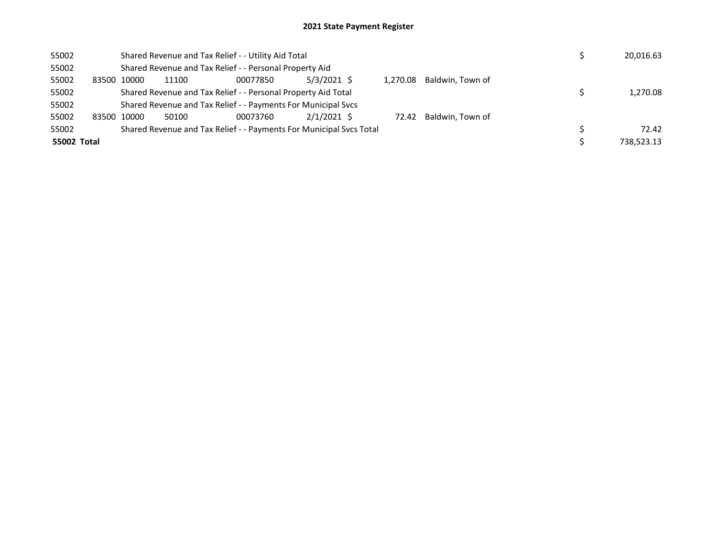| 55002       |       |       |                                                               | Shared Revenue and Tax Relief - - Utility Aid Total                 |               |          |                  | 20,016.63  |
|-------------|-------|-------|---------------------------------------------------------------|---------------------------------------------------------------------|---------------|----------|------------------|------------|
| 55002       |       |       |                                                               | Shared Revenue and Tax Relief - - Personal Property Aid             |               |          |                  |            |
| 55002       | 83500 | 10000 | 11100                                                         | 00077850                                                            | $5/3/2021$ \$ | 1.270.08 | Baldwin. Town of |            |
| 55002       |       |       | Shared Revenue and Tax Relief - - Personal Property Aid Total | 1.270.08                                                            |               |          |                  |            |
| 55002       |       |       |                                                               | Shared Revenue and Tax Relief - - Payments For Municipal Svcs       |               |          |                  |            |
| 55002       | 83500 | 10000 | 50100                                                         | 00073760                                                            | $2/1/2021$ \$ | 72.42    | Baldwin. Town of |            |
| 55002       |       |       |                                                               | Shared Revenue and Tax Relief - - Payments For Municipal Svcs Total |               |          |                  | 72.42      |
| 55002 Total |       |       |                                                               |                                                                     |               |          |                  | 738.523.13 |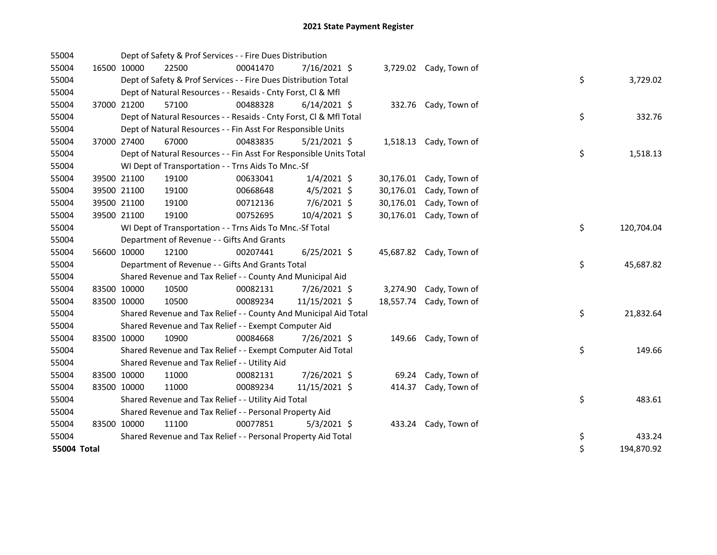| 55004       |             |             | Dept of Safety & Prof Services - - Fire Dues Distribution          |          |                |        |                         |    |            |
|-------------|-------------|-------------|--------------------------------------------------------------------|----------|----------------|--------|-------------------------|----|------------|
| 55004       |             | 16500 10000 | 22500                                                              | 00041470 | 7/16/2021 \$   |        | 3,729.02 Cady, Town of  |    |            |
| 55004       |             |             | Dept of Safety & Prof Services - - Fire Dues Distribution Total    |          |                |        |                         | \$ | 3,729.02   |
| 55004       |             |             | Dept of Natural Resources - - Resaids - Cnty Forst, Cl & Mfl       |          |                |        |                         |    |            |
| 55004       |             | 37000 21200 | 57100                                                              | 00488328 | $6/14/2021$ \$ |        | 332.76 Cady, Town of    |    |            |
| 55004       |             |             | Dept of Natural Resources - - Resaids - Cnty Forst, CI & Mfl Total |          |                |        |                         | \$ | 332.76     |
| 55004       |             |             | Dept of Natural Resources - - Fin Asst For Responsible Units       |          |                |        |                         |    |            |
| 55004       |             | 37000 27400 | 67000                                                              | 00483835 | $5/21/2021$ \$ |        | 1,518.13 Cady, Town of  |    |            |
| 55004       |             |             | Dept of Natural Resources - - Fin Asst For Responsible Units Total |          |                |        |                         | \$ | 1,518.13   |
| 55004       |             |             | WI Dept of Transportation - - Trns Aids To Mnc.-Sf                 |          |                |        |                         |    |            |
| 55004       |             | 39500 21100 | 19100                                                              | 00633041 | $1/4/2021$ \$  |        | 30,176.01 Cady, Town of |    |            |
| 55004       |             | 39500 21100 | 19100                                                              | 00668648 | $4/5/2021$ \$  |        | 30,176.01 Cady, Town of |    |            |
| 55004       |             | 39500 21100 | 19100                                                              | 00712136 | 7/6/2021 \$    |        | 30,176.01 Cady, Town of |    |            |
| 55004       |             | 39500 21100 | 19100                                                              | 00752695 | 10/4/2021 \$   |        | 30,176.01 Cady, Town of |    |            |
| 55004       |             |             | WI Dept of Transportation - - Trns Aids To Mnc.-Sf Total           |          |                |        |                         | \$ | 120,704.04 |
| 55004       |             |             | Department of Revenue - - Gifts And Grants                         |          |                |        |                         |    |            |
| 55004       |             | 56600 10000 | 12100                                                              | 00207441 | $6/25/2021$ \$ |        | 45,687.82 Cady, Town of |    |            |
| 55004       |             |             | Department of Revenue - - Gifts And Grants Total                   |          |                |        |                         | \$ | 45,687.82  |
| 55004       |             |             | Shared Revenue and Tax Relief - - County And Municipal Aid         |          |                |        |                         |    |            |
| 55004       | 83500 10000 |             | 10500                                                              | 00082131 | 7/26/2021 \$   |        | 3,274.90 Cady, Town of  |    |            |
| 55004       | 83500 10000 |             | 10500                                                              | 00089234 | 11/15/2021 \$  |        | 18,557.74 Cady, Town of |    |            |
| 55004       |             |             | Shared Revenue and Tax Relief - - County And Municipal Aid Total   |          |                |        |                         | \$ | 21,832.64  |
| 55004       |             |             | Shared Revenue and Tax Relief - - Exempt Computer Aid              |          |                |        |                         |    |            |
| 55004       | 83500 10000 |             | 10900                                                              | 00084668 | 7/26/2021 \$   |        | 149.66 Cady, Town of    |    |            |
| 55004       |             |             | Shared Revenue and Tax Relief - - Exempt Computer Aid Total        |          |                |        |                         | \$ | 149.66     |
| 55004       |             |             | Shared Revenue and Tax Relief - - Utility Aid                      |          |                |        |                         |    |            |
| 55004       | 83500 10000 |             | 11000                                                              | 00082131 | 7/26/2021 \$   |        | 69.24 Cady, Town of     |    |            |
| 55004       | 83500 10000 |             | 11000                                                              | 00089234 | 11/15/2021 \$  | 414.37 | Cady, Town of           |    |            |
| 55004       |             |             | Shared Revenue and Tax Relief - - Utility Aid Total                |          |                |        |                         | \$ | 483.61     |
| 55004       |             |             | Shared Revenue and Tax Relief - - Personal Property Aid            |          |                |        |                         |    |            |
| 55004       | 83500 10000 |             | 11100                                                              | 00077851 | $5/3/2021$ \$  |        | 433.24 Cady, Town of    |    |            |
| 55004       |             |             | Shared Revenue and Tax Relief - - Personal Property Aid Total      |          |                |        |                         | \$ | 433.24     |
| 55004 Total |             |             |                                                                    |          |                |        |                         | \$ | 194,870.92 |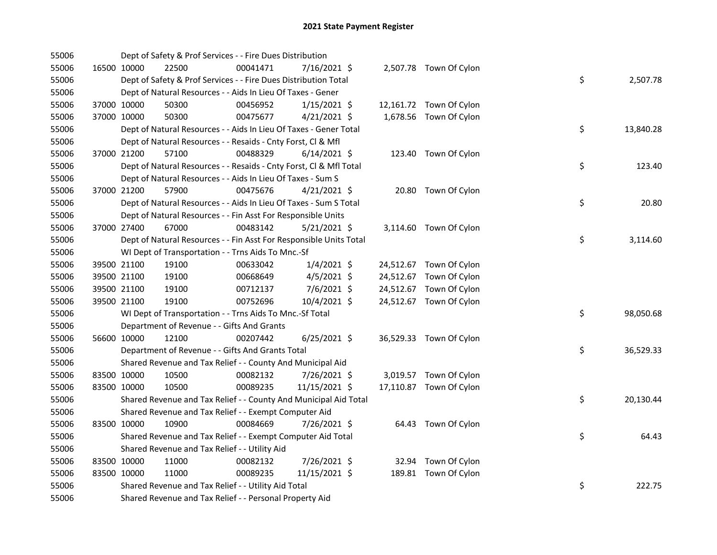| 55006 |             | Dept of Safety & Prof Services - - Fire Dues Distribution          |          |                |  |                         |    |           |
|-------|-------------|--------------------------------------------------------------------|----------|----------------|--|-------------------------|----|-----------|
| 55006 | 16500 10000 | 22500                                                              | 00041471 | 7/16/2021 \$   |  | 2,507.78 Town Of Cylon  |    |           |
| 55006 |             | Dept of Safety & Prof Services - - Fire Dues Distribution Total    |          |                |  |                         | \$ | 2,507.78  |
| 55006 |             | Dept of Natural Resources - - Aids In Lieu Of Taxes - Gener        |          |                |  |                         |    |           |
| 55006 | 37000 10000 | 50300                                                              | 00456952 | $1/15/2021$ \$ |  | 12,161.72 Town Of Cylon |    |           |
| 55006 | 37000 10000 | 50300                                                              | 00475677 | $4/21/2021$ \$ |  | 1,678.56 Town Of Cylon  |    |           |
| 55006 |             | Dept of Natural Resources - - Aids In Lieu Of Taxes - Gener Total  |          |                |  |                         | \$ | 13,840.28 |
| 55006 |             | Dept of Natural Resources - - Resaids - Cnty Forst, Cl & Mfl       |          |                |  |                         |    |           |
| 55006 | 37000 21200 | 57100                                                              | 00488329 | $6/14/2021$ \$ |  | 123.40 Town Of Cylon    |    |           |
| 55006 |             | Dept of Natural Resources - - Resaids - Cnty Forst, Cl & Mfl Total |          |                |  |                         | \$ | 123.40    |
| 55006 |             | Dept of Natural Resources - - Aids In Lieu Of Taxes - Sum S        |          |                |  |                         |    |           |
| 55006 | 37000 21200 | 57900                                                              | 00475676 | $4/21/2021$ \$ |  | 20.80 Town Of Cylon     |    |           |
| 55006 |             | Dept of Natural Resources - - Aids In Lieu Of Taxes - Sum S Total  |          |                |  |                         | \$ | 20.80     |
| 55006 |             | Dept of Natural Resources - - Fin Asst For Responsible Units       |          |                |  |                         |    |           |
| 55006 | 37000 27400 | 67000                                                              | 00483142 | $5/21/2021$ \$ |  | 3,114.60 Town Of Cylon  |    |           |
| 55006 |             | Dept of Natural Resources - - Fin Asst For Responsible Units Total |          |                |  |                         | \$ | 3,114.60  |
| 55006 |             | WI Dept of Transportation - - Trns Aids To Mnc.-Sf                 |          |                |  |                         |    |           |
| 55006 | 39500 21100 | 19100                                                              | 00633042 | $1/4/2021$ \$  |  | 24,512.67 Town Of Cylon |    |           |
| 55006 | 39500 21100 | 19100                                                              | 00668649 | $4/5/2021$ \$  |  | 24,512.67 Town Of Cylon |    |           |
| 55006 | 39500 21100 | 19100                                                              | 00712137 | $7/6/2021$ \$  |  | 24,512.67 Town Of Cylon |    |           |
| 55006 | 39500 21100 | 19100                                                              | 00752696 | 10/4/2021 \$   |  | 24,512.67 Town Of Cylon |    |           |
| 55006 |             | WI Dept of Transportation - - Trns Aids To Mnc.-Sf Total           |          |                |  |                         | \$ | 98,050.68 |
| 55006 |             | Department of Revenue - - Gifts And Grants                         |          |                |  |                         |    |           |
| 55006 | 56600 10000 | 12100                                                              | 00207442 | $6/25/2021$ \$ |  | 36,529.33 Town Of Cylon |    |           |
| 55006 |             | Department of Revenue - - Gifts And Grants Total                   |          |                |  |                         | \$ | 36,529.33 |
| 55006 |             | Shared Revenue and Tax Relief - - County And Municipal Aid         |          |                |  |                         |    |           |
| 55006 | 83500 10000 | 10500                                                              | 00082132 | 7/26/2021 \$   |  | 3,019.57 Town Of Cylon  |    |           |
| 55006 | 83500 10000 | 10500                                                              | 00089235 | 11/15/2021 \$  |  | 17,110.87 Town Of Cylon |    |           |
| 55006 |             | Shared Revenue and Tax Relief - - County And Municipal Aid Total   |          |                |  |                         | \$ | 20,130.44 |
| 55006 |             | Shared Revenue and Tax Relief - - Exempt Computer Aid              |          |                |  |                         |    |           |
| 55006 | 83500 10000 | 10900                                                              | 00084669 | 7/26/2021 \$   |  | 64.43 Town Of Cylon     |    |           |
| 55006 |             | Shared Revenue and Tax Relief - - Exempt Computer Aid Total        |          |                |  |                         | \$ | 64.43     |
| 55006 |             | Shared Revenue and Tax Relief - - Utility Aid                      |          |                |  |                         |    |           |
| 55006 | 83500 10000 | 11000                                                              | 00082132 | 7/26/2021 \$   |  | 32.94 Town Of Cylon     |    |           |
| 55006 | 83500 10000 | 11000                                                              | 00089235 | 11/15/2021 \$  |  | 189.81 Town Of Cylon    |    |           |
| 55006 |             | Shared Revenue and Tax Relief - - Utility Aid Total                |          |                |  |                         | \$ | 222.75    |
| 55006 |             | Shared Revenue and Tax Relief - - Personal Property Aid            |          |                |  |                         |    |           |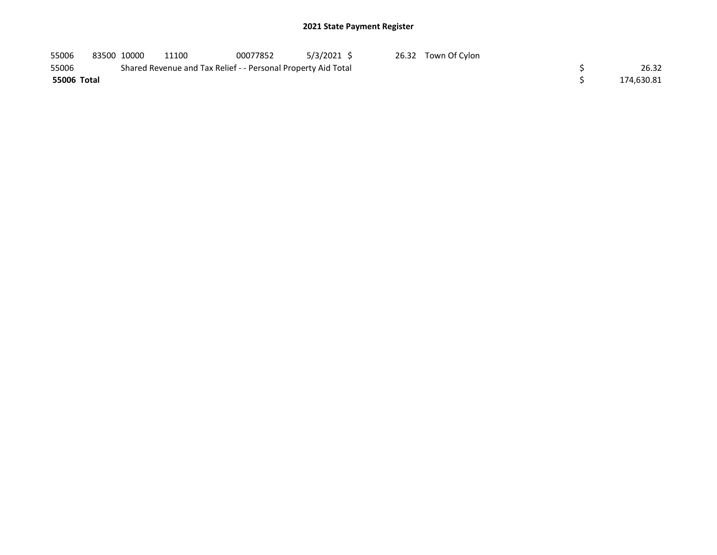| 55006       | 83500 10000 | 11100                                                         | 00077852 | 5/3/2021 \$ | 26.32 Town Of Cylon |            |
|-------------|-------------|---------------------------------------------------------------|----------|-------------|---------------------|------------|
| 55006       |             | Shared Revenue and Tax Relief - - Personal Property Aid Total |          |             |                     | 26.32      |
| 55006 Total |             |                                                               |          |             |                     | 174,630.81 |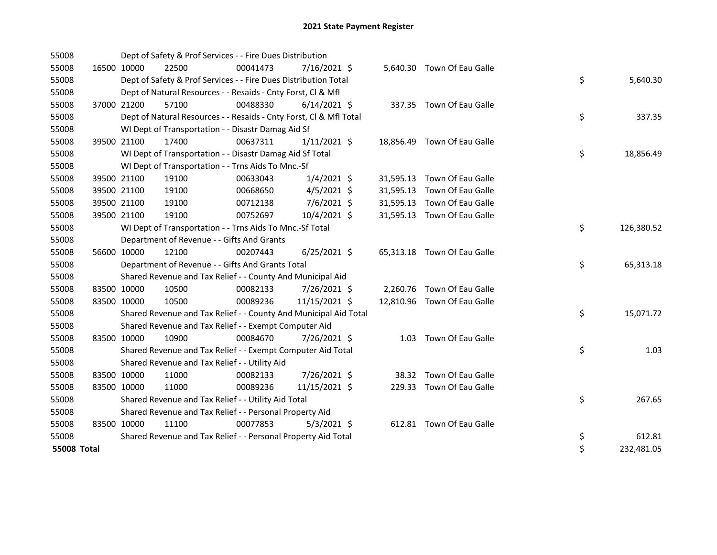| 55008       |             |             | Dept of Safety & Prof Services - - Fire Dues Distribution          |          |                |  |                             |    |            |
|-------------|-------------|-------------|--------------------------------------------------------------------|----------|----------------|--|-----------------------------|----|------------|
| 55008       | 16500 10000 |             | 22500                                                              | 00041473 | 7/16/2021 \$   |  | 5,640.30 Town Of Eau Galle  |    |            |
| 55008       |             |             | Dept of Safety & Prof Services - - Fire Dues Distribution Total    |          |                |  |                             | \$ | 5,640.30   |
| 55008       |             |             | Dept of Natural Resources - - Resaids - Cnty Forst, Cl & Mfl       |          |                |  |                             |    |            |
| 55008       |             | 37000 21200 | 57100                                                              | 00488330 | $6/14/2021$ \$ |  | 337.35 Town Of Eau Galle    |    |            |
| 55008       |             |             | Dept of Natural Resources - - Resaids - Cnty Forst, CI & Mfl Total |          |                |  |                             | \$ | 337.35     |
| 55008       |             |             | WI Dept of Transportation - - Disastr Damag Aid Sf                 |          |                |  |                             |    |            |
| 55008       | 39500 21100 |             | 17400                                                              | 00637311 | $1/11/2021$ \$ |  | 18,856.49 Town Of Eau Galle |    |            |
| 55008       |             |             | WI Dept of Transportation - - Disastr Damag Aid Sf Total           |          |                |  |                             | \$ | 18,856.49  |
| 55008       |             |             | WI Dept of Transportation - - Trns Aids To Mnc.-Sf                 |          |                |  |                             |    |            |
| 55008       |             | 39500 21100 | 19100                                                              | 00633043 | $1/4/2021$ \$  |  | 31,595.13 Town Of Eau Galle |    |            |
| 55008       | 39500 21100 |             | 19100                                                              | 00668650 | $4/5/2021$ \$  |  | 31,595.13 Town Of Eau Galle |    |            |
| 55008       | 39500 21100 |             | 19100                                                              | 00712138 | 7/6/2021 \$    |  | 31,595.13 Town Of Eau Galle |    |            |
| 55008       | 39500 21100 |             | 19100                                                              | 00752697 | 10/4/2021 \$   |  | 31,595.13 Town Of Eau Galle |    |            |
| 55008       |             |             | WI Dept of Transportation - - Trns Aids To Mnc.-Sf Total           |          |                |  |                             | \$ | 126,380.52 |
| 55008       |             |             | Department of Revenue - - Gifts And Grants                         |          |                |  |                             |    |            |
| 55008       | 56600 10000 |             | 12100                                                              | 00207443 | $6/25/2021$ \$ |  | 65,313.18 Town Of Eau Galle |    |            |
| 55008       |             |             | Department of Revenue - - Gifts And Grants Total                   |          |                |  |                             | \$ | 65,313.18  |
| 55008       |             |             | Shared Revenue and Tax Relief - - County And Municipal Aid         |          |                |  |                             |    |            |
| 55008       | 83500 10000 |             | 10500                                                              | 00082133 | 7/26/2021 \$   |  | 2,260.76 Town Of Eau Galle  |    |            |
| 55008       | 83500 10000 |             | 10500                                                              | 00089236 | 11/15/2021 \$  |  | 12,810.96 Town Of Eau Galle |    |            |
| 55008       |             |             | Shared Revenue and Tax Relief - - County And Municipal Aid Total   |          |                |  |                             | \$ | 15,071.72  |
| 55008       |             |             | Shared Revenue and Tax Relief - - Exempt Computer Aid              |          |                |  |                             |    |            |
| 55008       | 83500 10000 |             | 10900                                                              | 00084670 | 7/26/2021 \$   |  | 1.03 Town Of Eau Galle      |    |            |
| 55008       |             |             | Shared Revenue and Tax Relief - - Exempt Computer Aid Total        |          |                |  |                             | \$ | 1.03       |
| 55008       |             |             | Shared Revenue and Tax Relief - - Utility Aid                      |          |                |  |                             |    |            |
| 55008       | 83500 10000 |             | 11000                                                              | 00082133 | 7/26/2021 \$   |  | 38.32 Town Of Eau Galle     |    |            |
| 55008       | 83500 10000 |             | 11000                                                              | 00089236 | 11/15/2021 \$  |  | 229.33 Town Of Eau Galle    |    |            |
| 55008       |             |             | Shared Revenue and Tax Relief - - Utility Aid Total                |          |                |  |                             | \$ | 267.65     |
| 55008       |             |             | Shared Revenue and Tax Relief - - Personal Property Aid            |          |                |  |                             |    |            |
| 55008       | 83500 10000 |             | 11100                                                              | 00077853 | $5/3/2021$ \$  |  | 612.81 Town Of Eau Galle    |    |            |
| 55008       |             |             | Shared Revenue and Tax Relief - - Personal Property Aid Total      |          |                |  |                             | \$ | 612.81     |
| 55008 Total |             |             |                                                                    |          |                |  |                             | \$ | 232,481.05 |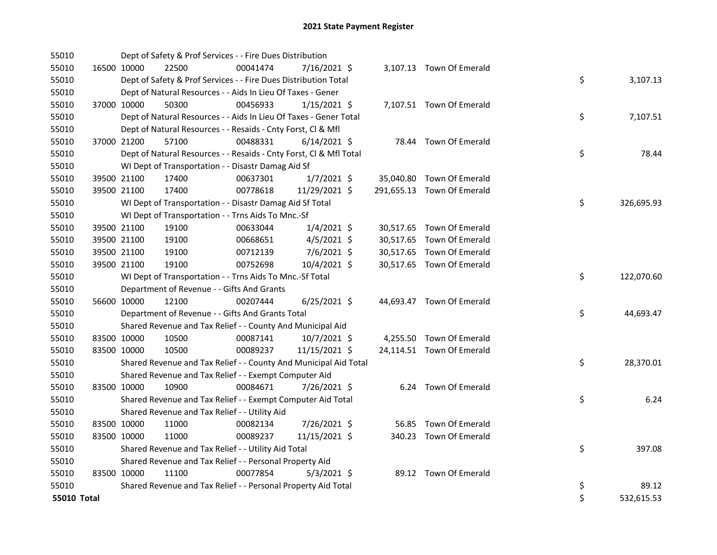| 55010       |             |             | Dept of Safety & Prof Services - - Fire Dues Distribution          |          |                |  |                            |    |            |
|-------------|-------------|-------------|--------------------------------------------------------------------|----------|----------------|--|----------------------------|----|------------|
| 55010       |             | 16500 10000 | 22500                                                              | 00041474 | 7/16/2021 \$   |  | 3,107.13 Town Of Emerald   |    |            |
| 55010       |             |             | Dept of Safety & Prof Services - - Fire Dues Distribution Total    |          |                |  |                            | \$ | 3,107.13   |
| 55010       |             |             | Dept of Natural Resources - - Aids In Lieu Of Taxes - Gener        |          |                |  |                            |    |            |
| 55010       |             | 37000 10000 | 50300                                                              | 00456933 | $1/15/2021$ \$ |  | 7,107.51 Town Of Emerald   |    |            |
| 55010       |             |             | Dept of Natural Resources - - Aids In Lieu Of Taxes - Gener Total  |          |                |  |                            | \$ | 7,107.51   |
| 55010       |             |             | Dept of Natural Resources - - Resaids - Cnty Forst, Cl & Mfl       |          |                |  |                            |    |            |
| 55010       | 37000 21200 |             | 57100                                                              | 00488331 | $6/14/2021$ \$ |  | 78.44 Town Of Emerald      |    |            |
| 55010       |             |             | Dept of Natural Resources - - Resaids - Cnty Forst, Cl & Mfl Total |          |                |  |                            | \$ | 78.44      |
| 55010       |             |             | WI Dept of Transportation - - Disastr Damag Aid Sf                 |          |                |  |                            |    |            |
| 55010       |             | 39500 21100 | 17400                                                              | 00637301 | $1/7/2021$ \$  |  | 35,040.80 Town Of Emerald  |    |            |
| 55010       |             | 39500 21100 | 17400                                                              | 00778618 | 11/29/2021 \$  |  | 291,655.13 Town Of Emerald |    |            |
| 55010       |             |             | WI Dept of Transportation - - Disastr Damag Aid Sf Total           |          |                |  |                            | \$ | 326,695.93 |
| 55010       |             |             | WI Dept of Transportation - - Trns Aids To Mnc.-Sf                 |          |                |  |                            |    |            |
| 55010       |             | 39500 21100 | 19100                                                              | 00633044 | $1/4/2021$ \$  |  | 30,517.65 Town Of Emerald  |    |            |
| 55010       |             | 39500 21100 | 19100                                                              | 00668651 | $4/5/2021$ \$  |  | 30,517.65 Town Of Emerald  |    |            |
| 55010       |             | 39500 21100 | 19100                                                              | 00712139 | 7/6/2021 \$    |  | 30,517.65 Town Of Emerald  |    |            |
| 55010       |             | 39500 21100 | 19100                                                              | 00752698 | 10/4/2021 \$   |  | 30,517.65 Town Of Emerald  |    |            |
| 55010       |             |             | WI Dept of Transportation - - Trns Aids To Mnc.-Sf Total           |          |                |  |                            | \$ | 122,070.60 |
| 55010       |             |             | Department of Revenue - - Gifts And Grants                         |          |                |  |                            |    |            |
| 55010       |             | 56600 10000 | 12100                                                              | 00207444 | $6/25/2021$ \$ |  | 44,693.47 Town Of Emerald  |    |            |
| 55010       |             |             | Department of Revenue - - Gifts And Grants Total                   |          |                |  |                            | \$ | 44,693.47  |
| 55010       |             |             | Shared Revenue and Tax Relief - - County And Municipal Aid         |          |                |  |                            |    |            |
| 55010       |             | 83500 10000 | 10500                                                              | 00087141 | 10/7/2021 \$   |  | 4,255.50 Town Of Emerald   |    |            |
| 55010       |             | 83500 10000 | 10500                                                              | 00089237 | 11/15/2021 \$  |  | 24,114.51 Town Of Emerald  |    |            |
| 55010       |             |             | Shared Revenue and Tax Relief - - County And Municipal Aid Total   |          |                |  |                            | \$ | 28,370.01  |
| 55010       |             |             | Shared Revenue and Tax Relief - - Exempt Computer Aid              |          |                |  |                            |    |            |
| 55010       |             | 83500 10000 | 10900                                                              | 00084671 | 7/26/2021 \$   |  | 6.24 Town Of Emerald       |    |            |
| 55010       |             |             | Shared Revenue and Tax Relief - - Exempt Computer Aid Total        |          |                |  |                            | \$ | 6.24       |
| 55010       |             |             | Shared Revenue and Tax Relief - - Utility Aid                      |          |                |  |                            |    |            |
| 55010       |             | 83500 10000 | 11000                                                              | 00082134 | 7/26/2021 \$   |  | 56.85 Town Of Emerald      |    |            |
| 55010       | 83500 10000 |             | 11000                                                              | 00089237 | 11/15/2021 \$  |  | 340.23 Town Of Emerald     |    |            |
| 55010       |             |             | Shared Revenue and Tax Relief - - Utility Aid Total                |          |                |  |                            | \$ | 397.08     |
| 55010       |             |             | Shared Revenue and Tax Relief - - Personal Property Aid            |          |                |  |                            |    |            |
| 55010       |             | 83500 10000 | 11100                                                              | 00077854 | $5/3/2021$ \$  |  | 89.12 Town Of Emerald      |    |            |
| 55010       |             |             | Shared Revenue and Tax Relief - - Personal Property Aid Total      |          |                |  |                            | \$ | 89.12      |
| 55010 Total |             |             |                                                                    |          |                |  |                            | \$ | 532,615.53 |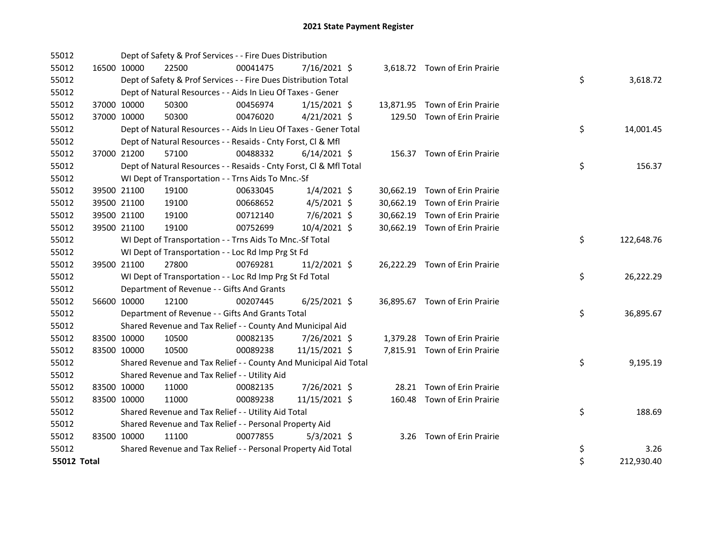| 55012              |             | Dept of Safety & Prof Services - - Fire Dues Distribution          |          |                |  |                                |    |            |
|--------------------|-------------|--------------------------------------------------------------------|----------|----------------|--|--------------------------------|----|------------|
| 55012              | 16500 10000 | 22500                                                              | 00041475 | $7/16/2021$ \$ |  | 3,618.72 Town of Erin Prairie  |    |            |
| 55012              |             | Dept of Safety & Prof Services - - Fire Dues Distribution Total    |          |                |  |                                | \$ | 3,618.72   |
| 55012              |             | Dept of Natural Resources - - Aids In Lieu Of Taxes - Gener        |          |                |  |                                |    |            |
| 55012              | 37000 10000 | 50300                                                              | 00456974 | $1/15/2021$ \$ |  | 13,871.95 Town of Erin Prairie |    |            |
| 55012              | 37000 10000 | 50300                                                              | 00476020 | $4/21/2021$ \$ |  | 129.50 Town of Erin Prairie    |    |            |
| 55012              |             | Dept of Natural Resources - - Aids In Lieu Of Taxes - Gener Total  |          |                |  |                                | \$ | 14,001.45  |
| 55012              |             | Dept of Natural Resources - - Resaids - Cnty Forst, Cl & Mfl       |          |                |  |                                |    |            |
| 55012              | 37000 21200 | 57100                                                              | 00488332 | $6/14/2021$ \$ |  | 156.37 Town of Erin Prairie    |    |            |
| 55012              |             | Dept of Natural Resources - - Resaids - Cnty Forst, Cl & Mfl Total |          |                |  |                                | \$ | 156.37     |
| 55012              |             | WI Dept of Transportation - - Trns Aids To Mnc.-Sf                 |          |                |  |                                |    |            |
| 55012              | 39500 21100 | 19100                                                              | 00633045 | $1/4/2021$ \$  |  | 30,662.19 Town of Erin Prairie |    |            |
| 55012              | 39500 21100 | 19100                                                              | 00668652 | $4/5/2021$ \$  |  | 30,662.19 Town of Erin Prairie |    |            |
| 55012              | 39500 21100 | 19100                                                              | 00712140 | 7/6/2021 \$    |  | 30,662.19 Town of Erin Prairie |    |            |
| 55012              | 39500 21100 | 19100                                                              | 00752699 | 10/4/2021 \$   |  | 30,662.19 Town of Erin Prairie |    |            |
| 55012              |             | WI Dept of Transportation - - Trns Aids To Mnc.-Sf Total           |          |                |  |                                | \$ | 122,648.76 |
| 55012              |             | WI Dept of Transportation - - Loc Rd Imp Prg St Fd                 |          |                |  |                                |    |            |
| 55012              | 39500 21100 | 27800                                                              | 00769281 | $11/2/2021$ \$ |  | 26,222.29 Town of Erin Prairie |    |            |
| 55012              |             | WI Dept of Transportation - - Loc Rd Imp Prg St Fd Total           |          |                |  |                                | \$ | 26,222.29  |
| 55012              |             | Department of Revenue - - Gifts And Grants                         |          |                |  |                                |    |            |
| 55012              | 56600 10000 | 12100                                                              | 00207445 | $6/25/2021$ \$ |  | 36,895.67 Town of Erin Prairie |    |            |
| 55012              |             | Department of Revenue - - Gifts And Grants Total                   |          |                |  |                                | \$ | 36,895.67  |
| 55012              |             | Shared Revenue and Tax Relief - - County And Municipal Aid         |          |                |  |                                |    |            |
| 55012              | 83500 10000 | 10500                                                              | 00082135 | 7/26/2021 \$   |  | 1,379.28 Town of Erin Prairie  |    |            |
| 55012              | 83500 10000 | 10500                                                              | 00089238 | 11/15/2021 \$  |  | 7,815.91 Town of Erin Prairie  |    |            |
| 55012              |             | Shared Revenue and Tax Relief - - County And Municipal Aid Total   |          |                |  |                                | \$ | 9,195.19   |
| 55012              |             | Shared Revenue and Tax Relief - - Utility Aid                      |          |                |  |                                |    |            |
| 55012              | 83500 10000 | 11000                                                              | 00082135 | 7/26/2021 \$   |  | 28.21 Town of Erin Prairie     |    |            |
| 55012              | 83500 10000 | 11000                                                              | 00089238 | 11/15/2021 \$  |  | 160.48 Town of Erin Prairie    |    |            |
| 55012              |             | Shared Revenue and Tax Relief - - Utility Aid Total                |          |                |  |                                | \$ | 188.69     |
| 55012              |             | Shared Revenue and Tax Relief - - Personal Property Aid            |          |                |  |                                |    |            |
| 55012              | 83500 10000 | 11100                                                              | 00077855 | $5/3/2021$ \$  |  | 3.26 Town of Erin Prairie      |    |            |
| 55012              |             | Shared Revenue and Tax Relief - - Personal Property Aid Total      |          |                |  |                                | \$ | 3.26       |
| <b>55012 Total</b> |             |                                                                    |          |                |  |                                | \$ | 212,930.40 |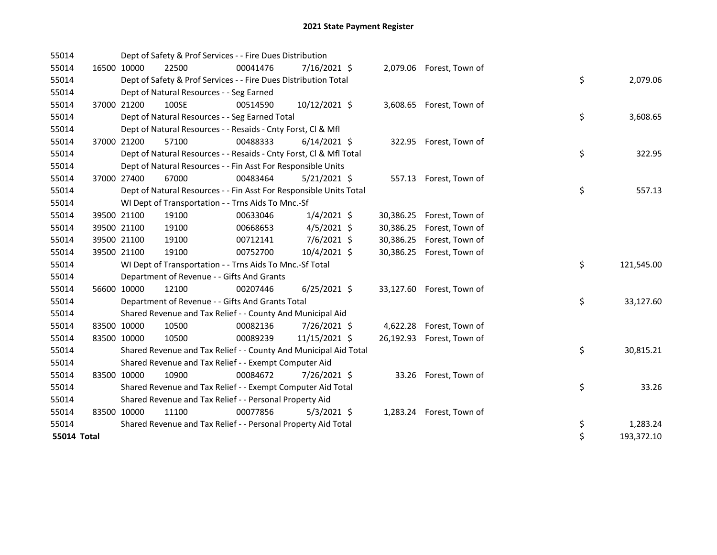| 55014       |             |                                            | Dept of Safety & Prof Services - - Fire Dues Distribution          |                |           |                           |                  |       |
|-------------|-------------|--------------------------------------------|--------------------------------------------------------------------|----------------|-----------|---------------------------|------------------|-------|
| 55014       | 16500 10000 | 22500                                      | 00041476                                                           | 7/16/2021 \$   |           | 2,079.06 Forest, Town of  |                  |       |
| 55014       |             |                                            | Dept of Safety & Prof Services - - Fire Dues Distribution Total    |                |           |                           | \$<br>2,079.06   |       |
| 55014       |             | Dept of Natural Resources - - Seg Earned   |                                                                    |                |           |                           |                  |       |
| 55014       | 37000 21200 | 100SE                                      | 00514590                                                           | 10/12/2021 \$  |           | 3,608.65 Forest, Town of  |                  |       |
| 55014       |             |                                            | Dept of Natural Resources - - Seg Earned Total                     |                |           |                           | \$<br>3,608.65   |       |
| 55014       |             |                                            | Dept of Natural Resources - - Resaids - Cnty Forst, Cl & Mfl       |                |           |                           |                  |       |
| 55014       | 37000 21200 | 57100                                      | 00488333                                                           | $6/14/2021$ \$ |           | 322.95 Forest, Town of    |                  |       |
| 55014       |             |                                            | Dept of Natural Resources - - Resaids - Cnty Forst, CI & Mfl Total |                |           |                           | \$<br>322.95     |       |
| 55014       |             |                                            | Dept of Natural Resources - - Fin Asst For Responsible Units       |                |           |                           |                  |       |
| 55014       | 37000 27400 | 67000                                      | 00483464                                                           | $5/21/2021$ \$ |           | 557.13 Forest, Town of    |                  |       |
| 55014       |             |                                            | Dept of Natural Resources - - Fin Asst For Responsible Units Total |                |           |                           | \$<br>557.13     |       |
| 55014       |             |                                            | WI Dept of Transportation - - Trns Aids To Mnc.-Sf                 |                |           |                           |                  |       |
| 55014       | 39500 21100 | 19100                                      | 00633046                                                           | $1/4/2021$ \$  | 30,386.25 | Forest, Town of           |                  |       |
| 55014       | 39500 21100 | 19100                                      | 00668653                                                           | $4/5/2021$ \$  | 30,386.25 | Forest, Town of           |                  |       |
| 55014       | 39500 21100 | 19100                                      | 00712141                                                           | 7/6/2021 \$    | 30,386.25 | Forest, Town of           |                  |       |
| 55014       | 39500 21100 | 19100                                      | 00752700                                                           | 10/4/2021 \$   |           | 30,386.25 Forest, Town of |                  |       |
| 55014       |             |                                            | WI Dept of Transportation - - Trns Aids To Mnc.-Sf Total           |                |           |                           | \$<br>121,545.00 |       |
| 55014       |             | Department of Revenue - - Gifts And Grants |                                                                    |                |           |                           |                  |       |
| 55014       | 56600 10000 | 12100                                      | 00207446                                                           | $6/25/2021$ \$ |           | 33,127.60 Forest, Town of |                  |       |
| 55014       |             |                                            | Department of Revenue - - Gifts And Grants Total                   |                |           |                           | \$<br>33,127.60  |       |
| 55014       |             |                                            | Shared Revenue and Tax Relief - - County And Municipal Aid         |                |           |                           |                  |       |
| 55014       | 83500 10000 | 10500                                      | 00082136                                                           | 7/26/2021 \$   |           | 4,622.28 Forest, Town of  |                  |       |
| 55014       | 83500 10000 | 10500                                      | 00089239                                                           | 11/15/2021 \$  |           | 26,192.93 Forest, Town of |                  |       |
| 55014       |             |                                            | Shared Revenue and Tax Relief - - County And Municipal Aid Total   |                |           |                           | \$<br>30,815.21  |       |
| 55014       |             |                                            | Shared Revenue and Tax Relief - - Exempt Computer Aid              |                |           |                           |                  |       |
| 55014       | 83500 10000 | 10900                                      | 00084672                                                           | 7/26/2021 \$   |           | 33.26 Forest, Town of     |                  |       |
| 55014       |             |                                            | Shared Revenue and Tax Relief - - Exempt Computer Aid Total        |                |           |                           | \$               | 33.26 |
| 55014       |             |                                            | Shared Revenue and Tax Relief - - Personal Property Aid            |                |           |                           |                  |       |
| 55014       | 83500 10000 | 11100                                      | 00077856                                                           | $5/3/2021$ \$  |           | 1,283.24 Forest, Town of  |                  |       |
| 55014       |             |                                            | Shared Revenue and Tax Relief - - Personal Property Aid Total      |                |           |                           | \$<br>1,283.24   |       |
| 55014 Total |             |                                            |                                                                    |                |           |                           | \$<br>193,372.10 |       |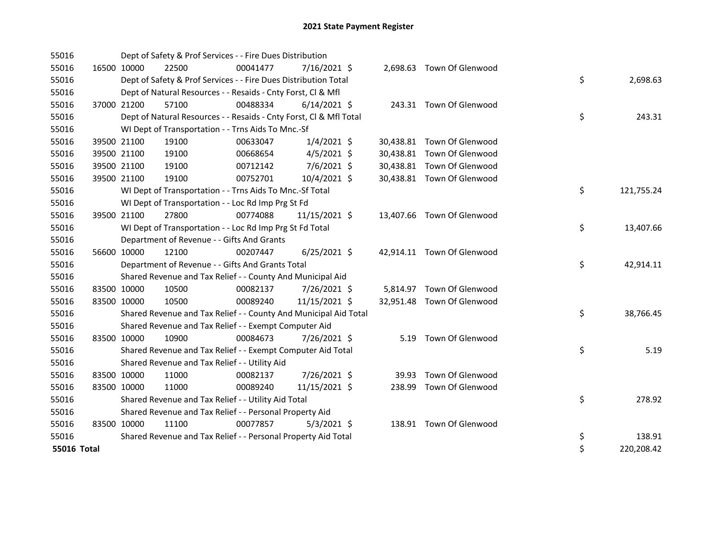| 55016       |             |             | Dept of Safety & Prof Services - - Fire Dues Distribution          |          |                |       |                            |    |            |
|-------------|-------------|-------------|--------------------------------------------------------------------|----------|----------------|-------|----------------------------|----|------------|
| 55016       | 16500 10000 |             | 22500                                                              | 00041477 | 7/16/2021 \$   |       | 2,698.63 Town Of Glenwood  |    |            |
| 55016       |             |             | Dept of Safety & Prof Services - - Fire Dues Distribution Total    |          |                |       |                            | \$ | 2,698.63   |
| 55016       |             |             | Dept of Natural Resources - - Resaids - Cnty Forst, Cl & Mfl       |          |                |       |                            |    |            |
| 55016       |             | 37000 21200 | 57100                                                              | 00488334 | $6/14/2021$ \$ |       | 243.31 Town Of Glenwood    |    |            |
| 55016       |             |             | Dept of Natural Resources - - Resaids - Cnty Forst, Cl & Mfl Total |          |                |       |                            | \$ | 243.31     |
| 55016       |             |             | WI Dept of Transportation - - Trns Aids To Mnc.-Sf                 |          |                |       |                            |    |            |
| 55016       |             | 39500 21100 | 19100                                                              | 00633047 | $1/4/2021$ \$  |       | 30,438.81 Town Of Glenwood |    |            |
| 55016       |             | 39500 21100 | 19100                                                              | 00668654 | $4/5/2021$ \$  |       | 30,438.81 Town Of Glenwood |    |            |
| 55016       |             | 39500 21100 | 19100                                                              | 00712142 | 7/6/2021 \$    |       | 30,438.81 Town Of Glenwood |    |            |
| 55016       |             | 39500 21100 | 19100                                                              | 00752701 | 10/4/2021 \$   |       | 30,438.81 Town Of Glenwood |    |            |
| 55016       |             |             | WI Dept of Transportation - - Trns Aids To Mnc.-Sf Total           |          |                |       |                            | \$ | 121,755.24 |
| 55016       |             |             | WI Dept of Transportation - - Loc Rd Imp Prg St Fd                 |          |                |       |                            |    |            |
| 55016       |             | 39500 21100 | 27800                                                              | 00774088 | 11/15/2021 \$  |       | 13,407.66 Town Of Glenwood |    |            |
| 55016       |             |             | WI Dept of Transportation - - Loc Rd Imp Prg St Fd Total           |          |                |       |                            | \$ | 13,407.66  |
| 55016       |             |             | Department of Revenue - - Gifts And Grants                         |          |                |       |                            |    |            |
| 55016       | 56600 10000 |             | 12100                                                              | 00207447 | $6/25/2021$ \$ |       | 42,914.11 Town Of Glenwood |    |            |
| 55016       |             |             | Department of Revenue - - Gifts And Grants Total                   |          |                |       |                            | \$ | 42,914.11  |
| 55016       |             |             | Shared Revenue and Tax Relief - - County And Municipal Aid         |          |                |       |                            |    |            |
| 55016       | 83500 10000 |             | 10500                                                              | 00082137 | 7/26/2021 \$   |       | 5,814.97 Town Of Glenwood  |    |            |
| 55016       | 83500 10000 |             | 10500                                                              | 00089240 | 11/15/2021 \$  |       | 32,951.48 Town Of Glenwood |    |            |
| 55016       |             |             | Shared Revenue and Tax Relief - - County And Municipal Aid Total   |          |                |       |                            | \$ | 38,766.45  |
| 55016       |             |             | Shared Revenue and Tax Relief - - Exempt Computer Aid              |          |                |       |                            |    |            |
| 55016       | 83500 10000 |             | 10900                                                              | 00084673 | 7/26/2021 \$   |       | 5.19 Town Of Glenwood      |    |            |
| 55016       |             |             | Shared Revenue and Tax Relief - - Exempt Computer Aid Total        |          |                |       |                            | \$ | 5.19       |
| 55016       |             |             | Shared Revenue and Tax Relief - - Utility Aid                      |          |                |       |                            |    |            |
| 55016       | 83500 10000 |             | 11000                                                              | 00082137 | 7/26/2021 \$   | 39.93 | Town Of Glenwood           |    |            |
| 55016       | 83500 10000 |             | 11000                                                              | 00089240 | 11/15/2021 \$  |       | 238.99 Town Of Glenwood    |    |            |
| 55016       |             |             | Shared Revenue and Tax Relief - - Utility Aid Total                |          |                |       |                            | \$ | 278.92     |
| 55016       |             |             | Shared Revenue and Tax Relief - - Personal Property Aid            |          |                |       |                            |    |            |
| 55016       | 83500 10000 |             | 11100                                                              | 00077857 | $5/3/2021$ \$  |       | 138.91 Town Of Glenwood    |    |            |
| 55016       |             |             | Shared Revenue and Tax Relief - - Personal Property Aid Total      |          |                |       |                            | \$ | 138.91     |
| 55016 Total |             |             |                                                                    |          |                |       |                            | \$ | 220,208.42 |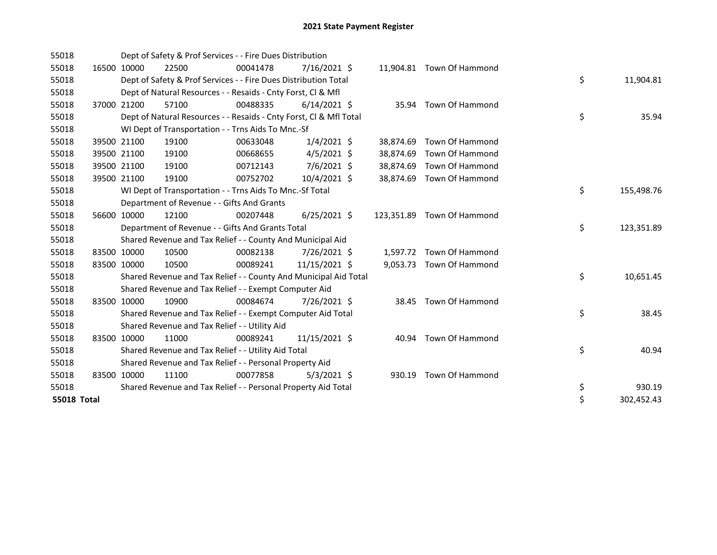| 55018              |             |             | Dept of Safety & Prof Services - - Fire Dues Distribution          |          |                |           |                            |    |            |
|--------------------|-------------|-------------|--------------------------------------------------------------------|----------|----------------|-----------|----------------------------|----|------------|
| 55018              |             | 16500 10000 | 22500                                                              | 00041478 | 7/16/2021 \$   |           | 11,904.81 Town Of Hammond  |    |            |
| 55018              |             |             | Dept of Safety & Prof Services - - Fire Dues Distribution Total    |          |                |           |                            | \$ | 11,904.81  |
| 55018              |             |             | Dept of Natural Resources - - Resaids - Cnty Forst, CI & Mfl       |          |                |           |                            |    |            |
| 55018              |             | 37000 21200 | 57100                                                              | 00488335 | $6/14/2021$ \$ |           | 35.94 Town Of Hammond      |    |            |
| 55018              |             |             | Dept of Natural Resources - - Resaids - Cnty Forst, CI & Mfl Total |          |                |           |                            | \$ | 35.94      |
| 55018              |             |             | WI Dept of Transportation - - Trns Aids To Mnc.-Sf                 |          |                |           |                            |    |            |
| 55018              |             | 39500 21100 | 19100                                                              | 00633048 | $1/4/2021$ \$  | 38,874.69 | Town Of Hammond            |    |            |
| 55018              |             | 39500 21100 | 19100                                                              | 00668655 | $4/5/2021$ \$  | 38,874.69 | Town Of Hammond            |    |            |
| 55018              |             | 39500 21100 | 19100                                                              | 00712143 | $7/6/2021$ \$  | 38,874.69 | Town Of Hammond            |    |            |
| 55018              |             | 39500 21100 | 19100                                                              | 00752702 | 10/4/2021 \$   | 38,874.69 | Town Of Hammond            |    |            |
| 55018              |             |             | WI Dept of Transportation - - Trns Aids To Mnc.-Sf Total           |          |                |           |                            | \$ | 155,498.76 |
| 55018              |             |             | Department of Revenue - - Gifts And Grants                         |          |                |           |                            |    |            |
| 55018              |             | 56600 10000 | 12100                                                              | 00207448 | $6/25/2021$ \$ |           | 123,351.89 Town Of Hammond |    |            |
| 55018              |             |             | Department of Revenue - - Gifts And Grants Total                   |          |                |           |                            | \$ | 123,351.89 |
| 55018              |             |             | Shared Revenue and Tax Relief - - County And Municipal Aid         |          |                |           |                            |    |            |
| 55018              | 83500 10000 |             | 10500                                                              | 00082138 | 7/26/2021 \$   |           | 1,597.72 Town Of Hammond   |    |            |
| 55018              |             | 83500 10000 | 10500                                                              | 00089241 | 11/15/2021 \$  |           | 9,053.73 Town Of Hammond   |    |            |
| 55018              |             |             | Shared Revenue and Tax Relief - - County And Municipal Aid Total   |          |                |           |                            | \$ | 10,651.45  |
| 55018              |             |             | Shared Revenue and Tax Relief - - Exempt Computer Aid              |          |                |           |                            |    |            |
| 55018              |             | 83500 10000 | 10900                                                              | 00084674 | 7/26/2021 \$   |           | 38.45 Town Of Hammond      |    |            |
| 55018              |             |             | Shared Revenue and Tax Relief - - Exempt Computer Aid Total        |          |                |           |                            | \$ | 38.45      |
| 55018              |             |             | Shared Revenue and Tax Relief - - Utility Aid                      |          |                |           |                            |    |            |
| 55018              | 83500 10000 |             | 11000                                                              | 00089241 | 11/15/2021 \$  |           | 40.94 Town Of Hammond      |    |            |
| 55018              |             |             | Shared Revenue and Tax Relief - - Utility Aid Total                |          |                |           |                            | \$ | 40.94      |
| 55018              |             |             | Shared Revenue and Tax Relief - - Personal Property Aid            |          |                |           |                            |    |            |
| 55018              |             | 83500 10000 | 11100                                                              | 00077858 | $5/3/2021$ \$  | 930.19    | Town Of Hammond            |    |            |
| 55018              |             |             | Shared Revenue and Tax Relief - - Personal Property Aid Total      |          |                |           |                            | \$ | 930.19     |
| <b>55018 Total</b> |             |             |                                                                    |          |                |           |                            | \$ | 302,452.43 |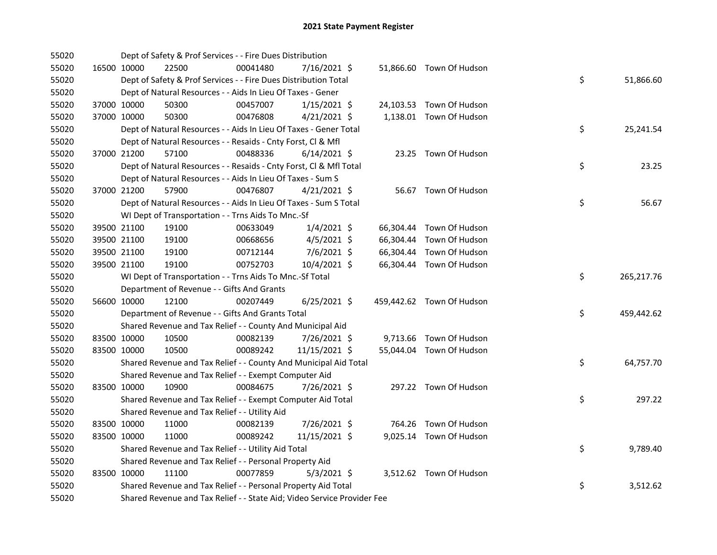| 55020 |             | Dept of Safety & Prof Services - - Fire Dues Distribution               |          |                |  |                           |    |            |
|-------|-------------|-------------------------------------------------------------------------|----------|----------------|--|---------------------------|----|------------|
| 55020 | 16500 10000 | 22500                                                                   | 00041480 | 7/16/2021 \$   |  | 51,866.60 Town Of Hudson  |    |            |
| 55020 |             | Dept of Safety & Prof Services - - Fire Dues Distribution Total         |          |                |  |                           | \$ | 51,866.60  |
| 55020 |             | Dept of Natural Resources - - Aids In Lieu Of Taxes - Gener             |          |                |  |                           |    |            |
| 55020 | 37000 10000 | 50300                                                                   | 00457007 | $1/15/2021$ \$ |  | 24,103.53 Town Of Hudson  |    |            |
| 55020 | 37000 10000 | 50300                                                                   | 00476808 | $4/21/2021$ \$ |  | 1,138.01 Town Of Hudson   |    |            |
| 55020 |             | Dept of Natural Resources - - Aids In Lieu Of Taxes - Gener Total       |          |                |  |                           | \$ | 25,241.54  |
| 55020 |             | Dept of Natural Resources - - Resaids - Cnty Forst, Cl & Mfl            |          |                |  |                           |    |            |
| 55020 | 37000 21200 | 57100                                                                   | 00488336 | $6/14/2021$ \$ |  | 23.25 Town Of Hudson      |    |            |
| 55020 |             | Dept of Natural Resources - - Resaids - Cnty Forst, CI & Mfl Total      |          |                |  |                           | \$ | 23.25      |
| 55020 |             | Dept of Natural Resources - - Aids In Lieu Of Taxes - Sum S             |          |                |  |                           |    |            |
| 55020 | 37000 21200 | 57900                                                                   | 00476807 | $4/21/2021$ \$ |  | 56.67 Town Of Hudson      |    |            |
| 55020 |             | Dept of Natural Resources - - Aids In Lieu Of Taxes - Sum S Total       |          |                |  |                           | \$ | 56.67      |
| 55020 |             | WI Dept of Transportation - - Trns Aids To Mnc.-Sf                      |          |                |  |                           |    |            |
| 55020 | 39500 21100 | 19100                                                                   | 00633049 | $1/4/2021$ \$  |  | 66,304.44 Town Of Hudson  |    |            |
| 55020 | 39500 21100 | 19100                                                                   | 00668656 | 4/5/2021 \$    |  | 66,304.44 Town Of Hudson  |    |            |
| 55020 | 39500 21100 | 19100                                                                   | 00712144 | 7/6/2021 \$    |  | 66,304.44 Town Of Hudson  |    |            |
| 55020 | 39500 21100 | 19100                                                                   | 00752703 | 10/4/2021 \$   |  | 66,304.44 Town Of Hudson  |    |            |
| 55020 |             | WI Dept of Transportation - - Trns Aids To Mnc.-Sf Total                |          |                |  |                           | \$ | 265,217.76 |
| 55020 |             | Department of Revenue - - Gifts And Grants                              |          |                |  |                           |    |            |
| 55020 | 56600 10000 | 12100                                                                   | 00207449 | $6/25/2021$ \$ |  | 459,442.62 Town Of Hudson |    |            |
| 55020 |             | Department of Revenue - - Gifts And Grants Total                        |          |                |  |                           | \$ | 459,442.62 |
| 55020 |             | Shared Revenue and Tax Relief - - County And Municipal Aid              |          |                |  |                           |    |            |
| 55020 | 83500 10000 | 10500                                                                   | 00082139 | 7/26/2021 \$   |  | 9,713.66 Town Of Hudson   |    |            |
| 55020 | 83500 10000 | 10500                                                                   | 00089242 | 11/15/2021 \$  |  | 55,044.04 Town Of Hudson  |    |            |
| 55020 |             | Shared Revenue and Tax Relief - - County And Municipal Aid Total        |          |                |  |                           | \$ | 64,757.70  |
| 55020 |             | Shared Revenue and Tax Relief - - Exempt Computer Aid                   |          |                |  |                           |    |            |
| 55020 | 83500 10000 | 10900                                                                   | 00084675 | 7/26/2021 \$   |  | 297.22 Town Of Hudson     |    |            |
| 55020 |             | Shared Revenue and Tax Relief - - Exempt Computer Aid Total             |          |                |  |                           | \$ | 297.22     |
| 55020 |             | Shared Revenue and Tax Relief - - Utility Aid                           |          |                |  |                           |    |            |
| 55020 | 83500 10000 | 11000                                                                   | 00082139 | 7/26/2021 \$   |  | 764.26 Town Of Hudson     |    |            |
| 55020 | 83500 10000 | 11000                                                                   | 00089242 | 11/15/2021 \$  |  | 9,025.14 Town Of Hudson   |    |            |
| 55020 |             | Shared Revenue and Tax Relief - - Utility Aid Total                     |          |                |  |                           | \$ | 9,789.40   |
| 55020 |             | Shared Revenue and Tax Relief - - Personal Property Aid                 |          |                |  |                           |    |            |
| 55020 | 83500 10000 | 11100                                                                   | 00077859 | $5/3/2021$ \$  |  | 3,512.62 Town Of Hudson   |    |            |
| 55020 |             | Shared Revenue and Tax Relief - - Personal Property Aid Total           |          |                |  |                           | \$ | 3,512.62   |
| 55020 |             | Shared Revenue and Tax Relief - - State Aid; Video Service Provider Fee |          |                |  |                           |    |            |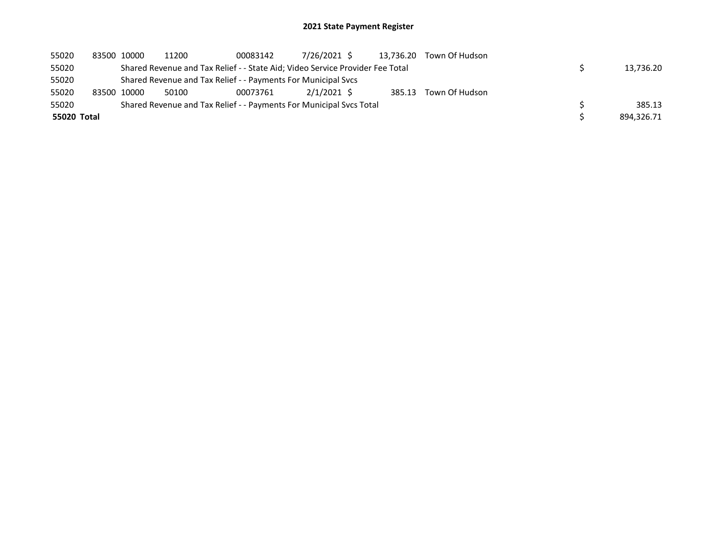| 55020       | 83500 10000 | 11200                                                         | 00083142 | 7/26/2021 \$                                                                  | 13.736.20 | Town Of Hudson        |            |
|-------------|-------------|---------------------------------------------------------------|----------|-------------------------------------------------------------------------------|-----------|-----------------------|------------|
| 55020       |             |                                                               |          | Shared Revenue and Tax Relief - - State Aid; Video Service Provider Fee Total |           |                       | 13.736.20  |
| 55020       |             | Shared Revenue and Tax Relief - - Payments For Municipal Svcs |          |                                                                               |           |                       |            |
| 55020       | 83500 10000 | 50100                                                         | 00073761 | $2/1/2021$ \$                                                                 |           | 385.13 Town Of Hudson |            |
| 55020       |             |                                                               |          | Shared Revenue and Tax Relief - - Payments For Municipal Svcs Total           |           |                       | 385.13     |
| 55020 Total |             |                                                               |          |                                                                               |           |                       | 894.326.71 |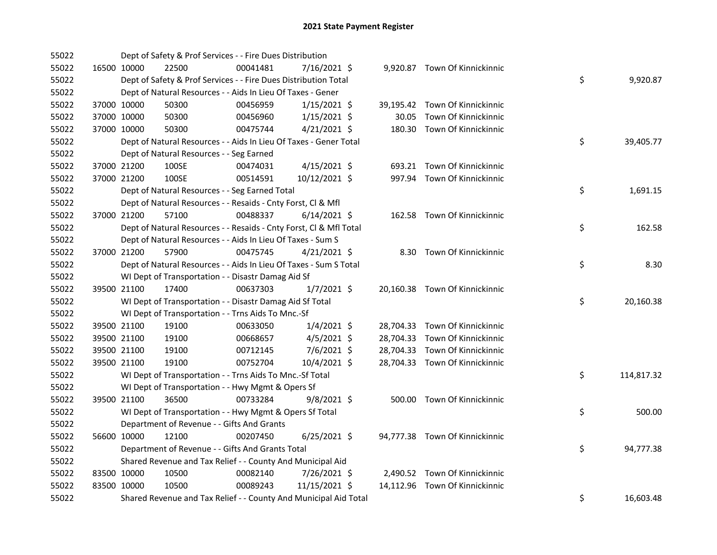| 55022 |             |             | Dept of Safety & Prof Services - - Fire Dues Distribution          |          |                |       |                                |    |            |
|-------|-------------|-------------|--------------------------------------------------------------------|----------|----------------|-------|--------------------------------|----|------------|
| 55022 |             | 16500 10000 | 22500                                                              | 00041481 | 7/16/2021 \$   |       | 9,920.87 Town Of Kinnickinnic  |    |            |
| 55022 |             |             | Dept of Safety & Prof Services - - Fire Dues Distribution Total    |          |                |       |                                | \$ | 9,920.87   |
| 55022 |             |             | Dept of Natural Resources - - Aids In Lieu Of Taxes - Gener        |          |                |       |                                |    |            |
| 55022 |             | 37000 10000 | 50300                                                              | 00456959 | $1/15/2021$ \$ |       | 39,195.42 Town Of Kinnickinnic |    |            |
| 55022 | 37000 10000 |             | 50300                                                              | 00456960 | $1/15/2021$ \$ | 30.05 | Town Of Kinnickinnic           |    |            |
| 55022 | 37000 10000 |             | 50300                                                              | 00475744 | $4/21/2021$ \$ |       | 180.30 Town Of Kinnickinnic    |    |            |
| 55022 |             |             | Dept of Natural Resources - - Aids In Lieu Of Taxes - Gener Total  |          |                |       |                                | \$ | 39,405.77  |
| 55022 |             |             | Dept of Natural Resources - - Seg Earned                           |          |                |       |                                |    |            |
| 55022 |             | 37000 21200 | 100SE                                                              | 00474031 | $4/15/2021$ \$ |       | 693.21 Town Of Kinnickinnic    |    |            |
| 55022 |             | 37000 21200 | 100SE                                                              | 00514591 | 10/12/2021 \$  |       | 997.94 Town Of Kinnickinnic    |    |            |
| 55022 |             |             | Dept of Natural Resources - - Seg Earned Total                     |          |                |       |                                | \$ | 1,691.15   |
| 55022 |             |             | Dept of Natural Resources - - Resaids - Cnty Forst, Cl & Mfl       |          |                |       |                                |    |            |
| 55022 |             | 37000 21200 | 57100                                                              | 00488337 | $6/14/2021$ \$ |       | 162.58 Town Of Kinnickinnic    |    |            |
| 55022 |             |             | Dept of Natural Resources - - Resaids - Cnty Forst, Cl & Mfl Total |          |                |       |                                | \$ | 162.58     |
| 55022 |             |             | Dept of Natural Resources - - Aids In Lieu Of Taxes - Sum S        |          |                |       |                                |    |            |
| 55022 |             | 37000 21200 | 57900                                                              | 00475745 | $4/21/2021$ \$ |       | 8.30 Town Of Kinnickinnic      |    |            |
| 55022 |             |             | Dept of Natural Resources - - Aids In Lieu Of Taxes - Sum S Total  |          |                |       |                                | \$ | 8.30       |
| 55022 |             |             | WI Dept of Transportation - - Disastr Damag Aid Sf                 |          |                |       |                                |    |            |
| 55022 |             | 39500 21100 | 17400                                                              | 00637303 | $1/7/2021$ \$  |       | 20,160.38 Town Of Kinnickinnic |    |            |
| 55022 |             |             | WI Dept of Transportation - - Disastr Damag Aid Sf Total           |          |                |       |                                | \$ | 20,160.38  |
| 55022 |             |             | WI Dept of Transportation - - Trns Aids To Mnc.-Sf                 |          |                |       |                                |    |            |
| 55022 |             | 39500 21100 | 19100                                                              | 00633050 | $1/4/2021$ \$  |       | 28,704.33 Town Of Kinnickinnic |    |            |
| 55022 |             | 39500 21100 | 19100                                                              | 00668657 | $4/5/2021$ \$  |       | 28,704.33 Town Of Kinnickinnic |    |            |
| 55022 |             | 39500 21100 | 19100                                                              | 00712145 | 7/6/2021 \$    |       | 28,704.33 Town Of Kinnickinnic |    |            |
| 55022 | 39500 21100 |             | 19100                                                              | 00752704 | 10/4/2021 \$   |       | 28,704.33 Town Of Kinnickinnic |    |            |
| 55022 |             |             | WI Dept of Transportation - - Trns Aids To Mnc.-Sf Total           |          |                |       |                                | \$ | 114,817.32 |
| 55022 |             |             | WI Dept of Transportation - - Hwy Mgmt & Opers Sf                  |          |                |       |                                |    |            |
| 55022 |             | 39500 21100 | 36500                                                              | 00733284 | $9/8/2021$ \$  |       | 500.00 Town Of Kinnickinnic    |    |            |
| 55022 |             |             | WI Dept of Transportation - - Hwy Mgmt & Opers Sf Total            |          |                |       |                                | \$ | 500.00     |
| 55022 |             |             | Department of Revenue - - Gifts And Grants                         |          |                |       |                                |    |            |
| 55022 |             | 56600 10000 | 12100                                                              | 00207450 | $6/25/2021$ \$ |       | 94,777.38 Town Of Kinnickinnic |    |            |
| 55022 |             |             | Department of Revenue - - Gifts And Grants Total                   |          |                |       |                                | \$ | 94,777.38  |
| 55022 |             |             | Shared Revenue and Tax Relief - - County And Municipal Aid         |          |                |       |                                |    |            |
| 55022 |             | 83500 10000 | 10500                                                              | 00082140 | 7/26/2021 \$   |       | 2,490.52 Town Of Kinnickinnic  |    |            |
| 55022 | 83500 10000 |             | 10500                                                              | 00089243 | 11/15/2021 \$  |       | 14,112.96 Town Of Kinnickinnic |    |            |
| 55022 |             |             | Shared Revenue and Tax Relief - - County And Municipal Aid Total   |          |                |       |                                | \$ | 16,603.48  |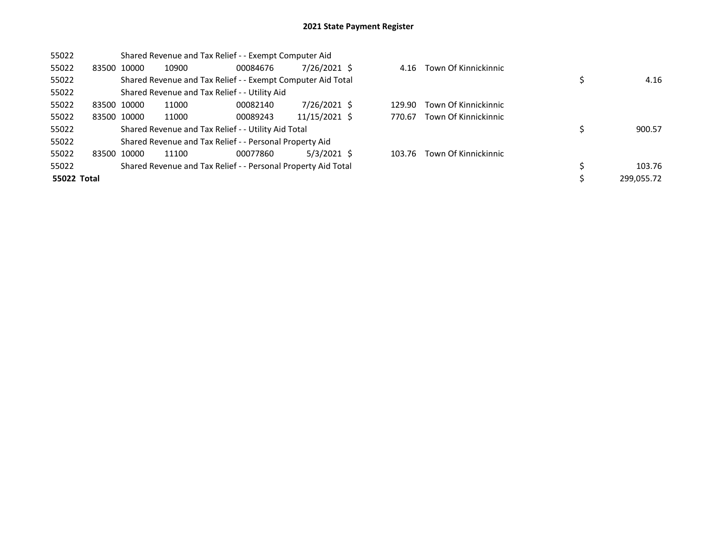| 55022       |             |       | Shared Revenue and Tax Relief - - Exempt Computer Aid         |               |        |                           |            |
|-------------|-------------|-------|---------------------------------------------------------------|---------------|--------|---------------------------|------------|
| 55022       | 83500 10000 | 10900 | 00084676                                                      | 7/26/2021 \$  |        | 4.16 Town Of Kinnickinnic |            |
| 55022       |             |       | Shared Revenue and Tax Relief - - Exempt Computer Aid Total   |               |        |                           | 4.16       |
| 55022       |             |       | Shared Revenue and Tax Relief - - Utility Aid                 |               |        |                           |            |
| 55022       | 83500 10000 | 11000 | 00082140                                                      | 7/26/2021 \$  | 129.90 | Town Of Kinnickinnic      |            |
| 55022       | 83500 10000 | 11000 | 00089243                                                      | 11/15/2021 \$ | 770.67 | Town Of Kinnickinnic      |            |
| 55022       |             |       | Shared Revenue and Tax Relief - - Utility Aid Total           |               |        |                           | 900.57     |
| 55022       |             |       | Shared Revenue and Tax Relief - - Personal Property Aid       |               |        |                           |            |
| 55022       | 83500 10000 | 11100 | 00077860                                                      | $5/3/2021$ \$ | 103.76 | Town Of Kinnickinnic      |            |
| 55022       |             |       | Shared Revenue and Tax Relief - - Personal Property Aid Total |               |        |                           | 103.76     |
| 55022 Total |             |       |                                                               |               |        |                           | 299,055.72 |

| 4.16 Town Of Kinnickinnic   |                  |
|-----------------------------|------------------|
|                             | \$<br>4.16       |
| 129.90 Town Of Kinnickinnic |                  |
| 770.67 Town Of Kinnickinnic |                  |
|                             | \$<br>900.57     |
|                             |                  |
| 103.76 Town Of Kinnickinnic |                  |
|                             | \$<br>103.76     |
|                             | \$<br>299,055.72 |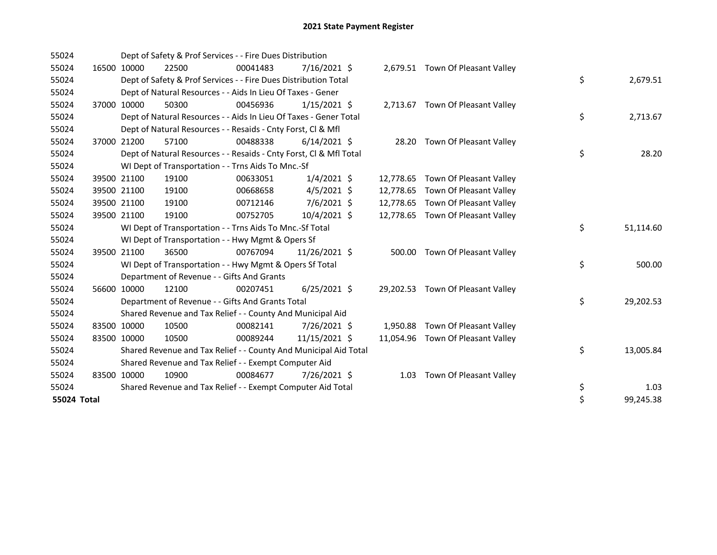| 55024       |             | Dept of Safety & Prof Services - - Fire Dues Distribution          |          |                |           |                                   |                 |
|-------------|-------------|--------------------------------------------------------------------|----------|----------------|-----------|-----------------------------------|-----------------|
| 55024       | 16500 10000 | 22500                                                              | 00041483 | 7/16/2021 \$   |           | 2,679.51 Town Of Pleasant Valley  |                 |
| 55024       |             | Dept of Safety & Prof Services - - Fire Dues Distribution Total    |          |                |           |                                   | \$<br>2,679.51  |
| 55024       |             | Dept of Natural Resources - - Aids In Lieu Of Taxes - Gener        |          |                |           |                                   |                 |
| 55024       | 37000 10000 | 50300                                                              | 00456936 | $1/15/2021$ \$ |           | 2,713.67 Town Of Pleasant Valley  |                 |
| 55024       |             | Dept of Natural Resources - - Aids In Lieu Of Taxes - Gener Total  |          |                |           |                                   | \$<br>2,713.67  |
| 55024       |             | Dept of Natural Resources - - Resaids - Cnty Forst, Cl & Mfl       |          |                |           |                                   |                 |
| 55024       | 37000 21200 | 57100                                                              | 00488338 | $6/14/2021$ \$ | 28.20     | Town Of Pleasant Valley           |                 |
| 55024       |             | Dept of Natural Resources - - Resaids - Cnty Forst, Cl & Mfl Total |          |                |           |                                   | \$<br>28.20     |
| 55024       |             | WI Dept of Transportation - - Trns Aids To Mnc.-Sf                 |          |                |           |                                   |                 |
| 55024       | 39500 21100 | 19100                                                              | 00633051 | $1/4/2021$ \$  |           | 12,778.65 Town Of Pleasant Valley |                 |
| 55024       | 39500 21100 | 19100                                                              | 00668658 | $4/5/2021$ \$  | 12,778.65 | Town Of Pleasant Valley           |                 |
| 55024       | 39500 21100 | 19100                                                              | 00712146 | $7/6/2021$ \$  | 12,778.65 | Town Of Pleasant Valley           |                 |
| 55024       | 39500 21100 | 19100                                                              | 00752705 | 10/4/2021 \$   |           | 12,778.65 Town Of Pleasant Valley |                 |
| 55024       |             | WI Dept of Transportation - - Trns Aids To Mnc.-Sf Total           |          |                |           |                                   | \$<br>51,114.60 |
| 55024       |             | WI Dept of Transportation - - Hwy Mgmt & Opers Sf                  |          |                |           |                                   |                 |
| 55024       | 39500 21100 | 36500                                                              | 00767094 | 11/26/2021 \$  |           | 500.00 Town Of Pleasant Valley    |                 |
| 55024       |             | WI Dept of Transportation - - Hwy Mgmt & Opers Sf Total            |          |                |           |                                   | \$<br>500.00    |
| 55024       |             | Department of Revenue - - Gifts And Grants                         |          |                |           |                                   |                 |
| 55024       | 56600 10000 | 12100                                                              | 00207451 | $6/25/2021$ \$ |           | 29,202.53 Town Of Pleasant Valley |                 |
| 55024       |             | Department of Revenue - - Gifts And Grants Total                   |          |                |           |                                   | \$<br>29,202.53 |
| 55024       |             | Shared Revenue and Tax Relief - - County And Municipal Aid         |          |                |           |                                   |                 |
| 55024       | 83500 10000 | 10500                                                              | 00082141 | 7/26/2021 \$   | 1,950.88  | Town Of Pleasant Valley           |                 |
| 55024       | 83500 10000 | 10500                                                              | 00089244 | 11/15/2021 \$  |           | 11,054.96 Town Of Pleasant Valley |                 |
| 55024       |             | Shared Revenue and Tax Relief - - County And Municipal Aid Total   |          |                |           |                                   | \$<br>13,005.84 |
| 55024       |             | Shared Revenue and Tax Relief - - Exempt Computer Aid              |          |                |           |                                   |                 |
| 55024       | 83500 10000 | 10900                                                              | 00084677 | 7/26/2021 \$   | 1.03      | Town Of Pleasant Valley           |                 |
| 55024       |             | Shared Revenue and Tax Relief - - Exempt Computer Aid Total        |          |                |           |                                   | \$<br>1.03      |
| 55024 Total |             |                                                                    |          |                |           |                                   | \$<br>99,245.38 |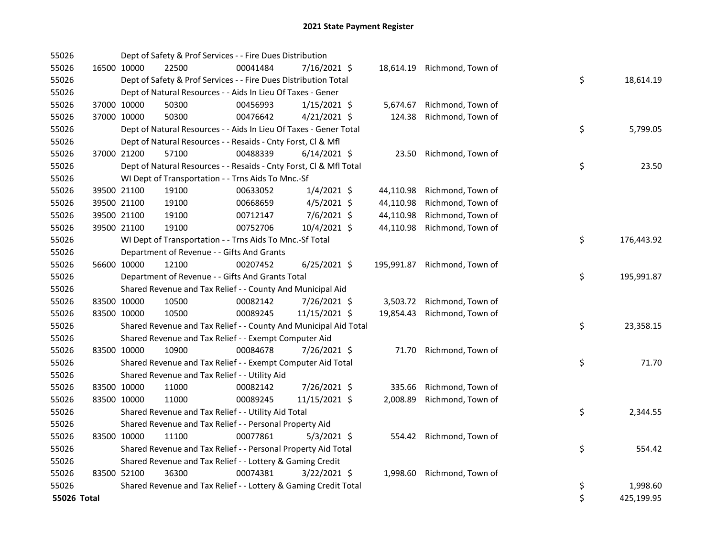| 55026       |             |             | Dept of Safety & Prof Services - - Fire Dues Distribution          |          |                |           |                              |    |            |
|-------------|-------------|-------------|--------------------------------------------------------------------|----------|----------------|-----------|------------------------------|----|------------|
| 55026       |             | 16500 10000 | 22500                                                              | 00041484 | 7/16/2021 \$   |           | 18,614.19 Richmond, Town of  |    |            |
| 55026       |             |             | Dept of Safety & Prof Services - - Fire Dues Distribution Total    |          |                |           |                              | \$ | 18,614.19  |
| 55026       |             |             | Dept of Natural Resources - - Aids In Lieu Of Taxes - Gener        |          |                |           |                              |    |            |
| 55026       |             | 37000 10000 | 50300                                                              | 00456993 | $1/15/2021$ \$ | 5,674.67  | Richmond, Town of            |    |            |
| 55026       |             | 37000 10000 | 50300                                                              | 00476642 | $4/21/2021$ \$ | 124.38    | Richmond, Town of            |    |            |
| 55026       |             |             | Dept of Natural Resources - - Aids In Lieu Of Taxes - Gener Total  |          |                |           |                              | \$ | 5,799.05   |
| 55026       |             |             | Dept of Natural Resources - - Resaids - Cnty Forst, Cl & Mfl       |          |                |           |                              |    |            |
| 55026       |             | 37000 21200 | 57100                                                              | 00488339 | $6/14/2021$ \$ |           | 23.50 Richmond, Town of      |    |            |
| 55026       |             |             | Dept of Natural Resources - - Resaids - Cnty Forst, Cl & Mfl Total |          |                |           |                              | \$ | 23.50      |
| 55026       |             |             | WI Dept of Transportation - - Trns Aids To Mnc.-Sf                 |          |                |           |                              |    |            |
| 55026       |             | 39500 21100 | 19100                                                              | 00633052 | $1/4/2021$ \$  |           | 44,110.98 Richmond, Town of  |    |            |
| 55026       |             | 39500 21100 | 19100                                                              | 00668659 | 4/5/2021 \$    | 44,110.98 | Richmond, Town of            |    |            |
| 55026       |             | 39500 21100 | 19100                                                              | 00712147 | 7/6/2021 \$    | 44,110.98 | Richmond, Town of            |    |            |
| 55026       |             | 39500 21100 | 19100                                                              | 00752706 | 10/4/2021 \$   |           | 44,110.98 Richmond, Town of  |    |            |
| 55026       |             |             | WI Dept of Transportation - - Trns Aids To Mnc.-Sf Total           |          |                |           |                              | \$ | 176,443.92 |
| 55026       |             |             | Department of Revenue - - Gifts And Grants                         |          |                |           |                              |    |            |
| 55026       | 56600 10000 |             | 12100                                                              | 00207452 | $6/25/2021$ \$ |           | 195,991.87 Richmond, Town of |    |            |
| 55026       |             |             | Department of Revenue - - Gifts And Grants Total                   |          |                |           |                              | \$ | 195,991.87 |
| 55026       |             |             | Shared Revenue and Tax Relief - - County And Municipal Aid         |          |                |           |                              |    |            |
| 55026       |             | 83500 10000 | 10500                                                              | 00082142 | 7/26/2021 \$   |           | 3,503.72 Richmond, Town of   |    |            |
| 55026       |             | 83500 10000 | 10500                                                              | 00089245 | 11/15/2021 \$  |           | 19,854.43 Richmond, Town of  |    |            |
| 55026       |             |             | Shared Revenue and Tax Relief - - County And Municipal Aid Total   |          |                |           |                              | \$ | 23,358.15  |
| 55026       |             |             | Shared Revenue and Tax Relief - - Exempt Computer Aid              |          |                |           |                              |    |            |
| 55026       |             | 83500 10000 | 10900                                                              | 00084678 | 7/26/2021 \$   |           | 71.70 Richmond, Town of      |    |            |
| 55026       |             |             | Shared Revenue and Tax Relief - - Exempt Computer Aid Total        |          |                |           |                              | \$ | 71.70      |
| 55026       |             |             | Shared Revenue and Tax Relief - - Utility Aid                      |          |                |           |                              |    |            |
| 55026       |             | 83500 10000 | 11000                                                              | 00082142 | 7/26/2021 \$   |           | 335.66 Richmond, Town of     |    |            |
| 55026       |             | 83500 10000 | 11000                                                              | 00089245 | 11/15/2021 \$  |           | 2,008.89 Richmond, Town of   |    |            |
| 55026       |             |             | Shared Revenue and Tax Relief - - Utility Aid Total                |          |                |           |                              | \$ | 2,344.55   |
| 55026       |             |             | Shared Revenue and Tax Relief - - Personal Property Aid            |          |                |           |                              |    |            |
| 55026       |             | 83500 10000 | 11100                                                              | 00077861 | $5/3/2021$ \$  |           | 554.42 Richmond, Town of     |    |            |
| 55026       |             |             | Shared Revenue and Tax Relief - - Personal Property Aid Total      |          |                |           |                              | \$ | 554.42     |
| 55026       |             |             | Shared Revenue and Tax Relief - - Lottery & Gaming Credit          |          |                |           |                              |    |            |
| 55026       |             | 83500 52100 | 36300                                                              | 00074381 | $3/22/2021$ \$ |           | 1,998.60 Richmond, Town of   |    |            |
| 55026       |             |             | Shared Revenue and Tax Relief - - Lottery & Gaming Credit Total    |          |                |           |                              | \$ | 1,998.60   |
| 55026 Total |             |             |                                                                    |          |                |           |                              | \$ | 425,199.95 |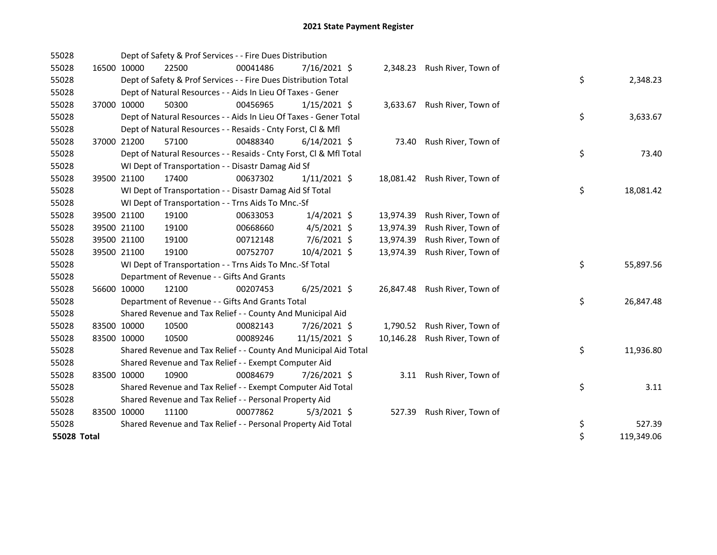| 55028       |             | Dept of Safety & Prof Services - - Fire Dues Distribution          |          |                |           |                               |    |            |
|-------------|-------------|--------------------------------------------------------------------|----------|----------------|-----------|-------------------------------|----|------------|
| 55028       | 16500 10000 | 22500                                                              | 00041486 | $7/16/2021$ \$ |           | 2,348.23 Rush River, Town of  |    |            |
| 55028       |             | Dept of Safety & Prof Services - - Fire Dues Distribution Total    |          |                |           |                               | \$ | 2,348.23   |
| 55028       |             | Dept of Natural Resources - - Aids In Lieu Of Taxes - Gener        |          |                |           |                               |    |            |
| 55028       | 37000 10000 | 50300                                                              | 00456965 | $1/15/2021$ \$ |           | 3,633.67 Rush River, Town of  |    |            |
| 55028       |             | Dept of Natural Resources - - Aids In Lieu Of Taxes - Gener Total  |          |                |           |                               | \$ | 3,633.67   |
| 55028       |             | Dept of Natural Resources - - Resaids - Cnty Forst, CI & Mfl       |          |                |           |                               |    |            |
| 55028       | 37000 21200 | 57100                                                              | 00488340 | $6/14/2021$ \$ | 73.40     | Rush River, Town of           |    |            |
| 55028       |             | Dept of Natural Resources - - Resaids - Cnty Forst, Cl & Mfl Total |          |                |           |                               | \$ | 73.40      |
| 55028       |             | WI Dept of Transportation - - Disastr Damag Aid Sf                 |          |                |           |                               |    |            |
| 55028       | 39500 21100 | 17400                                                              | 00637302 | $1/11/2021$ \$ |           | 18,081.42 Rush River, Town of |    |            |
| 55028       |             | WI Dept of Transportation - - Disastr Damag Aid Sf Total           |          |                |           |                               | \$ | 18,081.42  |
| 55028       |             | WI Dept of Transportation - - Trns Aids To Mnc.-Sf                 |          |                |           |                               |    |            |
| 55028       | 39500 21100 | 19100                                                              | 00633053 | $1/4/2021$ \$  | 13,974.39 | Rush River, Town of           |    |            |
| 55028       | 39500 21100 | 19100                                                              | 00668660 | $4/5/2021$ \$  | 13,974.39 | Rush River, Town of           |    |            |
| 55028       | 39500 21100 | 19100                                                              | 00712148 | 7/6/2021 \$    | 13,974.39 | Rush River, Town of           |    |            |
| 55028       | 39500 21100 | 19100                                                              | 00752707 | 10/4/2021 \$   | 13,974.39 | Rush River, Town of           |    |            |
| 55028       |             | WI Dept of Transportation - - Trns Aids To Mnc .- Sf Total         |          |                |           |                               | \$ | 55,897.56  |
| 55028       |             | Department of Revenue - - Gifts And Grants                         |          |                |           |                               |    |            |
| 55028       | 56600 10000 | 12100                                                              | 00207453 | $6/25/2021$ \$ |           | 26,847.48 Rush River, Town of |    |            |
| 55028       |             | Department of Revenue - - Gifts And Grants Total                   |          |                |           |                               | \$ | 26,847.48  |
| 55028       |             | Shared Revenue and Tax Relief - - County And Municipal Aid         |          |                |           |                               |    |            |
| 55028       | 83500 10000 | 10500                                                              | 00082143 | 7/26/2021 \$   |           | 1,790.52 Rush River, Town of  |    |            |
| 55028       | 83500 10000 | 10500                                                              | 00089246 | 11/15/2021 \$  |           | 10,146.28 Rush River, Town of |    |            |
| 55028       |             | Shared Revenue and Tax Relief - - County And Municipal Aid Total   |          |                |           |                               | \$ | 11,936.80  |
| 55028       |             | Shared Revenue and Tax Relief - - Exempt Computer Aid              |          |                |           |                               |    |            |
| 55028       | 83500 10000 | 10900                                                              | 00084679 | 7/26/2021 \$   | 3.11      | Rush River, Town of           |    |            |
| 55028       |             | Shared Revenue and Tax Relief - - Exempt Computer Aid Total        |          |                |           |                               | \$ | 3.11       |
| 55028       |             | Shared Revenue and Tax Relief - - Personal Property Aid            |          |                |           |                               |    |            |
| 55028       | 83500 10000 | 11100                                                              | 00077862 | $5/3/2021$ \$  |           | 527.39 Rush River, Town of    |    |            |
| 55028       |             | Shared Revenue and Tax Relief - - Personal Property Aid Total      |          |                |           |                               | \$ | 527.39     |
| 55028 Total |             |                                                                    |          |                |           |                               | \$ | 119,349.06 |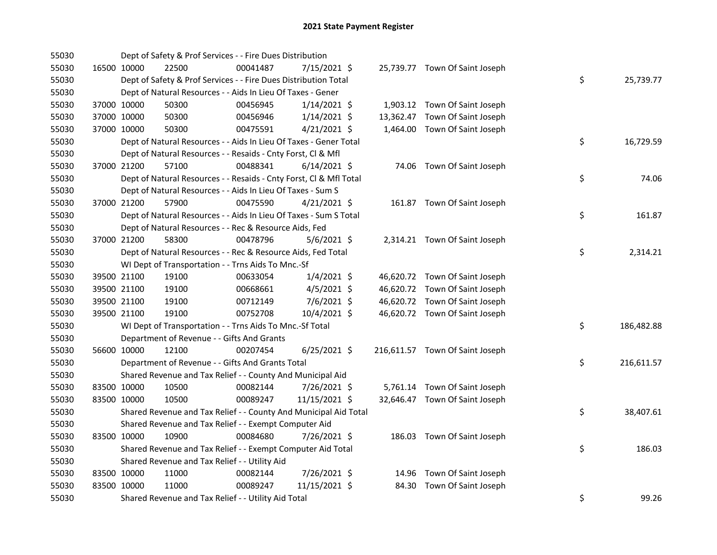| 55030 |             |             | Dept of Safety & Prof Services - - Fire Dues Distribution          |          |                |  |                                 |    |            |
|-------|-------------|-------------|--------------------------------------------------------------------|----------|----------------|--|---------------------------------|----|------------|
| 55030 |             | 16500 10000 | 22500                                                              | 00041487 | 7/15/2021 \$   |  | 25,739.77 Town Of Saint Joseph  |    |            |
| 55030 |             |             | Dept of Safety & Prof Services - - Fire Dues Distribution Total    |          |                |  |                                 | \$ | 25,739.77  |
| 55030 |             |             | Dept of Natural Resources - - Aids In Lieu Of Taxes - Gener        |          |                |  |                                 |    |            |
| 55030 |             | 37000 10000 | 50300                                                              | 00456945 | $1/14/2021$ \$ |  | 1,903.12 Town Of Saint Joseph   |    |            |
| 55030 |             | 37000 10000 | 50300                                                              | 00456946 | $1/14/2021$ \$ |  | 13,362.47 Town Of Saint Joseph  |    |            |
| 55030 | 37000 10000 |             | 50300                                                              | 00475591 | $4/21/2021$ \$ |  | 1,464.00 Town Of Saint Joseph   |    |            |
| 55030 |             |             | Dept of Natural Resources - - Aids In Lieu Of Taxes - Gener Total  |          |                |  |                                 | \$ | 16,729.59  |
| 55030 |             |             | Dept of Natural Resources - - Resaids - Cnty Forst, Cl & Mfl       |          |                |  |                                 |    |            |
| 55030 |             | 37000 21200 | 57100                                                              | 00488341 | $6/14/2021$ \$ |  | 74.06 Town Of Saint Joseph      |    |            |
| 55030 |             |             | Dept of Natural Resources - - Resaids - Cnty Forst, Cl & Mfl Total |          |                |  |                                 | \$ | 74.06      |
| 55030 |             |             | Dept of Natural Resources - - Aids In Lieu Of Taxes - Sum S        |          |                |  |                                 |    |            |
| 55030 |             | 37000 21200 | 57900                                                              | 00475590 | $4/21/2021$ \$ |  | 161.87 Town Of Saint Joseph     |    |            |
| 55030 |             |             | Dept of Natural Resources - - Aids In Lieu Of Taxes - Sum S Total  |          |                |  |                                 | \$ | 161.87     |
| 55030 |             |             | Dept of Natural Resources - - Rec & Resource Aids, Fed             |          |                |  |                                 |    |            |
| 55030 | 37000 21200 |             | 58300                                                              | 00478796 | $5/6/2021$ \$  |  | 2,314.21 Town Of Saint Joseph   |    |            |
| 55030 |             |             | Dept of Natural Resources - - Rec & Resource Aids, Fed Total       |          |                |  |                                 | \$ | 2,314.21   |
| 55030 |             |             | WI Dept of Transportation - - Trns Aids To Mnc.-Sf                 |          |                |  |                                 |    |            |
| 55030 |             | 39500 21100 | 19100                                                              | 00633054 | $1/4/2021$ \$  |  | 46,620.72 Town Of Saint Joseph  |    |            |
| 55030 |             | 39500 21100 | 19100                                                              | 00668661 | $4/5/2021$ \$  |  | 46,620.72 Town Of Saint Joseph  |    |            |
| 55030 |             | 39500 21100 | 19100                                                              | 00712149 | $7/6/2021$ \$  |  | 46,620.72 Town Of Saint Joseph  |    |            |
| 55030 |             | 39500 21100 | 19100                                                              | 00752708 | 10/4/2021 \$   |  | 46,620.72 Town Of Saint Joseph  |    |            |
| 55030 |             |             | WI Dept of Transportation - - Trns Aids To Mnc.-Sf Total           |          |                |  |                                 | \$ | 186,482.88 |
| 55030 |             |             | Department of Revenue - - Gifts And Grants                         |          |                |  |                                 |    |            |
| 55030 |             | 56600 10000 | 12100                                                              | 00207454 | $6/25/2021$ \$ |  | 216,611.57 Town Of Saint Joseph |    |            |
| 55030 |             |             | Department of Revenue - - Gifts And Grants Total                   |          |                |  |                                 | \$ | 216,611.57 |
| 55030 |             |             | Shared Revenue and Tax Relief - - County And Municipal Aid         |          |                |  |                                 |    |            |
| 55030 |             | 83500 10000 | 10500                                                              | 00082144 | 7/26/2021 \$   |  | 5,761.14 Town Of Saint Joseph   |    |            |
| 55030 |             | 83500 10000 | 10500                                                              | 00089247 | 11/15/2021 \$  |  | 32,646.47 Town Of Saint Joseph  |    |            |
| 55030 |             |             | Shared Revenue and Tax Relief - - County And Municipal Aid Total   |          |                |  |                                 | \$ | 38,407.61  |
| 55030 |             |             | Shared Revenue and Tax Relief - - Exempt Computer Aid              |          |                |  |                                 |    |            |
| 55030 |             | 83500 10000 | 10900                                                              | 00084680 | 7/26/2021 \$   |  | 186.03 Town Of Saint Joseph     |    |            |
| 55030 |             |             | Shared Revenue and Tax Relief - - Exempt Computer Aid Total        |          |                |  |                                 | \$ | 186.03     |
| 55030 |             |             | Shared Revenue and Tax Relief - - Utility Aid                      |          |                |  |                                 |    |            |
| 55030 |             | 83500 10000 | 11000                                                              | 00082144 | 7/26/2021 \$   |  | 14.96 Town Of Saint Joseph      |    |            |
| 55030 | 83500 10000 |             | 11000                                                              | 00089247 | 11/15/2021 \$  |  | 84.30 Town Of Saint Joseph      |    |            |
| 55030 |             |             | Shared Revenue and Tax Relief - - Utility Aid Total                |          |                |  |                                 | \$ | 99.26      |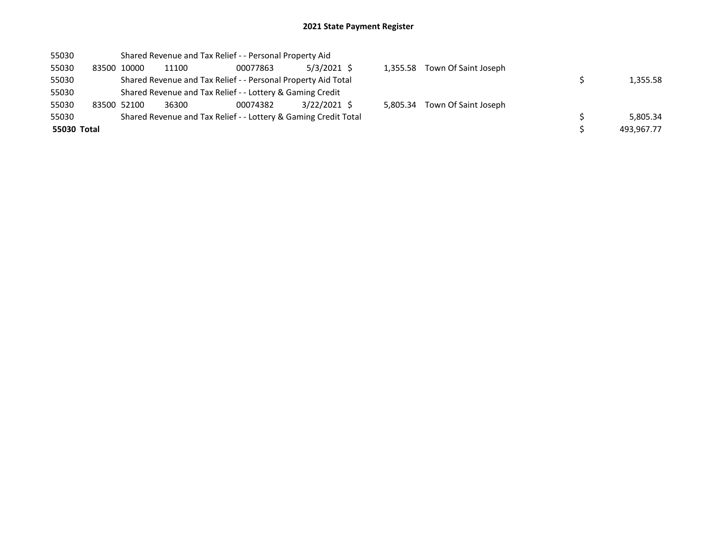| 55030       | Shared Revenue and Tax Relief - - Personal Property Aid         |                                                               |       |          |                |          |                      |  |            |
|-------------|-----------------------------------------------------------------|---------------------------------------------------------------|-------|----------|----------------|----------|----------------------|--|------------|
| 55030       | 83500 10000                                                     |                                                               | 11100 | 00077863 | $5/3/2021$ \$  | 1,355.58 | Town Of Saint Joseph |  |            |
| 55030       |                                                                 | Shared Revenue and Tax Relief - - Personal Property Aid Total |       |          |                |          |                      |  | 1,355.58   |
| 55030       |                                                                 | Shared Revenue and Tax Relief - - Lottery & Gaming Credit     |       |          |                |          |                      |  |            |
| 55030       | 83500 52100                                                     |                                                               | 36300 | 00074382 | $3/22/2021$ \$ | 5.805.34 | Town Of Saint Joseph |  |            |
| 55030       | Shared Revenue and Tax Relief - - Lottery & Gaming Credit Total |                                                               |       |          |                |          |                      |  | 5,805.34   |
| 55030 Total |                                                                 |                                                               |       |          |                |          |                      |  | 493,967.77 |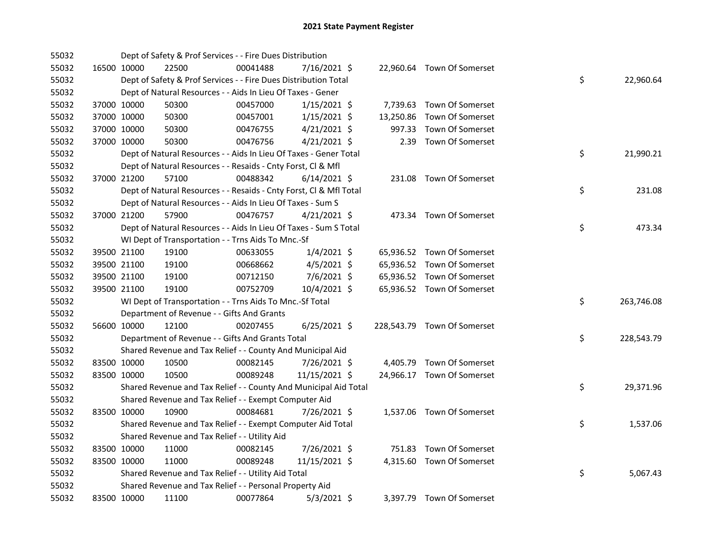| 55032 |             |             | Dept of Safety & Prof Services - - Fire Dues Distribution          |          |                |        |                             |    |            |
|-------|-------------|-------------|--------------------------------------------------------------------|----------|----------------|--------|-----------------------------|----|------------|
| 55032 |             | 16500 10000 | 22500                                                              | 00041488 | 7/16/2021 \$   |        | 22,960.64 Town Of Somerset  |    |            |
| 55032 |             |             | Dept of Safety & Prof Services - - Fire Dues Distribution Total    |          |                |        |                             | \$ | 22,960.64  |
| 55032 |             |             | Dept of Natural Resources - - Aids In Lieu Of Taxes - Gener        |          |                |        |                             |    |            |
| 55032 |             | 37000 10000 | 50300                                                              | 00457000 | $1/15/2021$ \$ |        | 7,739.63 Town Of Somerset   |    |            |
| 55032 |             | 37000 10000 | 50300                                                              | 00457001 | $1/15/2021$ \$ |        | 13,250.86 Town Of Somerset  |    |            |
| 55032 |             | 37000 10000 | 50300                                                              | 00476755 | 4/21/2021 \$   | 997.33 | Town Of Somerset            |    |            |
| 55032 | 37000 10000 |             | 50300                                                              | 00476756 | $4/21/2021$ \$ | 2.39   | Town Of Somerset            |    |            |
| 55032 |             |             | Dept of Natural Resources - - Aids In Lieu Of Taxes - Gener Total  |          |                |        |                             | \$ | 21,990.21  |
| 55032 |             |             | Dept of Natural Resources - - Resaids - Cnty Forst, Cl & Mfl       |          |                |        |                             |    |            |
| 55032 |             | 37000 21200 | 57100                                                              | 00488342 | $6/14/2021$ \$ |        | 231.08 Town Of Somerset     |    |            |
| 55032 |             |             | Dept of Natural Resources - - Resaids - Cnty Forst, Cl & Mfl Total |          |                |        |                             | \$ | 231.08     |
| 55032 |             |             | Dept of Natural Resources - - Aids In Lieu Of Taxes - Sum S        |          |                |        |                             |    |            |
| 55032 |             | 37000 21200 | 57900                                                              | 00476757 | $4/21/2021$ \$ |        | 473.34 Town Of Somerset     |    |            |
| 55032 |             |             | Dept of Natural Resources - - Aids In Lieu Of Taxes - Sum S Total  |          |                |        |                             | \$ | 473.34     |
| 55032 |             |             | WI Dept of Transportation - - Trns Aids To Mnc.-Sf                 |          |                |        |                             |    |            |
| 55032 |             | 39500 21100 | 19100                                                              | 00633055 | $1/4/2021$ \$  |        | 65,936.52 Town Of Somerset  |    |            |
| 55032 |             | 39500 21100 | 19100                                                              | 00668662 | $4/5/2021$ \$  |        | 65,936.52 Town Of Somerset  |    |            |
| 55032 |             | 39500 21100 | 19100                                                              | 00712150 | 7/6/2021 \$    |        | 65,936.52 Town Of Somerset  |    |            |
| 55032 |             | 39500 21100 | 19100                                                              | 00752709 | 10/4/2021 \$   |        | 65,936.52 Town Of Somerset  |    |            |
| 55032 |             |             | WI Dept of Transportation - - Trns Aids To Mnc.-Sf Total           |          |                |        |                             | \$ | 263,746.08 |
| 55032 |             |             | Department of Revenue - - Gifts And Grants                         |          |                |        |                             |    |            |
| 55032 |             | 56600 10000 | 12100                                                              | 00207455 | 6/25/2021 \$   |        | 228,543.79 Town Of Somerset |    |            |
| 55032 |             |             | Department of Revenue - - Gifts And Grants Total                   |          |                |        |                             | \$ | 228,543.79 |
| 55032 |             |             | Shared Revenue and Tax Relief - - County And Municipal Aid         |          |                |        |                             |    |            |
| 55032 |             | 83500 10000 | 10500                                                              | 00082145 | 7/26/2021 \$   |        | 4,405.79 Town Of Somerset   |    |            |
| 55032 |             | 83500 10000 | 10500                                                              | 00089248 | 11/15/2021 \$  |        | 24,966.17 Town Of Somerset  |    |            |
| 55032 |             |             | Shared Revenue and Tax Relief - - County And Municipal Aid Total   |          |                |        |                             | \$ | 29,371.96  |
| 55032 |             |             | Shared Revenue and Tax Relief - - Exempt Computer Aid              |          |                |        |                             |    |            |
| 55032 |             | 83500 10000 | 10900                                                              | 00084681 | 7/26/2021 \$   |        | 1,537.06 Town Of Somerset   |    |            |
| 55032 |             |             | Shared Revenue and Tax Relief - - Exempt Computer Aid Total        |          |                |        |                             | \$ | 1,537.06   |
| 55032 |             |             | Shared Revenue and Tax Relief - - Utility Aid                      |          |                |        |                             |    |            |
| 55032 |             | 83500 10000 | 11000                                                              | 00082145 | 7/26/2021 \$   |        | 751.83 Town Of Somerset     |    |            |
| 55032 |             | 83500 10000 | 11000                                                              | 00089248 | 11/15/2021 \$  |        | 4,315.60 Town Of Somerset   |    |            |
| 55032 |             |             | Shared Revenue and Tax Relief - - Utility Aid Total                |          |                |        |                             | \$ | 5,067.43   |
| 55032 |             |             | Shared Revenue and Tax Relief - - Personal Property Aid            |          |                |        |                             |    |            |
| 55032 |             | 83500 10000 | 11100                                                              | 00077864 | $5/3/2021$ \$  |        | 3,397.79 Town Of Somerset   |    |            |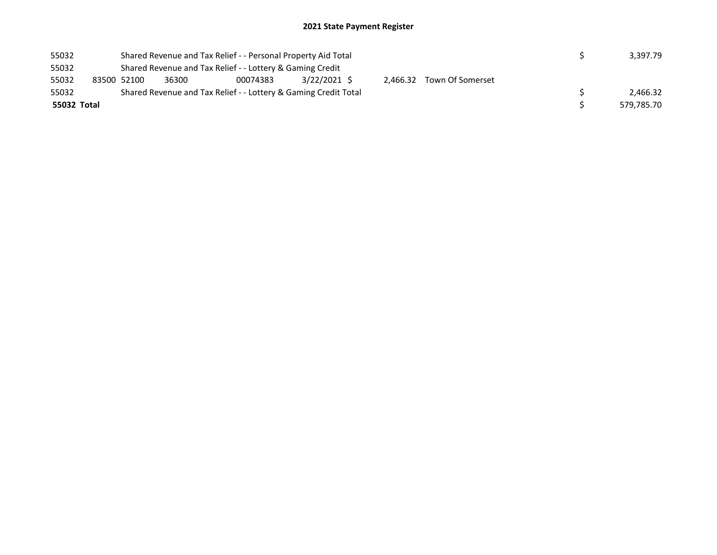## 2021 State Payment Register

| 55032       |             | Shared Revenue and Tax Relief - - Personal Property Aid Total | 3,397.79 |                                                                 |              |  |                           |            |
|-------------|-------------|---------------------------------------------------------------|----------|-----------------------------------------------------------------|--------------|--|---------------------------|------------|
| 55032       |             |                                                               |          |                                                                 |              |  |                           |            |
| 55032       | 83500 52100 |                                                               | 36300    | 00074383                                                        | 3/22/2021 \$ |  | 2,466.32 Town Of Somerset |            |
| 55032       |             |                                                               |          | Shared Revenue and Tax Relief - - Lottery & Gaming Credit Total |              |  |                           | 2.466.32   |
| 55032 Total |             |                                                               |          |                                                                 |              |  |                           | 579,785.70 |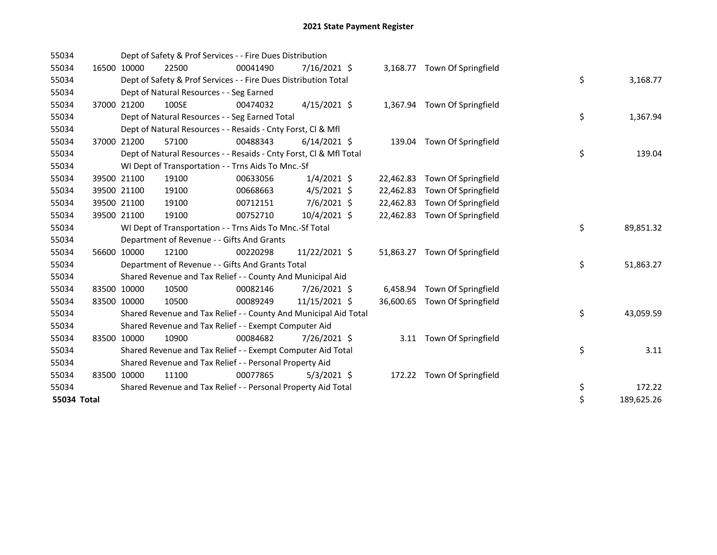| 55034       |             |             | Dept of Safety & Prof Services - - Fire Dues Distribution          |          |                |           |                               |                  |
|-------------|-------------|-------------|--------------------------------------------------------------------|----------|----------------|-----------|-------------------------------|------------------|
| 55034       |             | 16500 10000 | 22500                                                              | 00041490 | 7/16/2021 \$   |           | 3,168.77 Town Of Springfield  |                  |
| 55034       |             |             | Dept of Safety & Prof Services - - Fire Dues Distribution Total    |          |                |           |                               | \$<br>3,168.77   |
| 55034       |             |             | Dept of Natural Resources - - Seg Earned                           |          |                |           |                               |                  |
| 55034       |             | 37000 21200 | 100SE                                                              | 00474032 | $4/15/2021$ \$ |           | 1,367.94 Town Of Springfield  |                  |
| 55034       |             |             | Dept of Natural Resources - - Seg Earned Total                     |          |                |           |                               | \$<br>1,367.94   |
| 55034       |             |             | Dept of Natural Resources - - Resaids - Cnty Forst, Cl & Mfl       |          |                |           |                               |                  |
| 55034       |             | 37000 21200 | 57100                                                              | 00488343 | $6/14/2021$ \$ |           | 139.04 Town Of Springfield    |                  |
| 55034       |             |             | Dept of Natural Resources - - Resaids - Cnty Forst, Cl & Mfl Total |          |                |           |                               | \$<br>139.04     |
| 55034       |             |             | WI Dept of Transportation - - Trns Aids To Mnc.-Sf                 |          |                |           |                               |                  |
| 55034       |             | 39500 21100 | 19100                                                              | 00633056 | $1/4/2021$ \$  | 22,462.83 | Town Of Springfield           |                  |
| 55034       |             | 39500 21100 | 19100                                                              | 00668663 | $4/5/2021$ \$  | 22,462.83 | Town Of Springfield           |                  |
| 55034       |             | 39500 21100 | 19100                                                              | 00712151 | $7/6/2021$ \$  | 22,462.83 | Town Of Springfield           |                  |
| 55034       | 39500 21100 |             | 19100                                                              | 00752710 | 10/4/2021 \$   | 22,462.83 | Town Of Springfield           |                  |
| 55034       |             |             | WI Dept of Transportation - - Trns Aids To Mnc.-Sf Total           |          |                |           |                               | \$<br>89,851.32  |
| 55034       |             |             | Department of Revenue - - Gifts And Grants                         |          |                |           |                               |                  |
| 55034       |             | 56600 10000 | 12100                                                              | 00220298 | 11/22/2021 \$  |           | 51,863.27 Town Of Springfield |                  |
| 55034       |             |             | Department of Revenue - - Gifts And Grants Total                   |          |                |           |                               | \$<br>51,863.27  |
| 55034       |             |             | Shared Revenue and Tax Relief - - County And Municipal Aid         |          |                |           |                               |                  |
| 55034       | 83500 10000 |             | 10500                                                              | 00082146 | 7/26/2021 \$   | 6,458.94  | Town Of Springfield           |                  |
| 55034       | 83500 10000 |             | 10500                                                              | 00089249 | 11/15/2021 \$  | 36,600.65 | Town Of Springfield           |                  |
| 55034       |             |             | Shared Revenue and Tax Relief - - County And Municipal Aid Total   |          |                |           |                               | \$<br>43,059.59  |
| 55034       |             |             | Shared Revenue and Tax Relief - - Exempt Computer Aid              |          |                |           |                               |                  |
| 55034       | 83500 10000 |             | 10900                                                              | 00084682 | 7/26/2021 \$   | 3.11      | Town Of Springfield           |                  |
| 55034       |             |             | Shared Revenue and Tax Relief - - Exempt Computer Aid Total        |          |                |           |                               | \$<br>3.11       |
| 55034       |             |             | Shared Revenue and Tax Relief - - Personal Property Aid            |          |                |           |                               |                  |
| 55034       | 83500 10000 |             | 11100                                                              | 00077865 | $5/3/2021$ \$  |           | 172.22 Town Of Springfield    |                  |
| 55034       |             |             | Shared Revenue and Tax Relief - - Personal Property Aid Total      |          |                |           |                               | \$<br>172.22     |
| 55034 Total |             |             |                                                                    |          |                |           |                               | \$<br>189,625.26 |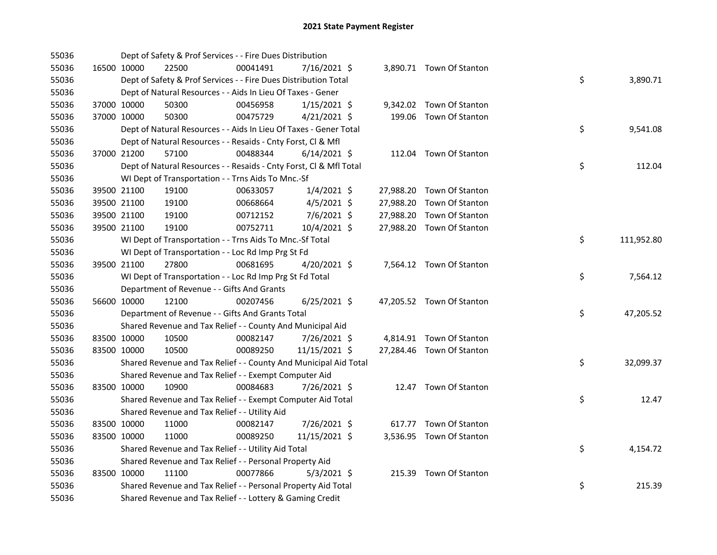| 55036 |             |             | Dept of Safety & Prof Services - - Fire Dues Distribution          |          |                |  |                           |    |            |
|-------|-------------|-------------|--------------------------------------------------------------------|----------|----------------|--|---------------------------|----|------------|
| 55036 |             | 16500 10000 | 22500                                                              | 00041491 | 7/16/2021 \$   |  | 3,890.71 Town Of Stanton  |    |            |
| 55036 |             |             | Dept of Safety & Prof Services - - Fire Dues Distribution Total    |          |                |  |                           | \$ | 3,890.71   |
| 55036 |             |             | Dept of Natural Resources - - Aids In Lieu Of Taxes - Gener        |          |                |  |                           |    |            |
| 55036 |             | 37000 10000 | 50300                                                              | 00456958 | $1/15/2021$ \$ |  | 9,342.02 Town Of Stanton  |    |            |
| 55036 | 37000 10000 |             | 50300                                                              | 00475729 | $4/21/2021$ \$ |  | 199.06 Town Of Stanton    |    |            |
| 55036 |             |             | Dept of Natural Resources - - Aids In Lieu Of Taxes - Gener Total  |          |                |  |                           | \$ | 9,541.08   |
| 55036 |             |             | Dept of Natural Resources - - Resaids - Cnty Forst, Cl & Mfl       |          |                |  |                           |    |            |
| 55036 |             | 37000 21200 | 57100                                                              | 00488344 | $6/14/2021$ \$ |  | 112.04 Town Of Stanton    |    |            |
| 55036 |             |             | Dept of Natural Resources - - Resaids - Cnty Forst, Cl & Mfl Total |          |                |  |                           | \$ | 112.04     |
| 55036 |             |             | WI Dept of Transportation - - Trns Aids To Mnc.-Sf                 |          |                |  |                           |    |            |
| 55036 |             | 39500 21100 | 19100                                                              | 00633057 | $1/4/2021$ \$  |  | 27,988.20 Town Of Stanton |    |            |
| 55036 |             | 39500 21100 | 19100                                                              | 00668664 | $4/5/2021$ \$  |  | 27,988.20 Town Of Stanton |    |            |
| 55036 |             | 39500 21100 | 19100                                                              | 00712152 | $7/6/2021$ \$  |  | 27,988.20 Town Of Stanton |    |            |
| 55036 | 39500 21100 |             | 19100                                                              | 00752711 | 10/4/2021 \$   |  | 27,988.20 Town Of Stanton |    |            |
| 55036 |             |             | WI Dept of Transportation - - Trns Aids To Mnc.-Sf Total           |          |                |  |                           | \$ | 111,952.80 |
| 55036 |             |             | WI Dept of Transportation - - Loc Rd Imp Prg St Fd                 |          |                |  |                           |    |            |
| 55036 |             | 39500 21100 | 27800                                                              | 00681695 | 4/20/2021 \$   |  | 7,564.12 Town Of Stanton  |    |            |
| 55036 |             |             | WI Dept of Transportation - - Loc Rd Imp Prg St Fd Total           |          |                |  |                           | \$ | 7,564.12   |
| 55036 |             |             | Department of Revenue - - Gifts And Grants                         |          |                |  |                           |    |            |
| 55036 |             | 56600 10000 | 12100                                                              | 00207456 | $6/25/2021$ \$ |  | 47,205.52 Town Of Stanton |    |            |
| 55036 |             |             | Department of Revenue - - Gifts And Grants Total                   |          |                |  |                           | \$ | 47,205.52  |
| 55036 |             |             | Shared Revenue and Tax Relief - - County And Municipal Aid         |          |                |  |                           |    |            |
| 55036 | 83500 10000 |             | 10500                                                              | 00082147 | 7/26/2021 \$   |  | 4,814.91 Town Of Stanton  |    |            |
| 55036 | 83500 10000 |             | 10500                                                              | 00089250 | 11/15/2021 \$  |  | 27,284.46 Town Of Stanton |    |            |
| 55036 |             |             | Shared Revenue and Tax Relief - - County And Municipal Aid Total   |          |                |  |                           | \$ | 32,099.37  |
| 55036 |             |             | Shared Revenue and Tax Relief - - Exempt Computer Aid              |          |                |  |                           |    |            |
| 55036 | 83500 10000 |             | 10900                                                              | 00084683 | 7/26/2021 \$   |  | 12.47 Town Of Stanton     |    |            |
| 55036 |             |             | Shared Revenue and Tax Relief - - Exempt Computer Aid Total        |          |                |  |                           | \$ | 12.47      |
| 55036 |             |             | Shared Revenue and Tax Relief - - Utility Aid                      |          |                |  |                           |    |            |
| 55036 |             | 83500 10000 | 11000                                                              | 00082147 | 7/26/2021 \$   |  | 617.77 Town Of Stanton    |    |            |
| 55036 | 83500 10000 |             | 11000                                                              | 00089250 | 11/15/2021 \$  |  | 3,536.95 Town Of Stanton  |    |            |
| 55036 |             |             | Shared Revenue and Tax Relief - - Utility Aid Total                |          |                |  |                           | \$ | 4,154.72   |
| 55036 |             |             | Shared Revenue and Tax Relief - - Personal Property Aid            |          |                |  |                           |    |            |
| 55036 | 83500 10000 |             | 11100                                                              | 00077866 | $5/3/2021$ \$  |  | 215.39 Town Of Stanton    |    |            |
| 55036 |             |             | Shared Revenue and Tax Relief - - Personal Property Aid Total      |          |                |  |                           | \$ | 215.39     |
| 55036 |             |             | Shared Revenue and Tax Relief - - Lottery & Gaming Credit          |          |                |  |                           |    |            |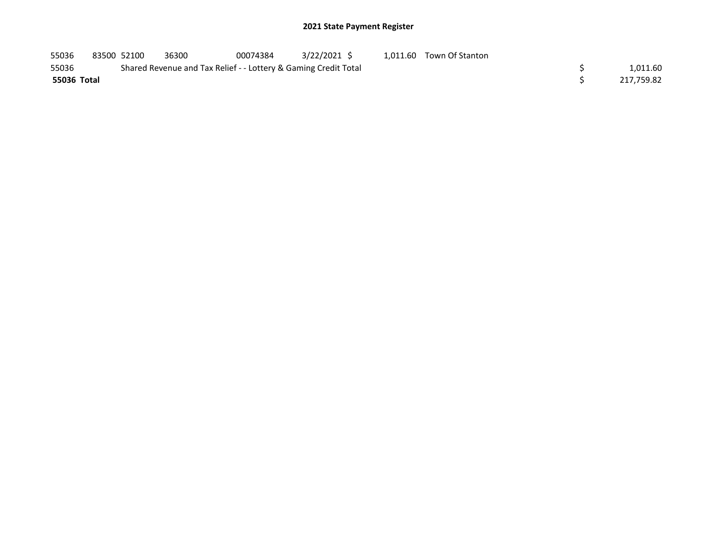## 2021 State Payment Register

| 55036       | 83500 52100 | 36300                                                           | 00074384 | 3/22/2021 \$ |  | 1,011.60 Town Of Stanton |  |            |
|-------------|-------------|-----------------------------------------------------------------|----------|--------------|--|--------------------------|--|------------|
| 55036       |             | Shared Revenue and Tax Relief - - Lottery & Gaming Credit Total |          |              |  |                          |  | 1,011.60   |
| 55036 Total |             |                                                                 |          |              |  |                          |  | 217.759.82 |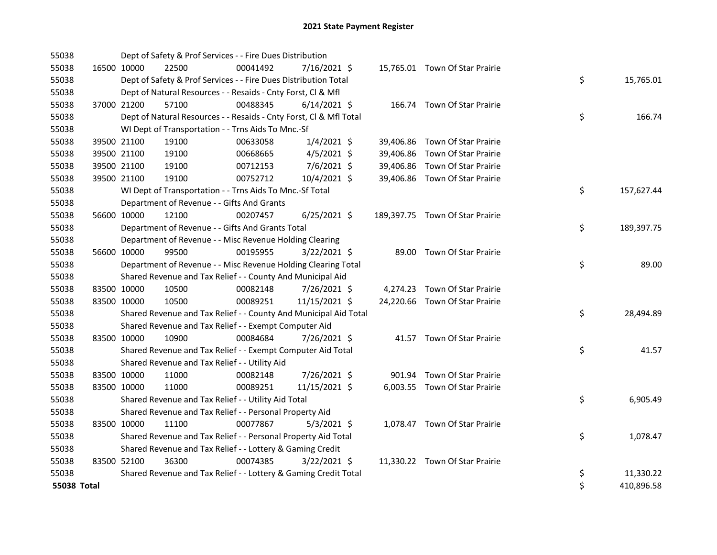| 55038       |             | Dept of Safety & Prof Services - - Fire Dues Distribution          |          |                |  |                                 |    |            |
|-------------|-------------|--------------------------------------------------------------------|----------|----------------|--|---------------------------------|----|------------|
| 55038       | 16500 10000 | 22500                                                              | 00041492 | 7/16/2021 \$   |  | 15,765.01 Town Of Star Prairie  |    |            |
| 55038       |             | Dept of Safety & Prof Services - - Fire Dues Distribution Total    |          |                |  |                                 | \$ | 15,765.01  |
| 55038       |             | Dept of Natural Resources - - Resaids - Cnty Forst, CI & Mfl       |          |                |  |                                 |    |            |
| 55038       | 37000 21200 | 57100                                                              | 00488345 | $6/14/2021$ \$ |  | 166.74 Town Of Star Prairie     |    |            |
| 55038       |             | Dept of Natural Resources - - Resaids - Cnty Forst, CI & Mfl Total |          |                |  |                                 | \$ | 166.74     |
| 55038       |             | WI Dept of Transportation - - Trns Aids To Mnc.-Sf                 |          |                |  |                                 |    |            |
| 55038       | 39500 21100 | 19100                                                              | 00633058 | $1/4/2021$ \$  |  | 39,406.86 Town Of Star Prairie  |    |            |
| 55038       | 39500 21100 | 19100                                                              | 00668665 | $4/5/2021$ \$  |  | 39,406.86 Town Of Star Prairie  |    |            |
| 55038       | 39500 21100 | 19100                                                              | 00712153 | 7/6/2021 \$    |  | 39,406.86 Town Of Star Prairie  |    |            |
| 55038       | 39500 21100 | 19100                                                              | 00752712 | 10/4/2021 \$   |  | 39,406.86 Town Of Star Prairie  |    |            |
| 55038       |             | WI Dept of Transportation - - Trns Aids To Mnc.-Sf Total           |          |                |  |                                 | \$ | 157,627.44 |
| 55038       |             | Department of Revenue - - Gifts And Grants                         |          |                |  |                                 |    |            |
| 55038       | 56600 10000 | 12100                                                              | 00207457 | $6/25/2021$ \$ |  | 189,397.75 Town Of Star Prairie |    |            |
| 55038       |             | Department of Revenue - - Gifts And Grants Total                   |          |                |  |                                 | \$ | 189,397.75 |
| 55038       |             | Department of Revenue - - Misc Revenue Holding Clearing            |          |                |  |                                 |    |            |
| 55038       | 56600 10000 | 99500                                                              | 00195955 | $3/22/2021$ \$ |  | 89.00 Town Of Star Prairie      |    |            |
| 55038       |             | Department of Revenue - - Misc Revenue Holding Clearing Total      |          |                |  |                                 | \$ | 89.00      |
| 55038       |             | Shared Revenue and Tax Relief - - County And Municipal Aid         |          |                |  |                                 |    |            |
| 55038       | 83500 10000 | 10500                                                              | 00082148 | 7/26/2021 \$   |  | 4,274.23 Town Of Star Prairie   |    |            |
| 55038       | 83500 10000 | 10500                                                              | 00089251 | 11/15/2021 \$  |  | 24,220.66 Town Of Star Prairie  |    |            |
| 55038       |             | Shared Revenue and Tax Relief - - County And Municipal Aid Total   |          |                |  |                                 | \$ | 28,494.89  |
| 55038       |             | Shared Revenue and Tax Relief - - Exempt Computer Aid              |          |                |  |                                 |    |            |
| 55038       | 83500 10000 | 10900                                                              | 00084684 | 7/26/2021 \$   |  | 41.57 Town Of Star Prairie      |    |            |
| 55038       |             | Shared Revenue and Tax Relief - - Exempt Computer Aid Total        |          |                |  |                                 | \$ | 41.57      |
| 55038       |             | Shared Revenue and Tax Relief - - Utility Aid                      |          |                |  |                                 |    |            |
| 55038       | 83500 10000 | 11000                                                              | 00082148 | 7/26/2021 \$   |  | 901.94 Town Of Star Prairie     |    |            |
| 55038       | 83500 10000 | 11000                                                              | 00089251 | 11/15/2021 \$  |  | 6,003.55 Town Of Star Prairie   |    |            |
| 55038       |             | Shared Revenue and Tax Relief - - Utility Aid Total                |          |                |  |                                 | \$ | 6,905.49   |
| 55038       |             | Shared Revenue and Tax Relief - - Personal Property Aid            |          |                |  |                                 |    |            |
| 55038       | 83500 10000 | 11100                                                              | 00077867 | $5/3/2021$ \$  |  | 1,078.47 Town Of Star Prairie   |    |            |
| 55038       |             | Shared Revenue and Tax Relief - - Personal Property Aid Total      |          |                |  |                                 | \$ | 1,078.47   |
| 55038       |             | Shared Revenue and Tax Relief - - Lottery & Gaming Credit          |          |                |  |                                 |    |            |
| 55038       | 83500 52100 | 36300                                                              | 00074385 | $3/22/2021$ \$ |  | 11,330.22 Town Of Star Prairie  |    |            |
| 55038       |             | Shared Revenue and Tax Relief - - Lottery & Gaming Credit Total    |          |                |  |                                 | \$ | 11,330.22  |
| 55038 Total |             |                                                                    |          |                |  |                                 | \$ | 410,896.58 |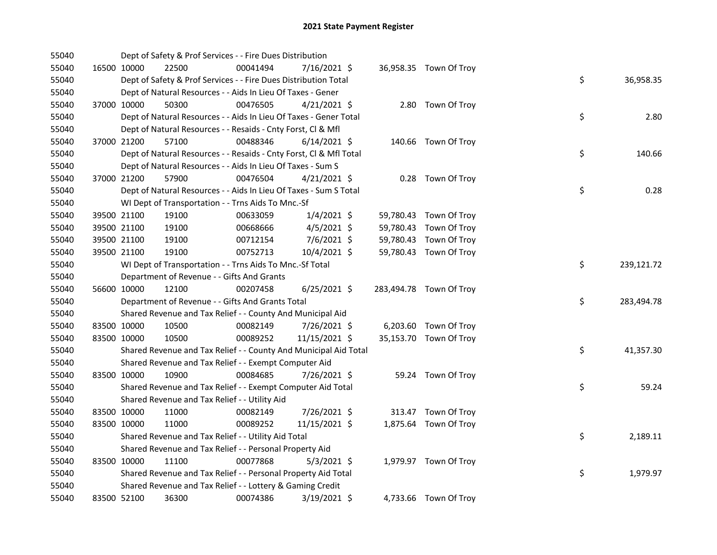| 55040 |             |             | Dept of Safety & Prof Services - - Fire Dues Distribution          |          |                |  |                         |                  |  |
|-------|-------------|-------------|--------------------------------------------------------------------|----------|----------------|--|-------------------------|------------------|--|
| 55040 |             | 16500 10000 | 22500                                                              | 00041494 | 7/16/2021 \$   |  | 36,958.35 Town Of Troy  |                  |  |
| 55040 |             |             | Dept of Safety & Prof Services - - Fire Dues Distribution Total    |          |                |  |                         | \$<br>36,958.35  |  |
| 55040 |             |             | Dept of Natural Resources - - Aids In Lieu Of Taxes - Gener        |          |                |  |                         |                  |  |
| 55040 |             | 37000 10000 | 50300                                                              | 00476505 | $4/21/2021$ \$ |  | 2.80 Town Of Troy       |                  |  |
| 55040 |             |             | Dept of Natural Resources - - Aids In Lieu Of Taxes - Gener Total  |          |                |  |                         | \$<br>2.80       |  |
| 55040 |             |             | Dept of Natural Resources - - Resaids - Cnty Forst, Cl & Mfl       |          |                |  |                         |                  |  |
| 55040 |             | 37000 21200 | 57100                                                              | 00488346 | $6/14/2021$ \$ |  | 140.66 Town Of Troy     |                  |  |
| 55040 |             |             | Dept of Natural Resources - - Resaids - Cnty Forst, Cl & Mfl Total |          |                |  |                         | \$<br>140.66     |  |
| 55040 |             |             | Dept of Natural Resources - - Aids In Lieu Of Taxes - Sum S        |          |                |  |                         |                  |  |
| 55040 |             | 37000 21200 | 57900                                                              | 00476504 | $4/21/2021$ \$ |  | 0.28 Town Of Troy       |                  |  |
| 55040 |             |             | Dept of Natural Resources - - Aids In Lieu Of Taxes - Sum S Total  |          |                |  |                         | \$<br>0.28       |  |
| 55040 |             |             | WI Dept of Transportation - - Trns Aids To Mnc.-Sf                 |          |                |  |                         |                  |  |
| 55040 |             | 39500 21100 | 19100                                                              | 00633059 | $1/4/2021$ \$  |  | 59,780.43 Town Of Troy  |                  |  |
| 55040 |             | 39500 21100 | 19100                                                              | 00668666 | $4/5/2021$ \$  |  | 59,780.43 Town Of Troy  |                  |  |
| 55040 | 39500 21100 |             | 19100                                                              | 00712154 | 7/6/2021 \$    |  | 59,780.43 Town Of Troy  |                  |  |
| 55040 |             | 39500 21100 | 19100                                                              | 00752713 | 10/4/2021 \$   |  | 59,780.43 Town Of Troy  |                  |  |
| 55040 |             |             | WI Dept of Transportation - - Trns Aids To Mnc.-Sf Total           |          |                |  |                         | \$<br>239,121.72 |  |
| 55040 |             |             | Department of Revenue - - Gifts And Grants                         |          |                |  |                         |                  |  |
| 55040 |             | 56600 10000 | 12100                                                              | 00207458 | $6/25/2021$ \$ |  | 283,494.78 Town Of Troy |                  |  |
| 55040 |             |             | Department of Revenue - - Gifts And Grants Total                   |          |                |  |                         | \$<br>283,494.78 |  |
| 55040 |             |             | Shared Revenue and Tax Relief - - County And Municipal Aid         |          |                |  |                         |                  |  |
| 55040 | 83500 10000 |             | 10500                                                              | 00082149 | 7/26/2021 \$   |  | 6,203.60 Town Of Troy   |                  |  |
| 55040 | 83500 10000 |             | 10500                                                              | 00089252 | 11/15/2021 \$  |  | 35,153.70 Town Of Troy  |                  |  |
| 55040 |             |             | Shared Revenue and Tax Relief - - County And Municipal Aid Total   |          |                |  |                         | \$<br>41,357.30  |  |
| 55040 |             |             | Shared Revenue and Tax Relief - - Exempt Computer Aid              |          |                |  |                         |                  |  |
| 55040 | 83500 10000 |             | 10900                                                              | 00084685 | 7/26/2021 \$   |  | 59.24 Town Of Troy      |                  |  |
| 55040 |             |             | Shared Revenue and Tax Relief - - Exempt Computer Aid Total        |          |                |  |                         | \$<br>59.24      |  |
| 55040 |             |             | Shared Revenue and Tax Relief - - Utility Aid                      |          |                |  |                         |                  |  |
| 55040 | 83500 10000 |             | 11000                                                              | 00082149 | 7/26/2021 \$   |  | 313.47 Town Of Troy     |                  |  |
| 55040 | 83500 10000 |             | 11000                                                              | 00089252 | 11/15/2021 \$  |  | 1,875.64 Town Of Troy   |                  |  |
| 55040 |             |             | Shared Revenue and Tax Relief - - Utility Aid Total                |          |                |  |                         | \$<br>2,189.11   |  |
| 55040 |             |             | Shared Revenue and Tax Relief - - Personal Property Aid            |          |                |  |                         |                  |  |
| 55040 | 83500 10000 |             | 11100                                                              | 00077868 | $5/3/2021$ \$  |  | 1,979.97 Town Of Troy   |                  |  |
| 55040 |             |             | Shared Revenue and Tax Relief - - Personal Property Aid Total      |          |                |  |                         | \$<br>1,979.97   |  |
| 55040 |             |             | Shared Revenue and Tax Relief - - Lottery & Gaming Credit          |          |                |  |                         |                  |  |
| 55040 | 83500 52100 |             | 36300                                                              | 00074386 | 3/19/2021 \$   |  | 4,733.66 Town Of Troy   |                  |  |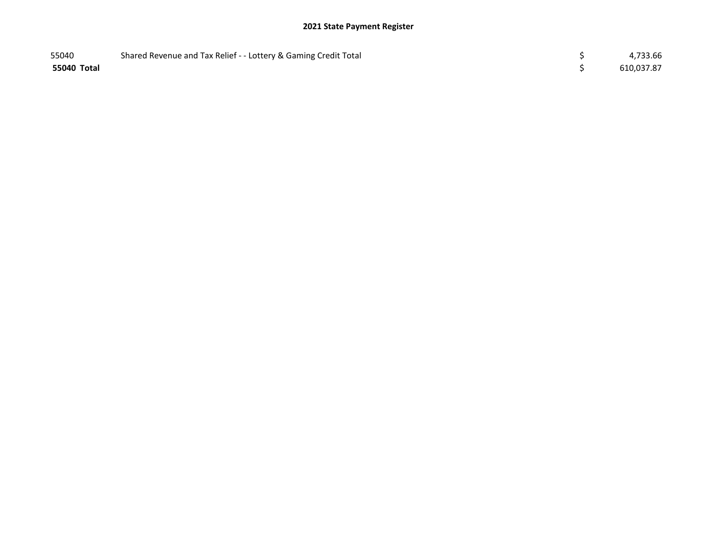## 2021 State Payment Register

| 55040       | Shared Revenue and Tax Relief - - Lottery & Gaming Credit Total | 4,733.66   |
|-------------|-----------------------------------------------------------------|------------|
| 55040 Total |                                                                 | 610,037.87 |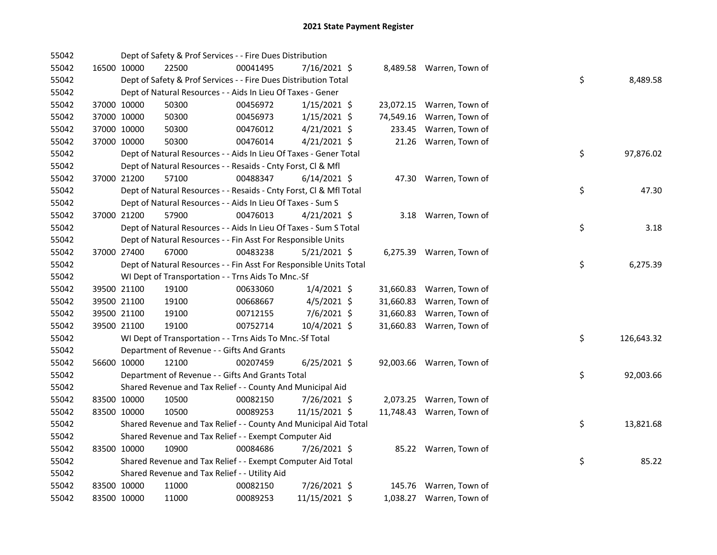| 55042 |             | Dept of Safety & Prof Services - - Fire Dues Distribution          |          |                |           |                           |    |            |
|-------|-------------|--------------------------------------------------------------------|----------|----------------|-----------|---------------------------|----|------------|
| 55042 | 16500 10000 | 22500                                                              | 00041495 | 7/16/2021 \$   |           | 8,489.58 Warren, Town of  |    |            |
| 55042 |             | Dept of Safety & Prof Services - - Fire Dues Distribution Total    |          |                |           |                           | \$ | 8,489.58   |
| 55042 |             | Dept of Natural Resources - - Aids In Lieu Of Taxes - Gener        |          |                |           |                           |    |            |
| 55042 | 37000 10000 | 50300                                                              | 00456972 | $1/15/2021$ \$ |           | 23,072.15 Warren, Town of |    |            |
| 55042 | 37000 10000 | 50300                                                              | 00456973 | $1/15/2021$ \$ |           | 74,549.16 Warren, Town of |    |            |
| 55042 | 37000 10000 | 50300                                                              | 00476012 | $4/21/2021$ \$ |           | 233.45 Warren, Town of    |    |            |
| 55042 | 37000 10000 | 50300                                                              | 00476014 | $4/21/2021$ \$ |           | 21.26 Warren, Town of     |    |            |
| 55042 |             | Dept of Natural Resources - - Aids In Lieu Of Taxes - Gener Total  |          |                |           |                           | \$ | 97,876.02  |
| 55042 |             | Dept of Natural Resources - - Resaids - Cnty Forst, CI & Mfl       |          |                |           |                           |    |            |
| 55042 | 37000 21200 | 57100                                                              | 00488347 | $6/14/2021$ \$ |           | 47.30 Warren, Town of     |    |            |
| 55042 |             | Dept of Natural Resources - - Resaids - Cnty Forst, Cl & Mfl Total |          |                |           |                           | \$ | 47.30      |
| 55042 |             | Dept of Natural Resources - - Aids In Lieu Of Taxes - Sum S        |          |                |           |                           |    |            |
| 55042 | 37000 21200 | 57900                                                              | 00476013 | $4/21/2021$ \$ |           | 3.18 Warren, Town of      |    |            |
| 55042 |             | Dept of Natural Resources - - Aids In Lieu Of Taxes - Sum S Total  |          |                |           |                           | \$ | 3.18       |
| 55042 |             | Dept of Natural Resources - - Fin Asst For Responsible Units       |          |                |           |                           |    |            |
| 55042 | 37000 27400 | 67000                                                              | 00483238 | $5/21/2021$ \$ |           | 6,275.39 Warren, Town of  |    |            |
| 55042 |             | Dept of Natural Resources - - Fin Asst For Responsible Units Total |          |                |           |                           | \$ | 6,275.39   |
| 55042 |             | WI Dept of Transportation - - Trns Aids To Mnc.-Sf                 |          |                |           |                           |    |            |
| 55042 | 39500 21100 | 19100                                                              | 00633060 | $1/4/2021$ \$  |           | 31,660.83 Warren, Town of |    |            |
| 55042 | 39500 21100 | 19100                                                              | 00668667 | $4/5/2021$ \$  | 31,660.83 | Warren, Town of           |    |            |
| 55042 | 39500 21100 | 19100                                                              | 00712155 | $7/6/2021$ \$  | 31,660.83 | Warren, Town of           |    |            |
| 55042 | 39500 21100 | 19100                                                              | 00752714 | 10/4/2021 \$   |           | 31,660.83 Warren, Town of |    |            |
| 55042 |             | WI Dept of Transportation - - Trns Aids To Mnc.-Sf Total           |          |                |           |                           | \$ | 126,643.32 |
| 55042 |             | Department of Revenue - - Gifts And Grants                         |          |                |           |                           |    |            |
| 55042 | 56600 10000 | 12100                                                              | 00207459 | $6/25/2021$ \$ |           | 92,003.66 Warren, Town of |    |            |
| 55042 |             | Department of Revenue - - Gifts And Grants Total                   |          |                |           |                           | \$ | 92,003.66  |
| 55042 |             | Shared Revenue and Tax Relief - - County And Municipal Aid         |          |                |           |                           |    |            |
| 55042 | 83500 10000 | 10500                                                              | 00082150 | 7/26/2021 \$   |           | 2,073.25 Warren, Town of  |    |            |
| 55042 | 83500 10000 | 10500                                                              | 00089253 | 11/15/2021 \$  |           | 11,748.43 Warren, Town of |    |            |
| 55042 |             | Shared Revenue and Tax Relief - - County And Municipal Aid Total   |          |                |           |                           | \$ | 13,821.68  |
| 55042 |             | Shared Revenue and Tax Relief - - Exempt Computer Aid              |          |                |           |                           |    |            |
| 55042 | 83500 10000 | 10900                                                              | 00084686 | 7/26/2021 \$   |           | 85.22 Warren, Town of     |    |            |
| 55042 |             | Shared Revenue and Tax Relief - - Exempt Computer Aid Total        |          |                |           |                           | \$ | 85.22      |
| 55042 |             | Shared Revenue and Tax Relief - - Utility Aid                      |          |                |           |                           |    |            |
| 55042 | 83500 10000 | 11000                                                              | 00082150 | 7/26/2021 \$   |           | 145.76 Warren, Town of    |    |            |
| 55042 | 83500 10000 | 11000                                                              | 00089253 | 11/15/2021 \$  |           | 1,038.27 Warren, Town of  |    |            |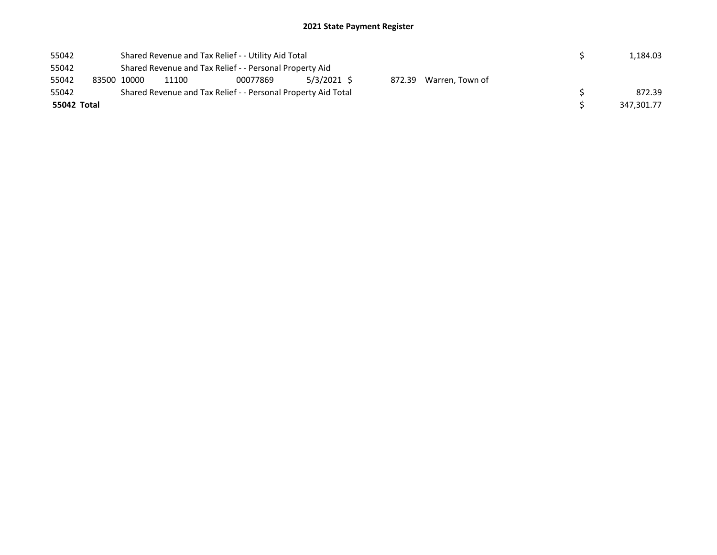| 55042 |             | Shared Revenue and Tax Relief - - Utility Aid Total<br>Shared Revenue and Tax Relief - - Personal Property Aid |       |                                                               |             |  |                        |  |  | 1.184.03   |
|-------|-------------|----------------------------------------------------------------------------------------------------------------|-------|---------------------------------------------------------------|-------------|--|------------------------|--|--|------------|
| 55042 |             |                                                                                                                |       |                                                               |             |  |                        |  |  |            |
| 55042 |             | 83500 10000                                                                                                    | 11100 | 00077869                                                      | 5/3/2021 \$ |  | 872.39 Warren, Town of |  |  |            |
| 55042 |             |                                                                                                                |       | Shared Revenue and Tax Relief - - Personal Property Aid Total |             |  |                        |  |  | 872.39     |
|       | 55042 Total |                                                                                                                |       |                                                               |             |  |                        |  |  | 347.301.77 |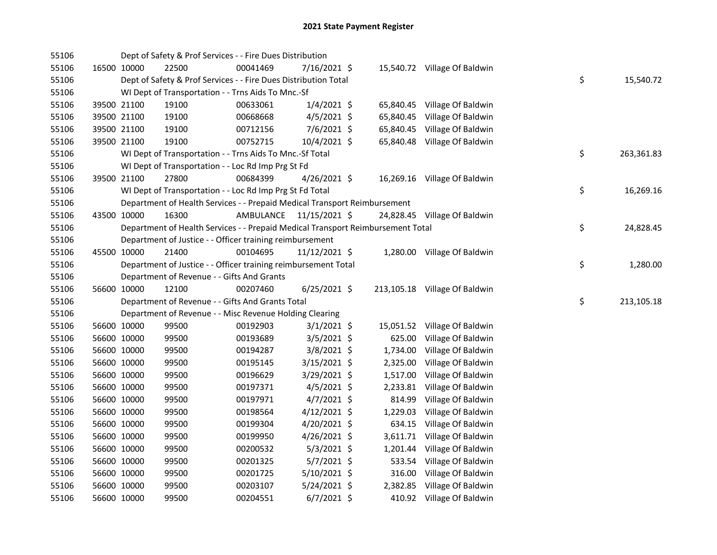| 55106 |             | Dept of Safety & Prof Services - - Fire Dues Distribution                       |                         |                 |           |                               |    |            |
|-------|-------------|---------------------------------------------------------------------------------|-------------------------|-----------------|-----------|-------------------------------|----|------------|
| 55106 | 16500 10000 | 22500                                                                           | 00041469                | 7/16/2021 \$    |           | 15,540.72 Village Of Baldwin  |    |            |
| 55106 |             | Dept of Safety & Prof Services - - Fire Dues Distribution Total                 |                         |                 |           |                               | \$ | 15,540.72  |
| 55106 |             | WI Dept of Transportation - - Trns Aids To Mnc.-Sf                              |                         |                 |           |                               |    |            |
| 55106 | 39500 21100 | 19100                                                                           | 00633061                | $1/4/2021$ \$   |           | 65,840.45 Village Of Baldwin  |    |            |
| 55106 | 39500 21100 | 19100                                                                           | 00668668                | $4/5/2021$ \$   |           | 65,840.45 Village Of Baldwin  |    |            |
| 55106 | 39500 21100 | 19100                                                                           | 00712156                | 7/6/2021 \$     |           | 65,840.45 Village Of Baldwin  |    |            |
| 55106 | 39500 21100 | 19100                                                                           | 00752715                | 10/4/2021 \$    |           | 65,840.48 Village Of Baldwin  |    |            |
| 55106 |             | WI Dept of Transportation - - Trns Aids To Mnc.-Sf Total                        |                         |                 |           |                               | \$ | 263,361.83 |
| 55106 |             | WI Dept of Transportation - - Loc Rd Imp Prg St Fd                              |                         |                 |           |                               |    |            |
| 55106 | 39500 21100 | 27800                                                                           | 00684399                | $4/26/2021$ \$  |           | 16,269.16 Village Of Baldwin  |    |            |
| 55106 |             | WI Dept of Transportation - - Loc Rd Imp Prg St Fd Total                        |                         |                 |           |                               | \$ | 16,269.16  |
| 55106 |             | Department of Health Services - - Prepaid Medical Transport Reimbursement       |                         |                 |           |                               |    |            |
| 55106 | 43500 10000 | 16300                                                                           | AMBULANCE 11/15/2021 \$ |                 |           | 24,828.45 Village Of Baldwin  |    |            |
| 55106 |             | Department of Health Services - - Prepaid Medical Transport Reimbursement Total |                         |                 |           |                               | \$ | 24,828.45  |
| 55106 |             | Department of Justice - - Officer training reimbursement                        |                         |                 |           |                               |    |            |
| 55106 | 45500 10000 | 21400                                                                           | 00104695                | $11/12/2021$ \$ |           | 1,280.00 Village Of Baldwin   |    |            |
| 55106 |             | Department of Justice - - Officer training reimbursement Total                  |                         |                 |           |                               | \$ | 1,280.00   |
| 55106 |             | Department of Revenue - - Gifts And Grants                                      |                         |                 |           |                               |    |            |
| 55106 | 56600 10000 | 12100                                                                           | 00207460                | $6/25/2021$ \$  |           | 213,105.18 Village Of Baldwin |    |            |
| 55106 |             | Department of Revenue - - Gifts And Grants Total                                |                         |                 |           |                               | \$ | 213,105.18 |
| 55106 |             | Department of Revenue - - Misc Revenue Holding Clearing                         |                         |                 |           |                               |    |            |
| 55106 | 56600 10000 | 99500                                                                           | 00192903                | $3/1/2021$ \$   | 15,051.52 | Village Of Baldwin            |    |            |
| 55106 | 56600 10000 | 99500                                                                           | 00193689                | $3/5/2021$ \$   | 625.00    | Village Of Baldwin            |    |            |
| 55106 | 56600 10000 | 99500                                                                           | 00194287                | $3/8/2021$ \$   | 1,734.00  | Village Of Baldwin            |    |            |
| 55106 | 56600 10000 | 99500                                                                           | 00195145                | $3/15/2021$ \$  | 2,325.00  | Village Of Baldwin            |    |            |
| 55106 | 56600 10000 | 99500                                                                           | 00196629                | 3/29/2021 \$    | 1,517.00  | Village Of Baldwin            |    |            |
| 55106 | 56600 10000 | 99500                                                                           | 00197371                | $4/5/2021$ \$   | 2,233.81  | Village Of Baldwin            |    |            |
| 55106 | 56600 10000 | 99500                                                                           | 00197971                | $4/7/2021$ \$   | 814.99    | Village Of Baldwin            |    |            |
| 55106 | 56600 10000 | 99500                                                                           | 00198564                | $4/12/2021$ \$  | 1,229.03  | Village Of Baldwin            |    |            |
| 55106 | 56600 10000 | 99500                                                                           | 00199304                | 4/20/2021 \$    |           | 634.15 Village Of Baldwin     |    |            |
| 55106 | 56600 10000 | 99500                                                                           | 00199950                | $4/26/2021$ \$  |           | 3,611.71 Village Of Baldwin   |    |            |
| 55106 | 56600 10000 | 99500                                                                           | 00200532                | $5/3/2021$ \$   |           | 1,201.44 Village Of Baldwin   |    |            |
| 55106 | 56600 10000 | 99500                                                                           | 00201325                | $5/7/2021$ \$   |           | 533.54 Village Of Baldwin     |    |            |
| 55106 | 56600 10000 | 99500                                                                           | 00201725                | 5/10/2021 \$    | 316.00    | Village Of Baldwin            |    |            |
| 55106 | 56600 10000 | 99500                                                                           | 00203107                | $5/24/2021$ \$  |           | 2,382.85 Village Of Baldwin   |    |            |
| 55106 | 56600 10000 | 99500                                                                           | 00204551                | $6/7/2021$ \$   |           | 410.92 Village Of Baldwin     |    |            |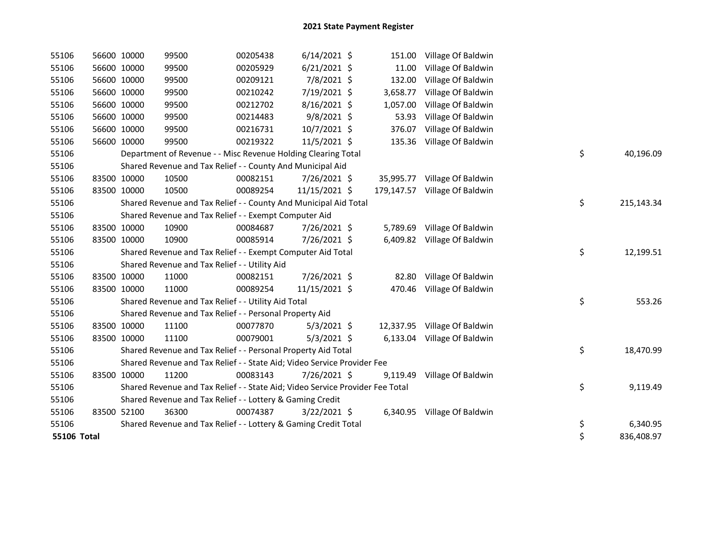| 55106       | 56600 10000 | 99500                                                                         | 00205438 | $6/14/2021$ \$ | 151.00     | Village Of Baldwin           |    |            |
|-------------|-------------|-------------------------------------------------------------------------------|----------|----------------|------------|------------------------------|----|------------|
| 55106       | 56600 10000 | 99500                                                                         | 00205929 | $6/21/2021$ \$ | 11.00      | Village Of Baldwin           |    |            |
| 55106       | 56600 10000 | 99500                                                                         | 00209121 | 7/8/2021 \$    | 132.00     | Village Of Baldwin           |    |            |
| 55106       | 56600 10000 | 99500                                                                         | 00210242 | 7/19/2021 \$   | 3,658.77   | Village Of Baldwin           |    |            |
| 55106       | 56600 10000 | 99500                                                                         | 00212702 | 8/16/2021 \$   | 1,057.00   | Village Of Baldwin           |    |            |
| 55106       | 56600 10000 | 99500                                                                         | 00214483 | $9/8/2021$ \$  | 53.93      | Village Of Baldwin           |    |            |
| 55106       | 56600 10000 | 99500                                                                         | 00216731 | 10/7/2021 \$   | 376.07     | Village Of Baldwin           |    |            |
| 55106       | 56600 10000 | 99500                                                                         | 00219322 | 11/5/2021 \$   | 135.36     | Village Of Baldwin           |    |            |
| 55106       |             | Department of Revenue - - Misc Revenue Holding Clearing Total                 |          |                |            |                              | \$ | 40,196.09  |
| 55106       |             | Shared Revenue and Tax Relief - - County And Municipal Aid                    |          |                |            |                              |    |            |
| 55106       | 83500 10000 | 10500                                                                         | 00082151 | 7/26/2021 \$   | 35,995.77  | Village Of Baldwin           |    |            |
| 55106       | 83500 10000 | 10500                                                                         | 00089254 | 11/15/2021 \$  | 179,147.57 | Village Of Baldwin           |    |            |
| 55106       |             | Shared Revenue and Tax Relief - - County And Municipal Aid Total              |          |                |            |                              | \$ | 215,143.34 |
| 55106       |             | Shared Revenue and Tax Relief - - Exempt Computer Aid                         |          |                |            |                              |    |            |
| 55106       | 83500 10000 | 10900                                                                         | 00084687 | 7/26/2021 \$   |            | 5,789.69 Village Of Baldwin  |    |            |
| 55106       | 83500 10000 | 10900                                                                         | 00085914 | 7/26/2021 \$   | 6,409.82   | Village Of Baldwin           |    |            |
| 55106       |             | Shared Revenue and Tax Relief - - Exempt Computer Aid Total                   |          |                |            |                              | \$ | 12,199.51  |
| 55106       |             | Shared Revenue and Tax Relief - - Utility Aid                                 |          |                |            |                              |    |            |
| 55106       | 83500 10000 | 11000                                                                         | 00082151 | 7/26/2021 \$   | 82.80      | Village Of Baldwin           |    |            |
| 55106       | 83500 10000 | 11000                                                                         | 00089254 | 11/15/2021 \$  | 470.46     | Village Of Baldwin           |    |            |
| 55106       |             | Shared Revenue and Tax Relief - - Utility Aid Total                           |          |                |            |                              | \$ | 553.26     |
| 55106       |             | Shared Revenue and Tax Relief - - Personal Property Aid                       |          |                |            |                              |    |            |
| 55106       | 83500 10000 | 11100                                                                         | 00077870 | $5/3/2021$ \$  |            | 12,337.95 Village Of Baldwin |    |            |
| 55106       | 83500 10000 | 11100                                                                         | 00079001 | $5/3/2021$ \$  | 6,133.04   | Village Of Baldwin           |    |            |
| 55106       |             | Shared Revenue and Tax Relief - - Personal Property Aid Total                 |          |                |            |                              | \$ | 18,470.99  |
| 55106       |             | Shared Revenue and Tax Relief - - State Aid; Video Service Provider Fee       |          |                |            |                              |    |            |
| 55106       | 83500 10000 | 11200                                                                         | 00083143 | 7/26/2021 \$   | 9,119.49   | Village Of Baldwin           |    |            |
| 55106       |             | Shared Revenue and Tax Relief - - State Aid; Video Service Provider Fee Total |          |                |            |                              | \$ | 9,119.49   |
| 55106       |             | Shared Revenue and Tax Relief - - Lottery & Gaming Credit                     |          |                |            |                              |    |            |
| 55106       | 83500 52100 | 36300                                                                         | 00074387 | $3/22/2021$ \$ |            | 6,340.95 Village Of Baldwin  |    |            |
| 55106       |             | Shared Revenue and Tax Relief - - Lottery & Gaming Credit Total               |          |                |            |                              | \$ | 6,340.95   |
| 55106 Total |             |                                                                               |          |                |            |                              | \$ | 836,408.97 |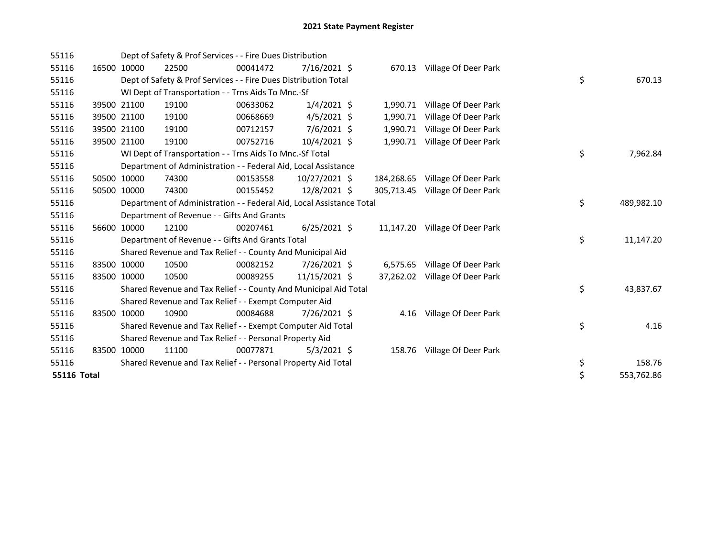| 55116              |             | Dept of Safety & Prof Services - - Fire Dues Distribution            |          |                |            |                                |    |            |
|--------------------|-------------|----------------------------------------------------------------------|----------|----------------|------------|--------------------------------|----|------------|
| 55116              | 16500 10000 | 22500                                                                | 00041472 | $7/16/2021$ \$ | 670.13     | Village Of Deer Park           |    |            |
| 55116              |             | Dept of Safety & Prof Services - - Fire Dues Distribution Total      |          |                |            |                                | \$ | 670.13     |
| 55116              |             | WI Dept of Transportation - - Trns Aids To Mnc.-Sf                   |          |                |            |                                |    |            |
| 55116              | 39500 21100 | 19100                                                                | 00633062 | $1/4/2021$ \$  | 1,990.71   | Village Of Deer Park           |    |            |
| 55116              | 39500 21100 | 19100                                                                | 00668669 | $4/5/2021$ \$  | 1,990.71   | Village Of Deer Park           |    |            |
| 55116              | 39500 21100 | 19100                                                                | 00712157 | 7/6/2021 \$    | 1,990.71   | Village Of Deer Park           |    |            |
| 55116              | 39500 21100 | 19100                                                                | 00752716 | 10/4/2021 \$   |            | 1,990.71 Village Of Deer Park  |    |            |
| 55116              |             | WI Dept of Transportation - - Trns Aids To Mnc.-Sf Total             |          |                |            |                                | \$ | 7,962.84   |
| 55116              |             | Department of Administration - - Federal Aid, Local Assistance       |          |                |            |                                |    |            |
| 55116              | 50500 10000 | 74300                                                                | 00153558 | 10/27/2021 \$  | 184,268.65 | Village Of Deer Park           |    |            |
| 55116              | 50500 10000 | 74300                                                                | 00155452 | 12/8/2021 \$   | 305,713.45 | Village Of Deer Park           |    |            |
| 55116              |             | Department of Administration - - Federal Aid, Local Assistance Total |          |                |            |                                | \$ | 489,982.10 |
| 55116              |             | Department of Revenue - - Gifts And Grants                           |          |                |            |                                |    |            |
| 55116              | 56600 10000 | 12100                                                                | 00207461 | $6/25/2021$ \$ |            | 11,147.20 Village Of Deer Park |    |            |
| 55116              |             | Department of Revenue - - Gifts And Grants Total                     |          |                |            |                                | \$ | 11,147.20  |
| 55116              |             | Shared Revenue and Tax Relief - - County And Municipal Aid           |          |                |            |                                |    |            |
| 55116              | 83500 10000 | 10500                                                                | 00082152 | 7/26/2021 \$   |            | 6,575.65 Village Of Deer Park  |    |            |
| 55116              | 83500 10000 | 10500                                                                | 00089255 | 11/15/2021 \$  |            | 37,262.02 Village Of Deer Park |    |            |
| 55116              |             | Shared Revenue and Tax Relief - - County And Municipal Aid Total     |          |                |            |                                | \$ | 43,837.67  |
| 55116              |             | Shared Revenue and Tax Relief - - Exempt Computer Aid                |          |                |            |                                |    |            |
| 55116              | 83500 10000 | 10900                                                                | 00084688 | 7/26/2021 \$   |            | 4.16 Village Of Deer Park      |    |            |
| 55116              |             | Shared Revenue and Tax Relief - - Exempt Computer Aid Total          |          |                |            |                                | \$ | 4.16       |
| 55116              |             | Shared Revenue and Tax Relief - - Personal Property Aid              |          |                |            |                                |    |            |
| 55116              | 83500 10000 | 11100                                                                | 00077871 | $5/3/2021$ \$  |            | 158.76 Village Of Deer Park    |    |            |
| 55116              |             | Shared Revenue and Tax Relief - - Personal Property Aid Total        |          |                |            |                                | \$ | 158.76     |
| <b>55116 Total</b> |             |                                                                      |          |                |            |                                | \$ | 553,762.86 |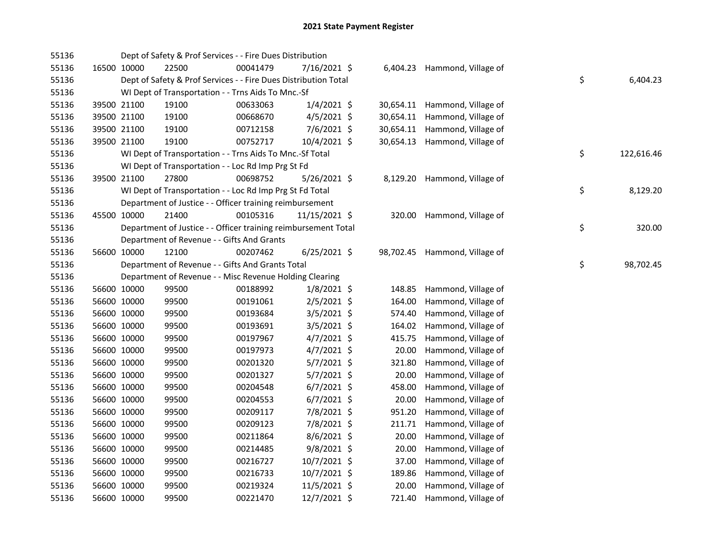| 55136 |             | Dept of Safety & Prof Services - - Fire Dues Distribution       |          |                |           |                               |    |            |
|-------|-------------|-----------------------------------------------------------------|----------|----------------|-----------|-------------------------------|----|------------|
| 55136 | 16500 10000 | 22500                                                           | 00041479 | 7/16/2021 \$   |           | 6,404.23 Hammond, Village of  |    |            |
| 55136 |             | Dept of Safety & Prof Services - - Fire Dues Distribution Total |          |                |           |                               | \$ | 6,404.23   |
| 55136 |             | WI Dept of Transportation - - Trns Aids To Mnc.-Sf              |          |                |           |                               |    |            |
| 55136 | 39500 21100 | 19100                                                           | 00633063 | $1/4/2021$ \$  |           | 30,654.11 Hammond, Village of |    |            |
| 55136 | 39500 21100 | 19100                                                           | 00668670 | $4/5/2021$ \$  | 30,654.11 | Hammond, Village of           |    |            |
| 55136 | 39500 21100 | 19100                                                           | 00712158 | 7/6/2021 \$    |           | 30,654.11 Hammond, Village of |    |            |
| 55136 | 39500 21100 | 19100                                                           | 00752717 | 10/4/2021 \$   |           | 30,654.13 Hammond, Village of |    |            |
| 55136 |             | WI Dept of Transportation - - Trns Aids To Mnc.-Sf Total        |          |                |           |                               | \$ | 122,616.46 |
| 55136 |             | WI Dept of Transportation - - Loc Rd Imp Prg St Fd              |          |                |           |                               |    |            |
| 55136 | 39500 21100 | 27800                                                           | 00698752 | 5/26/2021 \$   |           | 8,129.20 Hammond, Village of  |    |            |
| 55136 |             | WI Dept of Transportation - - Loc Rd Imp Prg St Fd Total        |          |                |           |                               | \$ | 8,129.20   |
| 55136 |             | Department of Justice - - Officer training reimbursement        |          |                |           |                               |    |            |
| 55136 | 45500 10000 | 21400                                                           | 00105316 | 11/15/2021 \$  |           | 320.00 Hammond, Village of    |    |            |
| 55136 |             | Department of Justice - - Officer training reimbursement Total  |          |                |           |                               | \$ | 320.00     |
| 55136 |             | Department of Revenue - - Gifts And Grants                      |          |                |           |                               |    |            |
| 55136 | 56600 10000 | 12100                                                           | 00207462 | $6/25/2021$ \$ |           | 98,702.45 Hammond, Village of |    |            |
| 55136 |             | Department of Revenue - - Gifts And Grants Total                |          |                |           |                               | \$ | 98,702.45  |
| 55136 |             | Department of Revenue - - Misc Revenue Holding Clearing         |          |                |           |                               |    |            |
| 55136 | 56600 10000 | 99500                                                           | 00188992 | $1/8/2021$ \$  | 148.85    | Hammond, Village of           |    |            |
| 55136 | 56600 10000 | 99500                                                           | 00191061 | $2/5/2021$ \$  | 164.00    | Hammond, Village of           |    |            |
| 55136 | 56600 10000 | 99500                                                           | 00193684 | 3/5/2021 \$    | 574.40    | Hammond, Village of           |    |            |
| 55136 | 56600 10000 | 99500                                                           | 00193691 | 3/5/2021 \$    | 164.02    | Hammond, Village of           |    |            |
| 55136 | 56600 10000 | 99500                                                           | 00197967 | 4/7/2021 \$    | 415.75    | Hammond, Village of           |    |            |
| 55136 | 56600 10000 | 99500                                                           | 00197973 | 4/7/2021 \$    | 20.00     | Hammond, Village of           |    |            |
| 55136 | 56600 10000 | 99500                                                           | 00201320 | 5/7/2021 \$    | 321.80    | Hammond, Village of           |    |            |
| 55136 | 56600 10000 | 99500                                                           | 00201327 | 5/7/2021 \$    | 20.00     | Hammond, Village of           |    |            |
| 55136 | 56600 10000 | 99500                                                           | 00204548 | $6/7/2021$ \$  | 458.00    | Hammond, Village of           |    |            |
| 55136 | 56600 10000 | 99500                                                           | 00204553 | $6/7/2021$ \$  | 20.00     | Hammond, Village of           |    |            |
| 55136 | 56600 10000 | 99500                                                           | 00209117 | 7/8/2021 \$    | 951.20    | Hammond, Village of           |    |            |
| 55136 | 56600 10000 | 99500                                                           | 00209123 | 7/8/2021 \$    | 211.71    | Hammond, Village of           |    |            |
| 55136 | 56600 10000 | 99500                                                           | 00211864 | $8/6/2021$ \$  | 20.00     | Hammond, Village of           |    |            |
| 55136 | 56600 10000 | 99500                                                           | 00214485 | $9/8/2021$ \$  | 20.00     | Hammond, Village of           |    |            |
| 55136 | 56600 10000 | 99500                                                           | 00216727 | 10/7/2021 \$   | 37.00     | Hammond, Village of           |    |            |
| 55136 | 56600 10000 | 99500                                                           | 00216733 | 10/7/2021 \$   | 189.86    | Hammond, Village of           |    |            |
| 55136 | 56600 10000 | 99500                                                           | 00219324 | 11/5/2021 \$   | 20.00     | Hammond, Village of           |    |            |
| 55136 | 56600 10000 | 99500                                                           | 00221470 | 12/7/2021 \$   | 721.40    | Hammond, Village of           |    |            |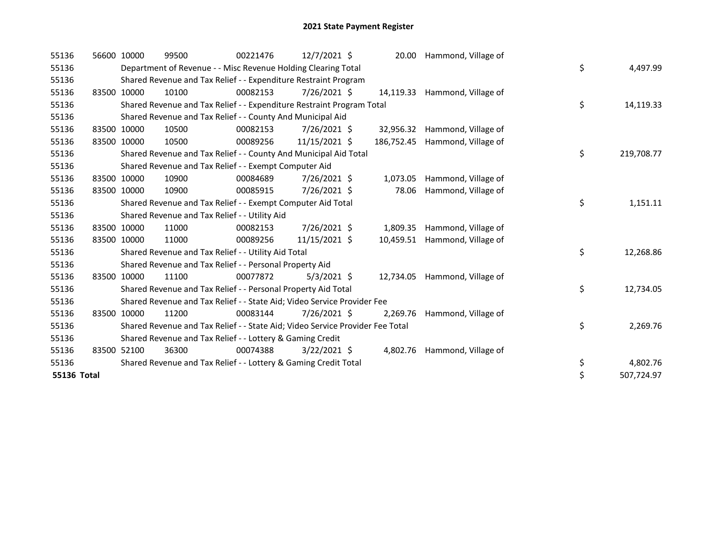| 55136       | 56600 10000 | 99500                                                                         | 00221476 | 12/7/2021 \$   | 20.00      | Hammond, Village of          |    |            |
|-------------|-------------|-------------------------------------------------------------------------------|----------|----------------|------------|------------------------------|----|------------|
| 55136       |             | Department of Revenue - - Misc Revenue Holding Clearing Total                 |          |                |            |                              | \$ | 4,497.99   |
| 55136       |             | Shared Revenue and Tax Relief - - Expenditure Restraint Program               |          |                |            |                              |    |            |
| 55136       | 83500 10000 | 10100                                                                         | 00082153 | 7/26/2021 \$   | 14,119.33  | Hammond, Village of          |    |            |
| 55136       |             | Shared Revenue and Tax Relief - - Expenditure Restraint Program Total         |          |                |            |                              | \$ | 14,119.33  |
| 55136       |             | Shared Revenue and Tax Relief - - County And Municipal Aid                    |          |                |            |                              |    |            |
| 55136       | 83500 10000 | 10500                                                                         | 00082153 | 7/26/2021 \$   | 32,956.32  | Hammond, Village of          |    |            |
| 55136       | 83500 10000 | 10500                                                                         | 00089256 | 11/15/2021 \$  | 186,752.45 | Hammond, Village of          |    |            |
| 55136       |             | Shared Revenue and Tax Relief - - County And Municipal Aid Total              |          |                |            |                              | \$ | 219,708.77 |
| 55136       |             | Shared Revenue and Tax Relief - - Exempt Computer Aid                         |          |                |            |                              |    |            |
| 55136       | 83500 10000 | 10900                                                                         | 00084689 | 7/26/2021 \$   | 1,073.05   | Hammond, Village of          |    |            |
| 55136       | 83500 10000 | 10900                                                                         | 00085915 | 7/26/2021 \$   | 78.06      | Hammond, Village of          |    |            |
| 55136       |             | Shared Revenue and Tax Relief - - Exempt Computer Aid Total                   |          |                |            |                              | \$ | 1,151.11   |
| 55136       |             | Shared Revenue and Tax Relief - - Utility Aid                                 |          |                |            |                              |    |            |
| 55136       | 83500 10000 | 11000                                                                         | 00082153 | 7/26/2021 \$   | 1,809.35   | Hammond, Village of          |    |            |
| 55136       | 83500 10000 | 11000                                                                         | 00089256 | 11/15/2021 \$  | 10,459.51  | Hammond, Village of          |    |            |
| 55136       |             | Shared Revenue and Tax Relief - - Utility Aid Total                           |          |                |            |                              | \$ | 12,268.86  |
| 55136       |             | Shared Revenue and Tax Relief - - Personal Property Aid                       |          |                |            |                              |    |            |
| 55136       | 83500 10000 | 11100                                                                         | 00077872 | $5/3/2021$ \$  | 12,734.05  | Hammond, Village of          |    |            |
| 55136       |             | Shared Revenue and Tax Relief - - Personal Property Aid Total                 |          |                |            |                              | \$ | 12,734.05  |
| 55136       |             | Shared Revenue and Tax Relief - - State Aid; Video Service Provider Fee       |          |                |            |                              |    |            |
| 55136       | 83500 10000 | 11200                                                                         | 00083144 | 7/26/2021 \$   | 2,269.76   | Hammond, Village of          |    |            |
| 55136       |             | Shared Revenue and Tax Relief - - State Aid; Video Service Provider Fee Total |          |                |            |                              | \$ | 2,269.76   |
| 55136       |             | Shared Revenue and Tax Relief - - Lottery & Gaming Credit                     |          |                |            |                              |    |            |
| 55136       | 83500 52100 | 36300                                                                         | 00074388 | $3/22/2021$ \$ |            | 4,802.76 Hammond, Village of |    |            |
| 55136       |             | Shared Revenue and Tax Relief - - Lottery & Gaming Credit Total               |          |                |            |                              | \$ | 4,802.76   |
| 55136 Total |             |                                                                               |          |                |            |                              | \$ | 507,724.97 |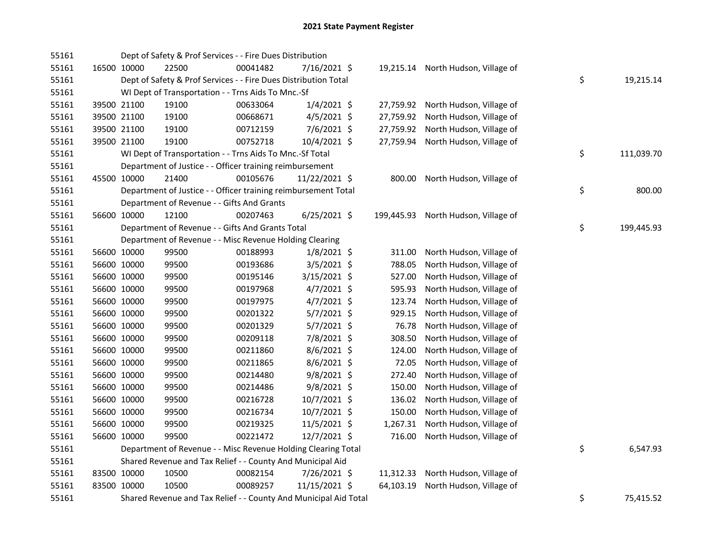| 55161 |             |                                                         | Dept of Safety & Prof Services - - Fire Dues Distribution        |          |                |           |                                     |    |            |
|-------|-------------|---------------------------------------------------------|------------------------------------------------------------------|----------|----------------|-----------|-------------------------------------|----|------------|
| 55161 | 16500 10000 |                                                         | 22500                                                            | 00041482 | 7/16/2021 \$   |           | 19,215.14 North Hudson, Village of  |    |            |
| 55161 |             |                                                         | Dept of Safety & Prof Services - - Fire Dues Distribution Total  |          |                |           |                                     | \$ | 19,215.14  |
| 55161 |             |                                                         | WI Dept of Transportation - - Trns Aids To Mnc.-Sf               |          |                |           |                                     |    |            |
| 55161 |             | 39500 21100                                             | 19100                                                            | 00633064 | 1/4/2021 \$    |           | 27,759.92 North Hudson, Village of  |    |            |
| 55161 |             | 39500 21100                                             | 19100                                                            | 00668671 | $4/5/2021$ \$  | 27,759.92 | North Hudson, Village of            |    |            |
| 55161 |             | 39500 21100                                             | 19100                                                            | 00712159 | 7/6/2021 \$    | 27,759.92 | North Hudson, Village of            |    |            |
| 55161 |             | 39500 21100                                             | 19100                                                            | 00752718 | 10/4/2021 \$   | 27,759.94 | North Hudson, Village of            |    |            |
| 55161 |             |                                                         | WI Dept of Transportation - - Trns Aids To Mnc.-Sf Total         |          |                |           |                                     | \$ | 111,039.70 |
| 55161 |             |                                                         | Department of Justice - - Officer training reimbursement         |          |                |           |                                     |    |            |
| 55161 | 45500 10000 |                                                         | 21400                                                            | 00105676 | 11/22/2021 \$  |           | 800.00 North Hudson, Village of     |    |            |
| 55161 |             |                                                         | Department of Justice - - Officer training reimbursement Total   |          |                |           |                                     | \$ | 800.00     |
| 55161 |             |                                                         | Department of Revenue - - Gifts And Grants                       |          |                |           |                                     |    |            |
| 55161 |             | 56600 10000                                             | 12100                                                            | 00207463 | $6/25/2021$ \$ |           | 199,445.93 North Hudson, Village of |    |            |
| 55161 |             | Department of Revenue - - Gifts And Grants Total        |                                                                  | \$       | 199,445.93     |           |                                     |    |            |
| 55161 |             | Department of Revenue - - Misc Revenue Holding Clearing |                                                                  |          |                |           |                                     |    |            |
| 55161 |             | 56600 10000                                             | 99500                                                            | 00188993 | $1/8/2021$ \$  | 311.00    | North Hudson, Village of            |    |            |
| 55161 |             | 56600 10000                                             | 99500                                                            | 00193686 | $3/5/2021$ \$  | 788.05    | North Hudson, Village of            |    |            |
| 55161 |             | 56600 10000                                             | 99500                                                            | 00195146 | 3/15/2021 \$   | 527.00    | North Hudson, Village of            |    |            |
| 55161 |             | 56600 10000                                             | 99500                                                            | 00197968 | $4/7/2021$ \$  | 595.93    | North Hudson, Village of            |    |            |
| 55161 |             | 56600 10000                                             | 99500                                                            | 00197975 | 4/7/2021 \$    | 123.74    | North Hudson, Village of            |    |            |
| 55161 |             | 56600 10000                                             | 99500                                                            | 00201322 | 5/7/2021 \$    | 929.15    | North Hudson, Village of            |    |            |
| 55161 |             | 56600 10000                                             | 99500                                                            | 00201329 | 5/7/2021 \$    | 76.78     | North Hudson, Village of            |    |            |
| 55161 |             | 56600 10000                                             | 99500                                                            | 00209118 | 7/8/2021 \$    | 308.50    | North Hudson, Village of            |    |            |
| 55161 |             | 56600 10000                                             | 99500                                                            | 00211860 | 8/6/2021 \$    | 124.00    | North Hudson, Village of            |    |            |
| 55161 |             | 56600 10000                                             | 99500                                                            | 00211865 | 8/6/2021 \$    | 72.05     | North Hudson, Village of            |    |            |
| 55161 |             | 56600 10000                                             | 99500                                                            | 00214480 | 9/8/2021 \$    | 272.40    | North Hudson, Village of            |    |            |
| 55161 |             | 56600 10000                                             | 99500                                                            | 00214486 | 9/8/2021 \$    | 150.00    | North Hudson, Village of            |    |            |
| 55161 |             | 56600 10000                                             | 99500                                                            | 00216728 | 10/7/2021 \$   | 136.02    | North Hudson, Village of            |    |            |
| 55161 |             | 56600 10000                                             | 99500                                                            | 00216734 | 10/7/2021 \$   | 150.00    | North Hudson, Village of            |    |            |
| 55161 |             | 56600 10000                                             | 99500                                                            | 00219325 | 11/5/2021 \$   | 1,267.31  | North Hudson, Village of            |    |            |
| 55161 |             | 56600 10000                                             | 99500                                                            | 00221472 | 12/7/2021 \$   | 716.00    | North Hudson, Village of            |    |            |
| 55161 |             |                                                         | Department of Revenue - - Misc Revenue Holding Clearing Total    |          |                |           |                                     | \$ | 6,547.93   |
| 55161 |             |                                                         | Shared Revenue and Tax Relief - - County And Municipal Aid       |          |                |           |                                     |    |            |
| 55161 |             | 83500 10000                                             | 10500                                                            | 00082154 | 7/26/2021 \$   | 11,312.33 | North Hudson, Village of            |    |            |
| 55161 |             | 83500 10000                                             | 10500                                                            | 00089257 | 11/15/2021 \$  | 64,103.19 | North Hudson, Village of            |    |            |
| 55161 |             |                                                         | Shared Revenue and Tax Relief - - County And Municipal Aid Total |          |                | \$        | 75,415.52                           |    |            |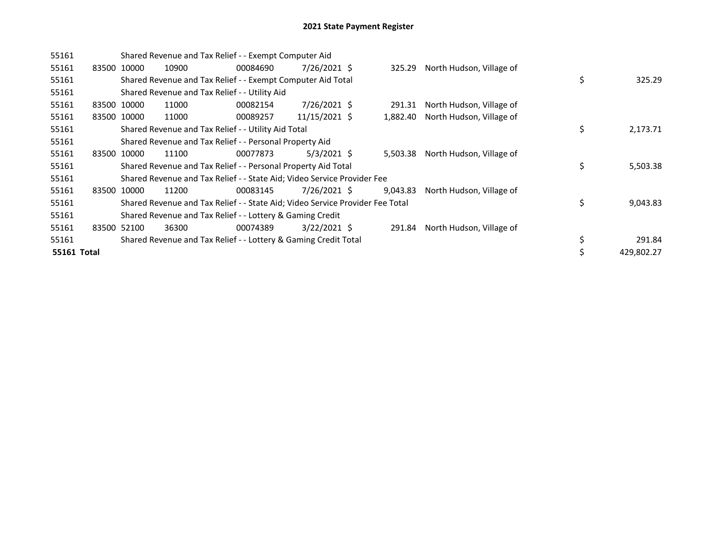| 55161       |             | Shared Revenue and Tax Relief - - Exempt Computer Aid |                                                           |                                                                               |                |  |          |                          |    |            |  |  |
|-------------|-------------|-------------------------------------------------------|-----------------------------------------------------------|-------------------------------------------------------------------------------|----------------|--|----------|--------------------------|----|------------|--|--|
| 55161       | 83500 10000 |                                                       | 10900                                                     | 00084690                                                                      | $7/26/2021$ \$ |  | 325.29   | North Hudson, Village of |    |            |  |  |
| 55161       |             |                                                       |                                                           | Shared Revenue and Tax Relief - - Exempt Computer Aid Total                   |                |  |          |                          | \$ | 325.29     |  |  |
| 55161       |             |                                                       |                                                           | Shared Revenue and Tax Relief - - Utility Aid                                 |                |  |          |                          |    |            |  |  |
| 55161       |             | 83500 10000                                           | 11000                                                     | 00082154                                                                      | $7/26/2021$ \$ |  | 291.31   | North Hudson, Village of |    |            |  |  |
| 55161       |             | 83500 10000                                           | 11000                                                     | 00089257                                                                      | 11/15/2021 \$  |  | 1,882.40 | North Hudson, Village of |    |            |  |  |
| 55161       |             |                                                       |                                                           | Shared Revenue and Tax Relief - - Utility Aid Total                           |                |  | \$       | 2,173.71                 |    |            |  |  |
| 55161       |             |                                                       |                                                           | Shared Revenue and Tax Relief - - Personal Property Aid                       |                |  |          |                          |    |            |  |  |
| 55161       | 83500       | 10000                                                 | 11100                                                     | 00077873                                                                      | $5/3/2021$ \$  |  | 5,503.38 | North Hudson, Village of |    |            |  |  |
| 55161       |             |                                                       |                                                           | Shared Revenue and Tax Relief - - Personal Property Aid Total                 |                |  |          |                          | \$ | 5,503.38   |  |  |
| 55161       |             |                                                       |                                                           | Shared Revenue and Tax Relief - - State Aid; Video Service Provider Fee       |                |  |          |                          |    |            |  |  |
| 55161       |             | 83500 10000                                           | 11200                                                     | 00083145                                                                      | 7/26/2021 \$   |  | 9,043.83 | North Hudson, Village of |    |            |  |  |
| 55161       |             |                                                       |                                                           | Shared Revenue and Tax Relief - - State Aid; Video Service Provider Fee Total |                |  |          |                          | \$ | 9,043.83   |  |  |
| 55161       |             |                                                       | Shared Revenue and Tax Relief - - Lottery & Gaming Credit |                                                                               |                |  |          |                          |    |            |  |  |
| 55161       | 83500 52100 |                                                       | 36300                                                     | 00074389                                                                      | 3/22/2021 \$   |  | 291.84   | North Hudson, Village of |    |            |  |  |
| 55161       |             |                                                       |                                                           | Shared Revenue and Tax Relief - - Lottery & Gaming Credit Total               |                |  |          |                          | \$ | 291.84     |  |  |
| 55161 Total |             |                                                       |                                                           |                                                                               |                |  |          |                          |    | 429,802.27 |  |  |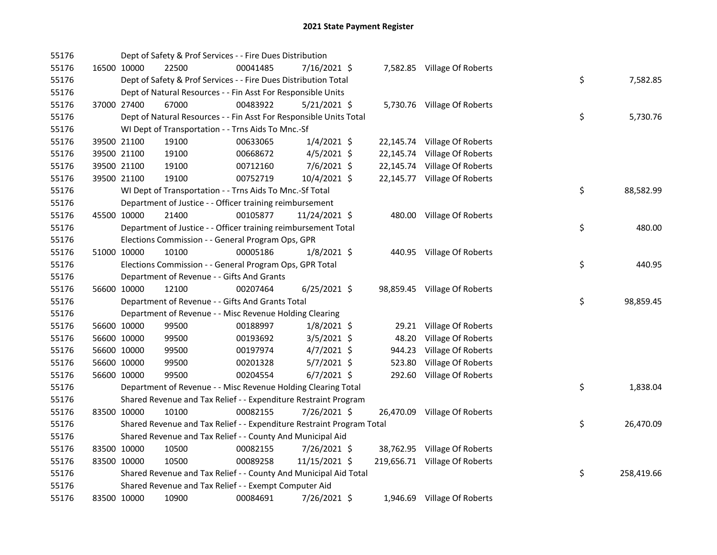| 55176 |             | Dept of Safety & Prof Services - - Fire Dues Distribution             |          |                |        |                               |    |            |
|-------|-------------|-----------------------------------------------------------------------|----------|----------------|--------|-------------------------------|----|------------|
| 55176 | 16500 10000 | 22500                                                                 | 00041485 | 7/16/2021 \$   |        | 7,582.85 Village Of Roberts   |    |            |
| 55176 |             | Dept of Safety & Prof Services - - Fire Dues Distribution Total       |          |                |        |                               | \$ | 7,582.85   |
| 55176 |             | Dept of Natural Resources - - Fin Asst For Responsible Units          |          |                |        |                               |    |            |
| 55176 | 37000 27400 | 67000                                                                 | 00483922 | 5/21/2021 \$   |        | 5,730.76 Village Of Roberts   |    |            |
| 55176 |             | Dept of Natural Resources - - Fin Asst For Responsible Units Total    |          |                |        |                               | \$ | 5,730.76   |
| 55176 |             | WI Dept of Transportation - - Trns Aids To Mnc.-Sf                    |          |                |        |                               |    |            |
| 55176 | 39500 21100 | 19100                                                                 | 00633065 | $1/4/2021$ \$  |        | 22,145.74 Village Of Roberts  |    |            |
| 55176 | 39500 21100 | 19100                                                                 | 00668672 | 4/5/2021 \$    |        | 22,145.74 Village Of Roberts  |    |            |
| 55176 | 39500 21100 | 19100                                                                 | 00712160 | 7/6/2021 \$    |        | 22,145.74 Village Of Roberts  |    |            |
| 55176 | 39500 21100 | 19100                                                                 | 00752719 | 10/4/2021 \$   |        | 22,145.77 Village Of Roberts  |    |            |
| 55176 |             | WI Dept of Transportation - - Trns Aids To Mnc.-Sf Total              |          |                |        |                               | \$ | 88,582.99  |
| 55176 |             | Department of Justice - - Officer training reimbursement              |          |                |        |                               |    |            |
| 55176 | 45500 10000 | 21400                                                                 | 00105877 | 11/24/2021 \$  |        | 480.00 Village Of Roberts     |    |            |
| 55176 |             | Department of Justice - - Officer training reimbursement Total        |          |                |        |                               | \$ | 480.00     |
| 55176 |             | Elections Commission - - General Program Ops, GPR                     |          |                |        |                               |    |            |
| 55176 | 51000 10000 | 10100                                                                 | 00005186 | $1/8/2021$ \$  |        | 440.95 Village Of Roberts     |    |            |
| 55176 |             | Elections Commission - - General Program Ops, GPR Total               |          |                |        |                               | \$ | 440.95     |
| 55176 |             | Department of Revenue - - Gifts And Grants                            |          |                |        |                               |    |            |
| 55176 | 56600 10000 | 12100                                                                 | 00207464 | $6/25/2021$ \$ |        | 98,859.45 Village Of Roberts  |    |            |
| 55176 |             | Department of Revenue - - Gifts And Grants Total                      |          |                |        |                               | \$ | 98,859.45  |
| 55176 |             | Department of Revenue - - Misc Revenue Holding Clearing               |          |                |        |                               |    |            |
| 55176 | 56600 10000 | 99500                                                                 | 00188997 | $1/8/2021$ \$  |        | 29.21 Village Of Roberts      |    |            |
| 55176 | 56600 10000 | 99500                                                                 | 00193692 | $3/5/2021$ \$  | 48.20  | Village Of Roberts            |    |            |
| 55176 | 56600 10000 | 99500                                                                 | 00197974 | $4/7/2021$ \$  | 944.23 | Village Of Roberts            |    |            |
| 55176 | 56600 10000 | 99500                                                                 | 00201328 | $5/7/2021$ \$  | 523.80 | Village Of Roberts            |    |            |
| 55176 | 56600 10000 | 99500                                                                 | 00204554 | $6/7/2021$ \$  | 292.60 | Village Of Roberts            |    |            |
| 55176 |             | Department of Revenue - - Misc Revenue Holding Clearing Total         |          |                |        |                               | \$ | 1,838.04   |
| 55176 |             | Shared Revenue and Tax Relief - - Expenditure Restraint Program       |          |                |        |                               |    |            |
| 55176 | 83500 10000 | 10100                                                                 | 00082155 | 7/26/2021 \$   |        | 26,470.09 Village Of Roberts  |    |            |
| 55176 |             | Shared Revenue and Tax Relief - - Expenditure Restraint Program Total |          |                |        |                               | \$ | 26,470.09  |
| 55176 |             | Shared Revenue and Tax Relief - - County And Municipal Aid            |          |                |        |                               |    |            |
| 55176 | 83500 10000 | 10500                                                                 | 00082155 | 7/26/2021 \$   |        | 38,762.95 Village Of Roberts  |    |            |
| 55176 | 83500 10000 | 10500                                                                 | 00089258 | 11/15/2021 \$  |        | 219,656.71 Village Of Roberts |    |            |
| 55176 |             | Shared Revenue and Tax Relief - - County And Municipal Aid Total      |          |                |        |                               | \$ | 258,419.66 |
| 55176 |             | Shared Revenue and Tax Relief - - Exempt Computer Aid                 |          |                |        |                               |    |            |
| 55176 | 83500 10000 | 10900                                                                 | 00084691 | 7/26/2021 \$   |        | 1,946.69 Village Of Roberts   |    |            |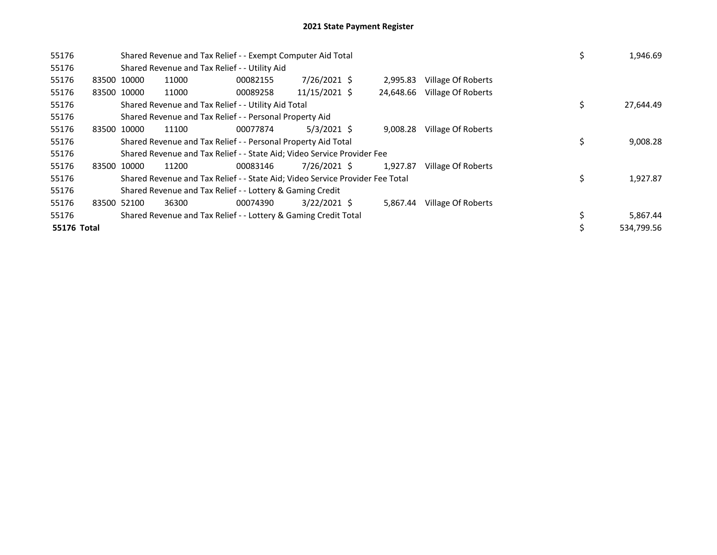| 55176 |             |             | Shared Revenue and Tax Relief - - Exempt Computer Aid Total                   |          | 1,946.69       |  |           |                    |    |            |
|-------|-------------|-------------|-------------------------------------------------------------------------------|----------|----------------|--|-----------|--------------------|----|------------|
| 55176 |             |             | Shared Revenue and Tax Relief - - Utility Aid                                 |          |                |  |           |                    |    |            |
| 55176 |             | 83500 10000 | 11000                                                                         | 00082155 | 7/26/2021 \$   |  | 2,995.83  | Village Of Roberts |    |            |
| 55176 |             | 83500 10000 | 11000                                                                         | 00089258 | 11/15/2021 \$  |  | 24,648.66 | Village Of Roberts |    |            |
| 55176 |             |             | Shared Revenue and Tax Relief - - Utility Aid Total                           |          |                |  |           |                    | \$ | 27,644.49  |
| 55176 |             |             | Shared Revenue and Tax Relief - - Personal Property Aid                       |          |                |  |           |                    |    |            |
| 55176 |             | 83500 10000 | 11100                                                                         | 00077874 | $5/3/2021$ \$  |  | 9,008.28  | Village Of Roberts |    |            |
| 55176 |             |             | Shared Revenue and Tax Relief - - Personal Property Aid Total                 | \$       | 9,008.28       |  |           |                    |    |            |
| 55176 |             |             | Shared Revenue and Tax Relief - - State Aid; Video Service Provider Fee       |          |                |  |           |                    |    |            |
| 55176 |             | 83500 10000 | 11200                                                                         | 00083146 | 7/26/2021 \$   |  | 1,927.87  | Village Of Roberts |    |            |
| 55176 |             |             | Shared Revenue and Tax Relief - - State Aid; Video Service Provider Fee Total |          |                |  |           |                    | \$ | 1,927.87   |
| 55176 |             |             | Shared Revenue and Tax Relief - - Lottery & Gaming Credit                     |          |                |  |           |                    |    |            |
| 55176 |             | 83500 52100 | 36300                                                                         | 00074390 | $3/22/2021$ \$ |  | 5,867.44  | Village Of Roberts |    |            |
| 55176 |             |             | Shared Revenue and Tax Relief - - Lottery & Gaming Credit Total               |          | 5,867.44       |  |           |                    |    |            |
|       | 55176 Total |             |                                                                               |          |                |  |           |                    |    | 534,799.56 |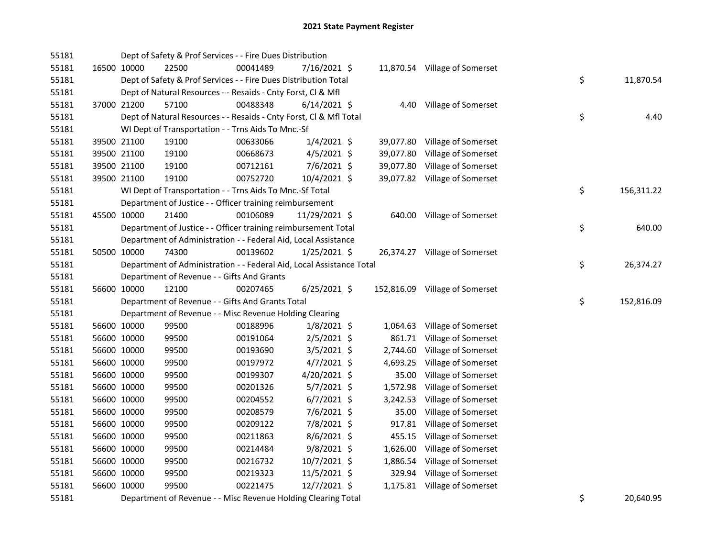| 55181 |             |       | Dept of Safety & Prof Services - - Fire Dues Distribution            |                |          |                                |    |            |
|-------|-------------|-------|----------------------------------------------------------------------|----------------|----------|--------------------------------|----|------------|
| 55181 | 16500 10000 | 22500 | 00041489                                                             | 7/16/2021 \$   |          | 11,870.54 Village of Somerset  |    |            |
| 55181 |             |       | Dept of Safety & Prof Services - - Fire Dues Distribution Total      |                |          |                                | \$ | 11,870.54  |
| 55181 |             |       | Dept of Natural Resources - - Resaids - Cnty Forst, Cl & Mfl         |                |          |                                |    |            |
| 55181 | 37000 21200 | 57100 | 00488348                                                             | $6/14/2021$ \$ |          | 4.40 Village of Somerset       |    |            |
| 55181 |             |       | Dept of Natural Resources - - Resaids - Cnty Forst, Cl & Mfl Total   |                |          |                                | \$ | 4.40       |
| 55181 |             |       | WI Dept of Transportation - - Trns Aids To Mnc.-Sf                   |                |          |                                |    |            |
| 55181 | 39500 21100 | 19100 | 00633066                                                             | $1/4/2021$ \$  |          | 39,077.80 Village of Somerset  |    |            |
| 55181 | 39500 21100 | 19100 | 00668673                                                             | $4/5/2021$ \$  |          | 39,077.80 Village of Somerset  |    |            |
| 55181 | 39500 21100 | 19100 | 00712161                                                             | $7/6/2021$ \$  |          | 39,077.80 Village of Somerset  |    |            |
| 55181 | 39500 21100 | 19100 | 00752720                                                             | 10/4/2021 \$   |          | 39,077.82 Village of Somerset  |    |            |
| 55181 |             |       | WI Dept of Transportation - - Trns Aids To Mnc.-Sf Total             |                |          |                                | \$ | 156,311.22 |
| 55181 |             |       | Department of Justice - - Officer training reimbursement             |                |          |                                |    |            |
| 55181 | 45500 10000 | 21400 | 00106089                                                             | 11/29/2021 \$  |          | 640.00 Village of Somerset     |    |            |
| 55181 |             |       | Department of Justice - - Officer training reimbursement Total       |                |          |                                | \$ | 640.00     |
| 55181 |             |       | Department of Administration - - Federal Aid, Local Assistance       |                |          |                                |    |            |
| 55181 | 50500 10000 | 74300 | 00139602                                                             | $1/25/2021$ \$ |          | 26,374.27 Village of Somerset  |    |            |
| 55181 |             |       | Department of Administration - - Federal Aid, Local Assistance Total |                |          |                                | \$ | 26,374.27  |
| 55181 |             |       | Department of Revenue - - Gifts And Grants                           |                |          |                                |    |            |
| 55181 | 56600 10000 | 12100 | 00207465                                                             | $6/25/2021$ \$ |          | 152,816.09 Village of Somerset |    |            |
| 55181 |             |       | Department of Revenue - - Gifts And Grants Total                     |                |          |                                | \$ | 152,816.09 |
| 55181 |             |       | Department of Revenue - - Misc Revenue Holding Clearing              |                |          |                                |    |            |
| 55181 | 56600 10000 | 99500 | 00188996                                                             | $1/8/2021$ \$  |          | 1,064.63 Village of Somerset   |    |            |
| 55181 | 56600 10000 | 99500 | 00191064                                                             | $2/5/2021$ \$  | 861.71   | Village of Somerset            |    |            |
| 55181 | 56600 10000 | 99500 | 00193690                                                             | $3/5/2021$ \$  | 2,744.60 | Village of Somerset            |    |            |
| 55181 | 56600 10000 | 99500 | 00197972                                                             | $4/7/2021$ \$  |          | 4,693.25 Village of Somerset   |    |            |
| 55181 | 56600 10000 | 99500 | 00199307                                                             | 4/20/2021 \$   | 35.00    | Village of Somerset            |    |            |
| 55181 | 56600 10000 | 99500 | 00201326                                                             | $5/7/2021$ \$  | 1,572.98 | Village of Somerset            |    |            |
| 55181 | 56600 10000 | 99500 | 00204552                                                             | $6/7/2021$ \$  |          | 3,242.53 Village of Somerset   |    |            |
| 55181 | 56600 10000 | 99500 | 00208579                                                             | 7/6/2021 \$    | 35.00    | Village of Somerset            |    |            |
| 55181 | 56600 10000 | 99500 | 00209122                                                             | 7/8/2021 \$    |          | 917.81 Village of Somerset     |    |            |
| 55181 | 56600 10000 | 99500 | 00211863                                                             | $8/6/2021$ \$  |          | 455.15 Village of Somerset     |    |            |
| 55181 | 56600 10000 | 99500 | 00214484                                                             | $9/8/2021$ \$  | 1,626.00 | Village of Somerset            |    |            |
| 55181 | 56600 10000 | 99500 | 00216732                                                             | 10/7/2021 \$   |          | 1,886.54 Village of Somerset   |    |            |
| 55181 | 56600 10000 | 99500 | 00219323                                                             | $11/5/2021$ \$ |          | 329.94 Village of Somerset     |    |            |
| 55181 | 56600 10000 | 99500 | 00221475                                                             | 12/7/2021 \$   |          | 1,175.81 Village of Somerset   |    |            |
| 55181 |             |       | Department of Revenue - - Misc Revenue Holding Clearing Total        |                |          |                                | \$ | 20.640.95  |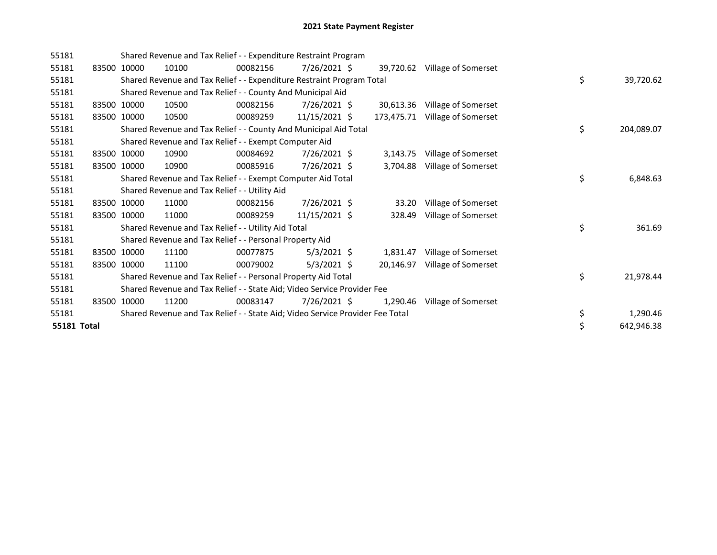| 55181              | Shared Revenue and Tax Relief - - Expenditure Restraint Program |                                                                               |          |                |  |            |                               |  |    |            |
|--------------------|-----------------------------------------------------------------|-------------------------------------------------------------------------------|----------|----------------|--|------------|-------------------------------|--|----|------------|
| 55181              | 83500 10000                                                     | 10100                                                                         | 00082156 | 7/26/2021 \$   |  |            | 39,720.62 Village of Somerset |  |    |            |
| 55181              |                                                                 | Shared Revenue and Tax Relief - - Expenditure Restraint Program Total         |          |                |  |            |                               |  | \$ | 39,720.62  |
| 55181              |                                                                 | Shared Revenue and Tax Relief - - County And Municipal Aid                    |          |                |  |            |                               |  |    |            |
| 55181              | 83500 10000                                                     | 10500                                                                         | 00082156 | $7/26/2021$ \$ |  | 30,613.36  | Village of Somerset           |  |    |            |
| 55181              | 83500 10000                                                     | 10500                                                                         | 00089259 | 11/15/2021 \$  |  | 173,475.71 | Village of Somerset           |  |    |            |
| 55181              |                                                                 | Shared Revenue and Tax Relief - - County And Municipal Aid Total              |          |                |  |            |                               |  | \$ | 204,089.07 |
| 55181              |                                                                 | Shared Revenue and Tax Relief - - Exempt Computer Aid                         |          |                |  |            |                               |  |    |            |
| 55181              | 83500 10000                                                     | 10900                                                                         | 00084692 | 7/26/2021 \$   |  | 3,143.75   | Village of Somerset           |  |    |            |
| 55181              | 83500 10000                                                     | 10900                                                                         | 00085916 | 7/26/2021 \$   |  | 3,704.88   | Village of Somerset           |  |    |            |
| 55181              |                                                                 | Shared Revenue and Tax Relief - - Exempt Computer Aid Total                   |          |                |  |            |                               |  | \$ | 6,848.63   |
| 55181              |                                                                 | Shared Revenue and Tax Relief - - Utility Aid                                 |          |                |  |            |                               |  |    |            |
| 55181              | 83500 10000                                                     | 11000                                                                         | 00082156 | 7/26/2021 \$   |  | 33.20      | Village of Somerset           |  |    |            |
| 55181              | 83500 10000                                                     | 11000                                                                         | 00089259 | 11/15/2021 \$  |  | 328.49     | Village of Somerset           |  |    |            |
| 55181              |                                                                 | Shared Revenue and Tax Relief - - Utility Aid Total                           |          |                |  |            |                               |  | \$ | 361.69     |
| 55181              |                                                                 | Shared Revenue and Tax Relief - - Personal Property Aid                       |          |                |  |            |                               |  |    |            |
| 55181              | 83500 10000                                                     | 11100                                                                         | 00077875 | $5/3/2021$ \$  |  | 1,831.47   | Village of Somerset           |  |    |            |
| 55181              | 83500 10000                                                     | 11100                                                                         | 00079002 | $5/3/2021$ \$  |  | 20,146.97  | Village of Somerset           |  |    |            |
| 55181              |                                                                 | Shared Revenue and Tax Relief - - Personal Property Aid Total                 |          |                |  |            |                               |  | \$ | 21,978.44  |
| 55181              |                                                                 | Shared Revenue and Tax Relief - - State Aid; Video Service Provider Fee       |          |                |  |            |                               |  |    |            |
| 55181              | 83500 10000                                                     | 11200                                                                         | 00083147 | 7/26/2021 \$   |  | 1,290.46   | Village of Somerset           |  |    |            |
| 55181              |                                                                 | Shared Revenue and Tax Relief - - State Aid; Video Service Provider Fee Total |          |                |  |            |                               |  | \$ | 1,290.46   |
| <b>55181 Total</b> |                                                                 |                                                                               |          |                |  |            |                               |  | \$ | 642,946.38 |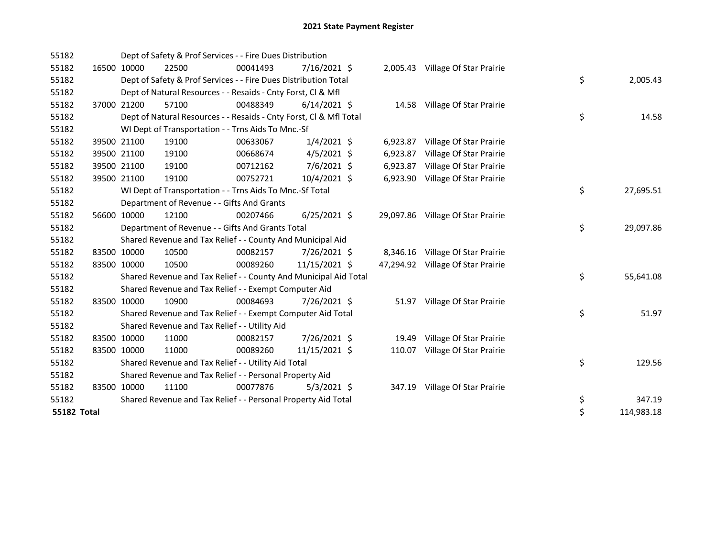| 55182       |             | Dept of Safety & Prof Services - - Fire Dues Distribution          |          |                |                 |                                   |                  |
|-------------|-------------|--------------------------------------------------------------------|----------|----------------|-----------------|-----------------------------------|------------------|
| 55182       | 16500 10000 | 22500                                                              | 00041493 | $7/16/2021$ \$ |                 | 2,005.43 Village Of Star Prairie  |                  |
| 55182       |             | Dept of Safety & Prof Services - - Fire Dues Distribution Total    |          |                |                 |                                   | \$<br>2,005.43   |
| 55182       |             | Dept of Natural Resources - - Resaids - Cnty Forst, Cl & Mfl       |          |                |                 |                                   |                  |
| 55182       | 37000 21200 | 57100                                                              | 00488349 | $6/14/2021$ \$ |                 | 14.58 Village Of Star Prairie     |                  |
| 55182       |             | Dept of Natural Resources - - Resaids - Cnty Forst, Cl & Mfl Total |          |                |                 |                                   | \$<br>14.58      |
| 55182       |             | WI Dept of Transportation - - Trns Aids To Mnc.-Sf                 |          |                |                 |                                   |                  |
| 55182       | 39500 21100 | 19100                                                              | 00633067 | $1/4/2021$ \$  |                 | 6,923.87 Village Of Star Prairie  |                  |
| 55182       | 39500 21100 | 19100                                                              | 00668674 | $4/5/2021$ \$  | 6,923.87        | Village Of Star Prairie           |                  |
| 55182       | 39500 21100 | 19100                                                              | 00712162 | 7/6/2021 \$    | 6,923.87        | Village Of Star Prairie           |                  |
| 55182       | 39500 21100 | 19100                                                              | 00752721 | 10/4/2021 \$   | 6,923.90        | Village Of Star Prairie           |                  |
| 55182       |             | WI Dept of Transportation - - Trns Aids To Mnc.-Sf Total           |          |                |                 |                                   | \$<br>27,695.51  |
| 55182       |             | Department of Revenue - - Gifts And Grants                         |          |                |                 |                                   |                  |
| 55182       | 56600 10000 | 12100                                                              | 00207466 | $6/25/2021$ \$ |                 | 29,097.86 Village Of Star Prairie |                  |
| 55182       |             | Department of Revenue - - Gifts And Grants Total                   |          |                | \$<br>29,097.86 |                                   |                  |
| 55182       |             | Shared Revenue and Tax Relief - - County And Municipal Aid         |          |                |                 |                                   |                  |
| 55182       | 83500 10000 | 10500                                                              | 00082157 | 7/26/2021 \$   |                 | 8,346.16 Village Of Star Prairie  |                  |
| 55182       | 83500 10000 | 10500                                                              | 00089260 | 11/15/2021 \$  |                 | 47,294.92 Village Of Star Prairie |                  |
| 55182       |             | Shared Revenue and Tax Relief - - County And Municipal Aid Total   |          |                |                 |                                   | \$<br>55,641.08  |
| 55182       |             | Shared Revenue and Tax Relief - - Exempt Computer Aid              |          |                |                 |                                   |                  |
| 55182       | 83500 10000 | 10900                                                              | 00084693 | 7/26/2021 \$   | 51.97           | Village Of Star Prairie           |                  |
| 55182       |             | Shared Revenue and Tax Relief - - Exempt Computer Aid Total        |          |                |                 |                                   | \$<br>51.97      |
| 55182       |             | Shared Revenue and Tax Relief - - Utility Aid                      |          |                |                 |                                   |                  |
| 55182       | 83500 10000 | 11000                                                              | 00082157 | 7/26/2021 \$   | 19.49           | Village Of Star Prairie           |                  |
| 55182       | 83500 10000 | 11000                                                              | 00089260 | 11/15/2021 \$  | 110.07          | Village Of Star Prairie           |                  |
| 55182       |             | Shared Revenue and Tax Relief - - Utility Aid Total                |          |                |                 |                                   | \$<br>129.56     |
| 55182       |             | Shared Revenue and Tax Relief - - Personal Property Aid            |          |                |                 |                                   |                  |
| 55182       | 83500 10000 | 11100                                                              | 00077876 | $5/3/2021$ \$  |                 | 347.19 Village Of Star Prairie    |                  |
| 55182       |             | Shared Revenue and Tax Relief - - Personal Property Aid Total      |          |                | \$<br>347.19    |                                   |                  |
| 55182 Total |             |                                                                    |          |                |                 |                                   | \$<br>114,983.18 |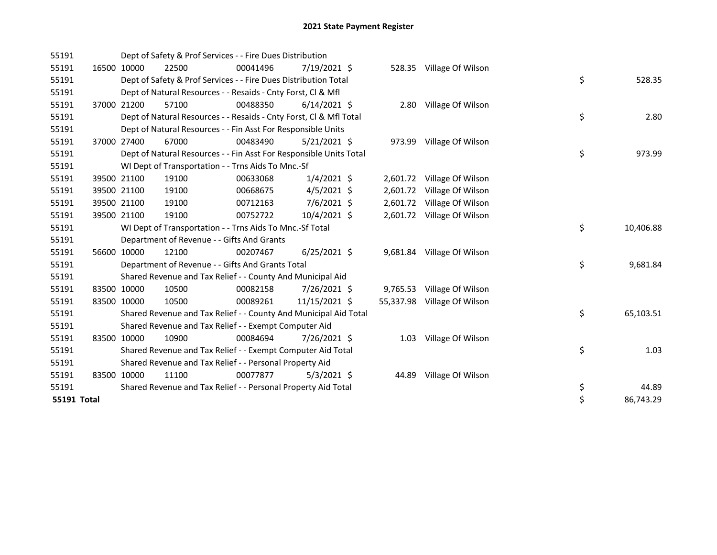| 55191       |       |             | Dept of Safety & Prof Services - - Fire Dues Distribution          |          |                |           |                            |    |           |
|-------------|-------|-------------|--------------------------------------------------------------------|----------|----------------|-----------|----------------------------|----|-----------|
| 55191       |       | 16500 10000 | 22500                                                              | 00041496 | 7/19/2021 \$   |           | 528.35 Village Of Wilson   |    |           |
| 55191       |       |             | Dept of Safety & Prof Services - - Fire Dues Distribution Total    |          |                |           |                            | \$ | 528.35    |
| 55191       |       |             | Dept of Natural Resources - - Resaids - Cnty Forst, CI & Mfl       |          |                |           |                            |    |           |
| 55191       | 37000 | 21200       | 57100                                                              | 00488350 | $6/14/2021$ \$ |           | 2.80 Village Of Wilson     |    |           |
| 55191       |       |             | Dept of Natural Resources - - Resaids - Cnty Forst, Cl & Mfl Total |          |                |           |                            | \$ | 2.80      |
| 55191       |       |             | Dept of Natural Resources - - Fin Asst For Responsible Units       |          |                |           |                            |    |           |
| 55191       |       | 37000 27400 | 67000                                                              | 00483490 | $5/21/2021$ \$ |           | 973.99 Village Of Wilson   |    |           |
| 55191       |       |             | Dept of Natural Resources - - Fin Asst For Responsible Units Total |          |                |           |                            | \$ | 973.99    |
| 55191       |       |             | WI Dept of Transportation - - Trns Aids To Mnc.-Sf                 |          |                |           |                            |    |           |
| 55191       |       | 39500 21100 | 19100                                                              | 00633068 | $1/4/2021$ \$  |           | 2,601.72 Village Of Wilson |    |           |
| 55191       |       | 39500 21100 | 19100                                                              | 00668675 | $4/5/2021$ \$  |           | 2,601.72 Village Of Wilson |    |           |
| 55191       |       | 39500 21100 | 19100                                                              | 00712163 | 7/6/2021 \$    | 2,601.72  | Village Of Wilson          |    |           |
| 55191       |       | 39500 21100 | 19100                                                              | 00752722 | 10/4/2021 \$   |           | 2,601.72 Village Of Wilson |    |           |
| 55191       |       |             | WI Dept of Transportation - - Trns Aids To Mnc.-Sf Total           |          |                |           |                            | \$ | 10,406.88 |
| 55191       |       |             | Department of Revenue - - Gifts And Grants                         |          |                |           |                            |    |           |
| 55191       |       | 56600 10000 | 12100                                                              | 00207467 | $6/25/2021$ \$ |           | 9,681.84 Village Of Wilson |    |           |
| 55191       |       |             | Department of Revenue - - Gifts And Grants Total                   |          |                |           |                            | \$ | 9,681.84  |
| 55191       |       |             | Shared Revenue and Tax Relief - - County And Municipal Aid         |          |                |           |                            |    |           |
| 55191       |       | 83500 10000 | 10500                                                              | 00082158 | 7/26/2021 \$   | 9,765.53  | Village Of Wilson          |    |           |
| 55191       |       | 83500 10000 | 10500                                                              | 00089261 | 11/15/2021 \$  | 55,337.98 | Village Of Wilson          |    |           |
| 55191       |       |             | Shared Revenue and Tax Relief - - County And Municipal Aid Total   |          |                |           |                            | \$ | 65,103.51 |
| 55191       |       |             | Shared Revenue and Tax Relief - - Exempt Computer Aid              |          |                |           |                            |    |           |
| 55191       |       | 83500 10000 | 10900                                                              | 00084694 | 7/26/2021 \$   | 1.03      | Village Of Wilson          |    |           |
| 55191       |       |             | Shared Revenue and Tax Relief - - Exempt Computer Aid Total        |          |                |           |                            | \$ | 1.03      |
| 55191       |       |             | Shared Revenue and Tax Relief - - Personal Property Aid            |          |                |           |                            |    |           |
| 55191       |       | 83500 10000 | 11100                                                              | 00077877 | $5/3/2021$ \$  | 44.89     | Village Of Wilson          |    |           |
| 55191       |       |             | Shared Revenue and Tax Relief - - Personal Property Aid Total      |          |                |           |                            | \$ | 44.89     |
| 55191 Total |       |             |                                                                    |          |                |           |                            | \$ | 86,743.29 |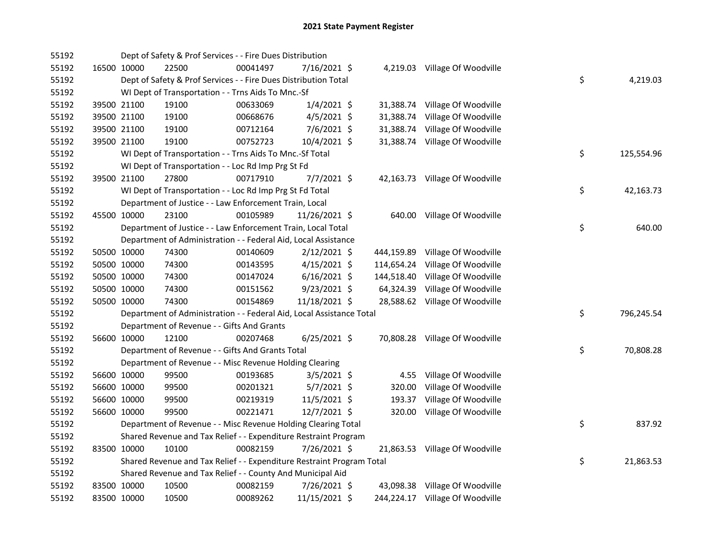| 55192 |             | Dept of Safety & Prof Services - - Fire Dues Distribution             |          |                |            |                                 |    |            |
|-------|-------------|-----------------------------------------------------------------------|----------|----------------|------------|---------------------------------|----|------------|
| 55192 | 16500 10000 | 22500                                                                 | 00041497 | 7/16/2021 \$   |            | 4,219.03 Village Of Woodville   |    |            |
| 55192 |             | Dept of Safety & Prof Services - - Fire Dues Distribution Total       |          |                |            |                                 | \$ | 4,219.03   |
| 55192 |             | WI Dept of Transportation - - Trns Aids To Mnc.-Sf                    |          |                |            |                                 |    |            |
| 55192 | 39500 21100 | 19100                                                                 | 00633069 | $1/4/2021$ \$  |            | 31,388.74 Village Of Woodville  |    |            |
| 55192 | 39500 21100 | 19100                                                                 | 00668676 | $4/5/2021$ \$  | 31,388.74  | Village Of Woodville            |    |            |
| 55192 | 39500 21100 | 19100                                                                 | 00712164 | $7/6/2021$ \$  | 31,388.74  | Village Of Woodville            |    |            |
| 55192 | 39500 21100 | 19100                                                                 | 00752723 | 10/4/2021 \$   | 31,388.74  | Village Of Woodville            |    |            |
| 55192 |             | WI Dept of Transportation - - Trns Aids To Mnc.-Sf Total              |          |                |            |                                 | \$ | 125,554.96 |
| 55192 |             | WI Dept of Transportation - - Loc Rd Imp Prg St Fd                    |          |                |            |                                 |    |            |
| 55192 | 39500 21100 | 27800                                                                 | 00717910 | $7/7/2021$ \$  |            | 42,163.73 Village Of Woodville  |    |            |
| 55192 |             | WI Dept of Transportation - - Loc Rd Imp Prg St Fd Total              |          |                |            |                                 | \$ | 42,163.73  |
| 55192 |             | Department of Justice - - Law Enforcement Train, Local                |          |                |            |                                 |    |            |
| 55192 | 45500 10000 | 23100                                                                 | 00105989 | 11/26/2021 \$  |            | 640.00 Village Of Woodville     |    |            |
| 55192 |             | Department of Justice - - Law Enforcement Train, Local Total          |          |                |            |                                 | \$ | 640.00     |
| 55192 |             | Department of Administration - - Federal Aid, Local Assistance        |          |                |            |                                 |    |            |
| 55192 | 50500 10000 | 74300                                                                 | 00140609 | $2/12/2021$ \$ | 444,159.89 | Village Of Woodville            |    |            |
| 55192 | 50500 10000 | 74300                                                                 | 00143595 | $4/15/2021$ \$ | 114,654.24 | Village Of Woodville            |    |            |
| 55192 | 50500 10000 | 74300                                                                 | 00147024 | $6/16/2021$ \$ | 144,518.40 | Village Of Woodville            |    |            |
| 55192 | 50500 10000 | 74300                                                                 | 00151562 | 9/23/2021 \$   | 64,324.39  | Village Of Woodville            |    |            |
| 55192 | 50500 10000 | 74300                                                                 | 00154869 | 11/18/2021 \$  |            | 28,588.62 Village Of Woodville  |    |            |
| 55192 |             | Department of Administration - - Federal Aid, Local Assistance Total  |          |                |            |                                 | \$ | 796,245.54 |
| 55192 |             | Department of Revenue - - Gifts And Grants                            |          |                |            |                                 |    |            |
| 55192 | 56600 10000 | 12100                                                                 | 00207468 | $6/25/2021$ \$ |            | 70,808.28 Village Of Woodville  |    |            |
| 55192 |             | Department of Revenue - - Gifts And Grants Total                      |          |                |            |                                 | \$ | 70,808.28  |
| 55192 |             | Department of Revenue - - Misc Revenue Holding Clearing               |          |                |            |                                 |    |            |
| 55192 | 56600 10000 | 99500                                                                 | 00193685 | $3/5/2021$ \$  | 4.55       | Village Of Woodville            |    |            |
| 55192 | 56600 10000 | 99500                                                                 | 00201321 | $5/7/2021$ \$  | 320.00     | Village Of Woodville            |    |            |
| 55192 | 56600 10000 | 99500                                                                 | 00219319 | $11/5/2021$ \$ | 193.37     | Village Of Woodville            |    |            |
| 55192 | 56600 10000 | 99500                                                                 | 00221471 | 12/7/2021 \$   |            | 320.00 Village Of Woodville     |    |            |
| 55192 |             | Department of Revenue - - Misc Revenue Holding Clearing Total         |          |                |            |                                 | \$ | 837.92     |
| 55192 |             | Shared Revenue and Tax Relief - - Expenditure Restraint Program       |          |                |            |                                 |    |            |
| 55192 | 83500 10000 | 10100                                                                 | 00082159 | 7/26/2021 \$   |            | 21,863.53 Village Of Woodville  |    |            |
| 55192 |             | Shared Revenue and Tax Relief - - Expenditure Restraint Program Total |          |                |            |                                 | \$ | 21,863.53  |
| 55192 |             | Shared Revenue and Tax Relief - - County And Municipal Aid            |          |                |            |                                 |    |            |
| 55192 | 83500 10000 | 10500                                                                 | 00082159 | 7/26/2021 \$   |            | 43,098.38 Village Of Woodville  |    |            |
| 55192 | 83500 10000 | 10500                                                                 | 00089262 | 11/15/2021 \$  |            | 244,224.17 Village Of Woodville |    |            |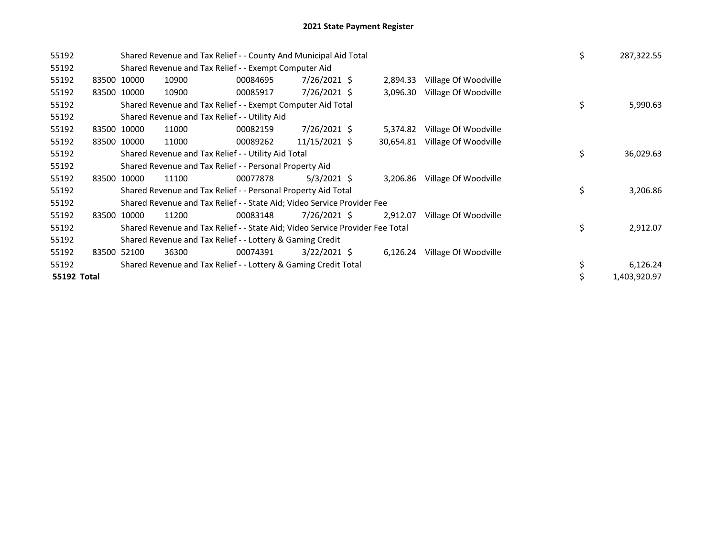| 55192       |             |                                                           | Shared Revenue and Tax Relief - - County And Municipal Aid Total              | \$       | 287,322.55     |           |                      |    |              |
|-------------|-------------|-----------------------------------------------------------|-------------------------------------------------------------------------------|----------|----------------|-----------|----------------------|----|--------------|
| 55192       |             |                                                           | Shared Revenue and Tax Relief - - Exempt Computer Aid                         |          |                |           |                      |    |              |
| 55192       |             | 83500 10000                                               | 10900                                                                         | 00084695 | 7/26/2021 \$   | 2,894.33  | Village Of Woodville |    |              |
| 55192       | 83500 10000 |                                                           | 10900                                                                         | 00085917 | 7/26/2021 \$   | 3,096.30  | Village Of Woodville |    |              |
| 55192       |             |                                                           | Shared Revenue and Tax Relief - - Exempt Computer Aid Total                   |          |                |           |                      | \$ | 5,990.63     |
| 55192       |             |                                                           | Shared Revenue and Tax Relief - - Utility Aid                                 |          |                |           |                      |    |              |
| 55192       |             | 83500 10000                                               | 11000                                                                         | 00082159 | 7/26/2021 \$   | 5,374.82  | Village Of Woodville |    |              |
| 55192       |             | 83500 10000                                               | 11000                                                                         | 00089262 | 11/15/2021 \$  | 30,654.81 | Village Of Woodville |    |              |
| 55192       |             |                                                           | Shared Revenue and Tax Relief - - Utility Aid Total                           |          |                |           |                      | \$ | 36,029.63    |
| 55192       |             |                                                           | Shared Revenue and Tax Relief - - Personal Property Aid                       |          |                |           |                      |    |              |
| 55192       |             | 83500 10000                                               | 11100                                                                         | 00077878 | $5/3/2021$ \$  | 3,206.86  | Village Of Woodville |    |              |
| 55192       |             |                                                           | Shared Revenue and Tax Relief - - Personal Property Aid Total                 |          |                |           |                      | \$ | 3,206.86     |
| 55192       |             |                                                           | Shared Revenue and Tax Relief - - State Aid; Video Service Provider Fee       |          |                |           |                      |    |              |
| 55192       |             | 83500 10000                                               | 11200                                                                         | 00083148 | 7/26/2021 \$   | 2,912.07  | Village Of Woodville |    |              |
| 55192       |             |                                                           | Shared Revenue and Tax Relief - - State Aid; Video Service Provider Fee Total |          |                |           |                      | \$ | 2,912.07     |
| 55192       |             | Shared Revenue and Tax Relief - - Lottery & Gaming Credit |                                                                               |          |                |           |                      |    |              |
| 55192       | 83500       | 52100                                                     | 36300                                                                         | 00074391 | $3/22/2021$ \$ | 6,126.24  | Village Of Woodville |    |              |
| 55192       |             |                                                           | Shared Revenue and Tax Relief - - Lottery & Gaming Credit Total               |          |                |           |                      | \$ | 6,126.24     |
| 55192 Total |             |                                                           |                                                                               |          |                |           |                      |    | 1,403,920.97 |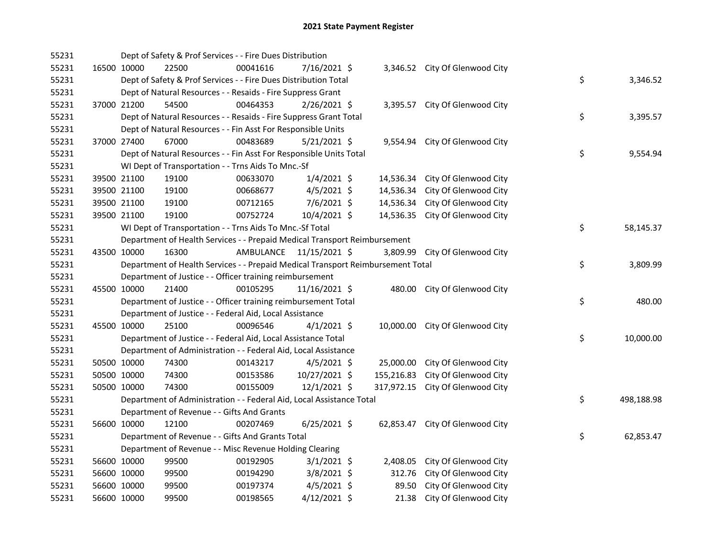| 55231 |             | Dept of Safety & Prof Services - - Fire Dues Distribution                       |                         |                |            |                                  |    |            |
|-------|-------------|---------------------------------------------------------------------------------|-------------------------|----------------|------------|----------------------------------|----|------------|
| 55231 | 16500 10000 | 22500                                                                           | 00041616                | 7/16/2021 \$   |            | 3,346.52 City Of Glenwood City   |    |            |
| 55231 |             | Dept of Safety & Prof Services - - Fire Dues Distribution Total                 |                         |                |            |                                  | \$ | 3,346.52   |
| 55231 |             | Dept of Natural Resources - - Resaids - Fire Suppress Grant                     |                         |                |            |                                  |    |            |
| 55231 | 37000 21200 | 54500                                                                           | 00464353                | $2/26/2021$ \$ |            | 3,395.57 City Of Glenwood City   |    |            |
| 55231 |             | Dept of Natural Resources - - Resaids - Fire Suppress Grant Total               |                         |                |            |                                  | \$ | 3,395.57   |
| 55231 |             | Dept of Natural Resources - - Fin Asst For Responsible Units                    |                         |                |            |                                  |    |            |
| 55231 | 37000 27400 | 67000                                                                           | 00483689                | $5/21/2021$ \$ |            | 9,554.94 City Of Glenwood City   |    |            |
| 55231 |             | Dept of Natural Resources - - Fin Asst For Responsible Units Total              |                         |                |            |                                  | \$ | 9,554.94   |
| 55231 |             | WI Dept of Transportation - - Trns Aids To Mnc.-Sf                              |                         |                |            |                                  |    |            |
| 55231 | 39500 21100 | 19100                                                                           | 00633070                | $1/4/2021$ \$  | 14,536.34  | City Of Glenwood City            |    |            |
| 55231 | 39500 21100 | 19100                                                                           | 00668677                | $4/5/2021$ \$  | 14,536.34  | City Of Glenwood City            |    |            |
| 55231 | 39500 21100 | 19100                                                                           | 00712165                | $7/6/2021$ \$  | 14,536.34  | City Of Glenwood City            |    |            |
| 55231 | 39500 21100 | 19100                                                                           | 00752724                | 10/4/2021 \$   |            | 14,536.35 City Of Glenwood City  |    |            |
| 55231 |             | WI Dept of Transportation - - Trns Aids To Mnc.-Sf Total                        |                         |                |            |                                  | \$ | 58,145.37  |
| 55231 |             | Department of Health Services - - Prepaid Medical Transport Reimbursement       |                         |                |            |                                  |    |            |
| 55231 | 43500 10000 | 16300                                                                           | AMBULANCE 11/15/2021 \$ |                |            | 3,809.99 City Of Glenwood City   |    |            |
| 55231 |             | Department of Health Services - - Prepaid Medical Transport Reimbursement Total |                         |                |            |                                  | \$ | 3,809.99   |
| 55231 |             | Department of Justice - - Officer training reimbursement                        |                         |                |            |                                  |    |            |
| 55231 | 45500 10000 | 21400                                                                           | 00105295                | 11/16/2021 \$  |            | 480.00 City Of Glenwood City     |    |            |
| 55231 |             | Department of Justice - - Officer training reimbursement Total                  |                         |                |            |                                  | \$ | 480.00     |
| 55231 |             | Department of Justice - - Federal Aid, Local Assistance                         |                         |                |            |                                  |    |            |
| 55231 | 45500 10000 | 25100                                                                           | 00096546                | $4/1/2021$ \$  |            | 10,000.00 City Of Glenwood City  |    |            |
| 55231 |             | Department of Justice - - Federal Aid, Local Assistance Total                   |                         |                |            |                                  | \$ | 10,000.00  |
| 55231 |             | Department of Administration - - Federal Aid, Local Assistance                  |                         |                |            |                                  |    |            |
| 55231 | 50500 10000 | 74300                                                                           | 00143217                | $4/5/2021$ \$  | 25,000.00  | City Of Glenwood City            |    |            |
| 55231 | 50500 10000 | 74300                                                                           | 00153586                | 10/27/2021 \$  | 155,216.83 | City Of Glenwood City            |    |            |
| 55231 | 50500 10000 | 74300                                                                           | 00155009                | $12/1/2021$ \$ |            | 317,972.15 City Of Glenwood City |    |            |
| 55231 |             | Department of Administration - - Federal Aid, Local Assistance Total            |                         |                |            |                                  | \$ | 498,188.98 |
| 55231 |             | Department of Revenue - - Gifts And Grants                                      |                         |                |            |                                  |    |            |
| 55231 | 56600 10000 | 12100                                                                           | 00207469                | $6/25/2021$ \$ |            | 62,853.47 City Of Glenwood City  |    |            |
| 55231 |             | Department of Revenue - - Gifts And Grants Total                                |                         |                |            |                                  | \$ | 62,853.47  |
| 55231 |             | Department of Revenue - - Misc Revenue Holding Clearing                         |                         |                |            |                                  |    |            |
| 55231 | 56600 10000 | 99500                                                                           | 00192905                | $3/1/2021$ \$  | 2,408.05   | City Of Glenwood City            |    |            |
| 55231 | 56600 10000 | 99500                                                                           | 00194290                | 3/8/2021 \$    | 312.76     | City Of Glenwood City            |    |            |
| 55231 | 56600 10000 | 99500                                                                           | 00197374                | $4/5/2021$ \$  | 89.50      | City Of Glenwood City            |    |            |
| 55231 | 56600 10000 | 99500                                                                           | 00198565                | $4/12/2021$ \$ | 21.38      | City Of Glenwood City            |    |            |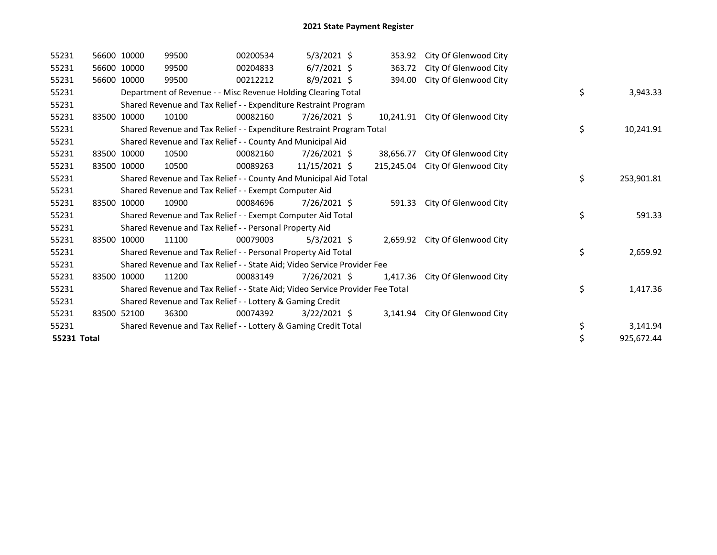| 55231       | 56600 10000 | 99500                                                                         | 00200534 | $5/3/2021$ \$  | 353.92     | City Of Glenwood City           |    |            |
|-------------|-------------|-------------------------------------------------------------------------------|----------|----------------|------------|---------------------------------|----|------------|
| 55231       | 56600 10000 | 99500                                                                         | 00204833 | $6/7/2021$ \$  | 363.72     | City Of Glenwood City           |    |            |
| 55231       | 56600 10000 | 99500                                                                         | 00212212 | 8/9/2021 \$    | 394.00     | City Of Glenwood City           |    |            |
| 55231       |             | Department of Revenue - - Misc Revenue Holding Clearing Total                 |          |                |            |                                 | \$ | 3,943.33   |
| 55231       |             | Shared Revenue and Tax Relief - - Expenditure Restraint Program               |          |                |            |                                 |    |            |
| 55231       | 83500 10000 | 10100                                                                         | 00082160 | 7/26/2021 \$   |            | 10,241.91 City Of Glenwood City |    |            |
| 55231       |             | Shared Revenue and Tax Relief - - Expenditure Restraint Program Total         |          |                |            |                                 | \$ | 10,241.91  |
| 55231       |             | Shared Revenue and Tax Relief - - County And Municipal Aid                    |          |                |            |                                 |    |            |
| 55231       | 83500 10000 | 10500                                                                         | 00082160 | 7/26/2021 \$   | 38,656.77  | City Of Glenwood City           |    |            |
| 55231       | 83500 10000 | 10500                                                                         | 00089263 | 11/15/2021 \$  | 215.245.04 | City Of Glenwood City           |    |            |
| 55231       |             | Shared Revenue and Tax Relief - - County And Municipal Aid Total              |          |                |            |                                 | \$ | 253,901.81 |
| 55231       |             | Shared Revenue and Tax Relief - - Exempt Computer Aid                         |          |                |            |                                 |    |            |
| 55231       | 83500 10000 | 10900                                                                         | 00084696 | 7/26/2021 \$   | 591.33     | City Of Glenwood City           |    |            |
| 55231       |             | Shared Revenue and Tax Relief - - Exempt Computer Aid Total                   |          |                |            |                                 | \$ | 591.33     |
| 55231       |             | Shared Revenue and Tax Relief - - Personal Property Aid                       |          |                |            |                                 |    |            |
| 55231       | 83500 10000 | 11100                                                                         | 00079003 | $5/3/2021$ \$  |            | 2,659.92 City Of Glenwood City  |    |            |
| 55231       |             | Shared Revenue and Tax Relief - - Personal Property Aid Total                 |          |                |            |                                 | \$ | 2,659.92   |
| 55231       |             | Shared Revenue and Tax Relief - - State Aid; Video Service Provider Fee       |          |                |            |                                 |    |            |
| 55231       | 83500 10000 | 11200                                                                         | 00083149 | $7/26/2021$ \$ | 1,417.36   | City Of Glenwood City           |    |            |
| 55231       |             | Shared Revenue and Tax Relief - - State Aid; Video Service Provider Fee Total |          |                |            |                                 | \$ | 1,417.36   |
| 55231       |             | Shared Revenue and Tax Relief - - Lottery & Gaming Credit                     |          |                |            |                                 |    |            |
| 55231       | 83500 52100 | 36300                                                                         | 00074392 | $3/22/2021$ \$ |            | 3,141.94 City Of Glenwood City  |    |            |
| 55231       |             | Shared Revenue and Tax Relief - - Lottery & Gaming Credit Total               |          |                |            |                                 | \$ | 3,141.94   |
| 55231 Total |             |                                                                               |          |                |            |                                 | \$ | 925,672.44 |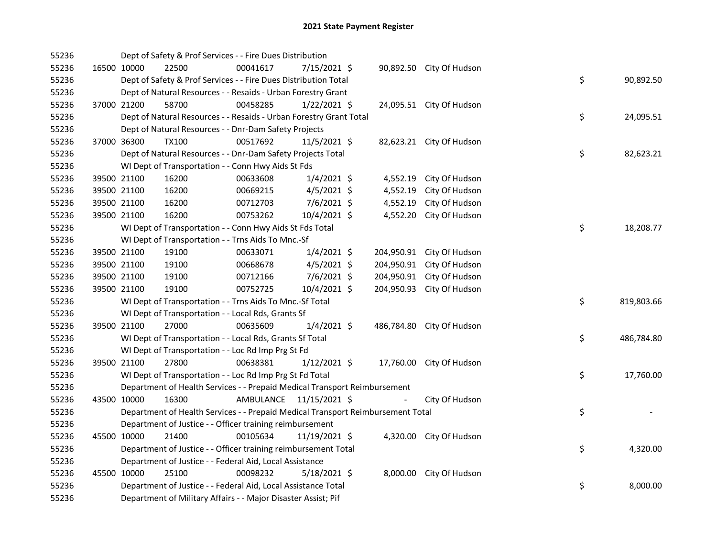| 55236 |             |             | Dept of Safety & Prof Services - - Fire Dues Distribution                       |           |                |            |                          |    |            |
|-------|-------------|-------------|---------------------------------------------------------------------------------|-----------|----------------|------------|--------------------------|----|------------|
| 55236 |             | 16500 10000 | 22500                                                                           | 00041617  | 7/15/2021 \$   |            | 90,892.50 City Of Hudson |    |            |
| 55236 |             |             | Dept of Safety & Prof Services - - Fire Dues Distribution Total                 |           |                |            |                          | \$ | 90,892.50  |
| 55236 |             |             | Dept of Natural Resources - - Resaids - Urban Forestry Grant                    |           |                |            |                          |    |            |
| 55236 | 37000 21200 |             | 58700                                                                           | 00458285  | $1/22/2021$ \$ |            | 24,095.51 City Of Hudson |    |            |
| 55236 |             |             | Dept of Natural Resources - - Resaids - Urban Forestry Grant Total              |           |                |            |                          | \$ | 24,095.51  |
| 55236 |             |             | Dept of Natural Resources - - Dnr-Dam Safety Projects                           |           |                |            |                          |    |            |
| 55236 | 37000 36300 |             | <b>TX100</b>                                                                    | 00517692  | $11/5/2021$ \$ |            | 82,623.21 City Of Hudson |    |            |
| 55236 |             |             | Dept of Natural Resources - - Dnr-Dam Safety Projects Total                     |           |                |            |                          | \$ | 82,623.21  |
| 55236 |             |             | WI Dept of Transportation - - Conn Hwy Aids St Fds                              |           |                |            |                          |    |            |
| 55236 |             | 39500 21100 | 16200                                                                           | 00633608  | $1/4/2021$ \$  | 4,552.19   | City Of Hudson           |    |            |
| 55236 |             | 39500 21100 | 16200                                                                           | 00669215  | $4/5/2021$ \$  | 4,552.19   | City Of Hudson           |    |            |
| 55236 |             | 39500 21100 | 16200                                                                           | 00712703  | $7/6/2021$ \$  | 4,552.19   | City Of Hudson           |    |            |
| 55236 | 39500 21100 |             | 16200                                                                           | 00753262  | 10/4/2021 \$   | 4,552.20   | City Of Hudson           |    |            |
| 55236 |             |             | WI Dept of Transportation - - Conn Hwy Aids St Fds Total                        |           |                |            |                          | \$ | 18,208.77  |
| 55236 |             |             | WI Dept of Transportation - - Trns Aids To Mnc.-Sf                              |           |                |            |                          |    |            |
| 55236 |             | 39500 21100 | 19100                                                                           | 00633071  | $1/4/2021$ \$  | 204,950.91 | City Of Hudson           |    |            |
| 55236 |             | 39500 21100 | 19100                                                                           | 00668678  | $4/5/2021$ \$  | 204,950.91 | City Of Hudson           |    |            |
| 55236 |             | 39500 21100 | 19100                                                                           | 00712166  | 7/6/2021 \$    | 204,950.91 | City Of Hudson           |    |            |
| 55236 |             | 39500 21100 | 19100                                                                           | 00752725  | 10/4/2021 \$   | 204,950.93 | City Of Hudson           |    |            |
| 55236 |             |             | WI Dept of Transportation - - Trns Aids To Mnc.-Sf Total                        |           |                |            |                          | \$ | 819,803.66 |
| 55236 |             |             | WI Dept of Transportation - - Local Rds, Grants Sf                              |           |                |            |                          |    |            |
| 55236 | 39500 21100 |             | 27000                                                                           | 00635609  | $1/4/2021$ \$  | 486,784.80 | City Of Hudson           |    |            |
| 55236 |             |             | WI Dept of Transportation - - Local Rds, Grants Sf Total                        |           |                |            |                          | \$ | 486,784.80 |
| 55236 |             |             | WI Dept of Transportation - - Loc Rd Imp Prg St Fd                              |           |                |            |                          |    |            |
| 55236 | 39500 21100 |             | 27800                                                                           | 00638381  | $1/12/2021$ \$ |            | 17,760.00 City Of Hudson |    |            |
| 55236 |             |             | WI Dept of Transportation - - Loc Rd Imp Prg St Fd Total                        |           |                |            |                          | \$ | 17,760.00  |
| 55236 |             |             | Department of Health Services - - Prepaid Medical Transport Reimbursement       |           |                |            |                          |    |            |
| 55236 |             | 43500 10000 | 16300                                                                           | AMBULANCE | 11/15/2021 \$  |            | City Of Hudson           |    |            |
| 55236 |             |             | Department of Health Services - - Prepaid Medical Transport Reimbursement Total |           |                |            |                          | \$ |            |
| 55236 |             |             | Department of Justice - - Officer training reimbursement                        |           |                |            |                          |    |            |
| 55236 |             | 45500 10000 | 21400                                                                           | 00105634  | 11/19/2021 \$  |            | 4,320.00 City Of Hudson  |    |            |
| 55236 |             |             | Department of Justice - - Officer training reimbursement Total                  |           |                |            |                          | \$ | 4,320.00   |
| 55236 |             |             | Department of Justice - - Federal Aid, Local Assistance                         |           |                |            |                          |    |            |
| 55236 |             | 45500 10000 | 25100                                                                           | 00098232  | 5/18/2021 \$   |            | 8,000.00 City Of Hudson  |    |            |
| 55236 |             |             | Department of Justice - - Federal Aid, Local Assistance Total                   |           |                |            |                          | \$ | 8,000.00   |
| 55236 |             |             | Department of Military Affairs - - Major Disaster Assist; Pif                   |           |                |            |                          |    |            |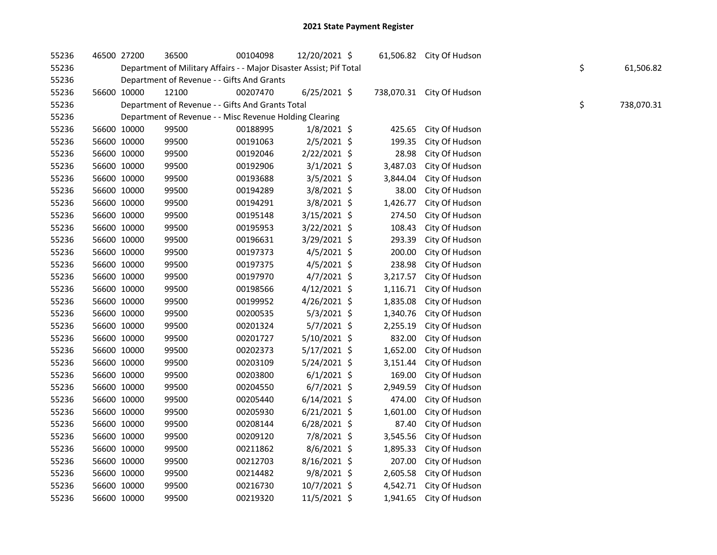| 55236 |             | 46500 27200 | 36500                                                               | 00104098 | 12/20/2021 \$  |          | 61,506.82 City Of Hudson  |    |            |
|-------|-------------|-------------|---------------------------------------------------------------------|----------|----------------|----------|---------------------------|----|------------|
| 55236 |             |             | Department of Military Affairs - - Major Disaster Assist; Pif Total |          |                |          |                           | \$ | 61,506.82  |
| 55236 |             |             | Department of Revenue - - Gifts And Grants                          |          |                |          |                           |    |            |
| 55236 |             | 56600 10000 | 12100                                                               | 00207470 | $6/25/2021$ \$ |          | 738,070.31 City Of Hudson |    |            |
| 55236 |             |             | Department of Revenue - - Gifts And Grants Total                    |          |                |          |                           | \$ | 738,070.31 |
| 55236 |             |             | Department of Revenue - - Misc Revenue Holding Clearing             |          |                |          |                           |    |            |
| 55236 |             | 56600 10000 | 99500                                                               | 00188995 | $1/8/2021$ \$  | 425.65   | City Of Hudson            |    |            |
| 55236 |             | 56600 10000 | 99500                                                               | 00191063 | $2/5/2021$ \$  | 199.35   | City Of Hudson            |    |            |
| 55236 |             | 56600 10000 | 99500                                                               | 00192046 | $2/22/2021$ \$ | 28.98    | City Of Hudson            |    |            |
| 55236 |             | 56600 10000 | 99500                                                               | 00192906 | $3/1/2021$ \$  | 3,487.03 | City Of Hudson            |    |            |
| 55236 |             | 56600 10000 | 99500                                                               | 00193688 | 3/5/2021 \$    | 3,844.04 | City Of Hudson            |    |            |
| 55236 |             | 56600 10000 | 99500                                                               | 00194289 | 3/8/2021 \$    | 38.00    | City Of Hudson            |    |            |
| 55236 |             | 56600 10000 | 99500                                                               | 00194291 | 3/8/2021 \$    | 1,426.77 | City Of Hudson            |    |            |
| 55236 |             | 56600 10000 | 99500                                                               | 00195148 | 3/15/2021 \$   | 274.50   | City Of Hudson            |    |            |
| 55236 |             | 56600 10000 | 99500                                                               | 00195953 | 3/22/2021 \$   | 108.43   | City Of Hudson            |    |            |
| 55236 |             | 56600 10000 | 99500                                                               | 00196631 | 3/29/2021 \$   | 293.39   | City Of Hudson            |    |            |
| 55236 |             | 56600 10000 | 99500                                                               | 00197373 | $4/5/2021$ \$  | 200.00   | City Of Hudson            |    |            |
| 55236 |             | 56600 10000 | 99500                                                               | 00197375 | 4/5/2021 \$    | 238.98   | City Of Hudson            |    |            |
| 55236 |             | 56600 10000 | 99500                                                               | 00197970 | $4/7/2021$ \$  | 3,217.57 | City Of Hudson            |    |            |
| 55236 |             | 56600 10000 | 99500                                                               | 00198566 | $4/12/2021$ \$ | 1,116.71 | City Of Hudson            |    |            |
| 55236 |             | 56600 10000 | 99500                                                               | 00199952 | 4/26/2021 \$   | 1,835.08 | City Of Hudson            |    |            |
| 55236 |             | 56600 10000 | 99500                                                               | 00200535 | $5/3/2021$ \$  | 1,340.76 | City Of Hudson            |    |            |
| 55236 |             | 56600 10000 | 99500                                                               | 00201324 | 5/7/2021 \$    | 2,255.19 | City Of Hudson            |    |            |
| 55236 |             | 56600 10000 | 99500                                                               | 00201727 | $5/10/2021$ \$ | 832.00   | City Of Hudson            |    |            |
| 55236 |             | 56600 10000 | 99500                                                               | 00202373 | $5/17/2021$ \$ | 1,652.00 | City Of Hudson            |    |            |
| 55236 |             | 56600 10000 | 99500                                                               | 00203109 | 5/24/2021 \$   | 3,151.44 | City Of Hudson            |    |            |
| 55236 |             | 56600 10000 | 99500                                                               | 00203800 | $6/1/2021$ \$  | 169.00   | City Of Hudson            |    |            |
| 55236 |             | 56600 10000 | 99500                                                               | 00204550 | $6/7/2021$ \$  | 2,949.59 | City Of Hudson            |    |            |
| 55236 |             | 56600 10000 | 99500                                                               | 00205440 | $6/14/2021$ \$ | 474.00   | City Of Hudson            |    |            |
| 55236 |             | 56600 10000 | 99500                                                               | 00205930 | $6/21/2021$ \$ | 1,601.00 | City Of Hudson            |    |            |
| 55236 |             | 56600 10000 | 99500                                                               | 00208144 | $6/28/2021$ \$ | 87.40    | City Of Hudson            |    |            |
| 55236 |             | 56600 10000 | 99500                                                               | 00209120 | 7/8/2021 \$    | 3,545.56 | City Of Hudson            |    |            |
| 55236 |             | 56600 10000 | 99500                                                               | 00211862 | 8/6/2021 \$    | 1,895.33 | City Of Hudson            |    |            |
| 55236 |             | 56600 10000 | 99500                                                               | 00212703 | 8/16/2021 \$   | 207.00   | City Of Hudson            |    |            |
| 55236 |             | 56600 10000 | 99500                                                               | 00214482 | 9/8/2021 \$    | 2,605.58 | City Of Hudson            |    |            |
| 55236 |             | 56600 10000 | 99500                                                               | 00216730 | 10/7/2021 \$   |          | 4,542.71 City Of Hudson   |    |            |
| 55236 | 56600 10000 |             | 99500                                                               | 00219320 | 11/5/2021 \$   |          | 1,941.65 City Of Hudson   |    |            |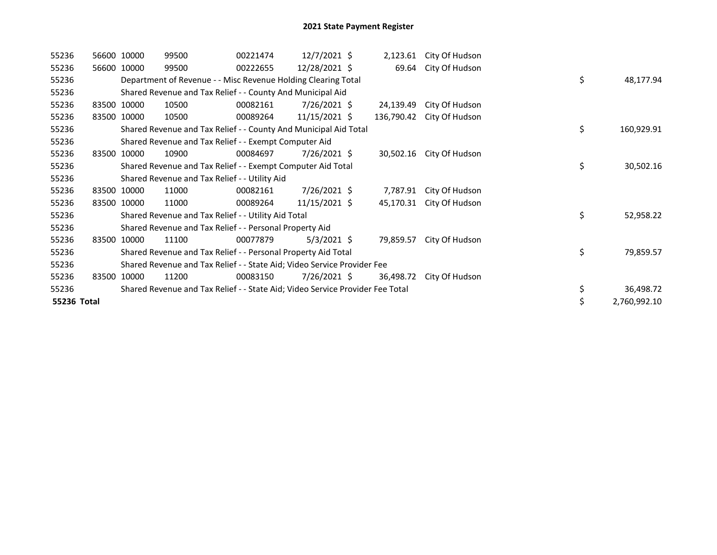| 55236       | 56600 10000 | 99500                                                                         | 00221474 | $12/7/2021$ \$  |            | 2,123.61 City Of Hudson |    |              |
|-------------|-------------|-------------------------------------------------------------------------------|----------|-----------------|------------|-------------------------|----|--------------|
| 55236       | 56600 10000 | 99500                                                                         | 00222655 | 12/28/2021 \$   |            | 69.64 City Of Hudson    |    |              |
| 55236       |             | Department of Revenue - - Misc Revenue Holding Clearing Total                 |          |                 |            |                         | \$ | 48,177.94    |
| 55236       |             | Shared Revenue and Tax Relief - - County And Municipal Aid                    |          |                 |            |                         |    |              |
| 55236       | 83500 10000 | 10500                                                                         | 00082161 | $7/26/2021$ \$  | 24,139.49  | City Of Hudson          |    |              |
| 55236       | 83500 10000 | 10500                                                                         | 00089264 | $11/15/2021$ \$ | 136,790.42 | City Of Hudson          |    |              |
| 55236       |             | Shared Revenue and Tax Relief - - County And Municipal Aid Total              |          |                 |            |                         | \$ | 160,929.91   |
| 55236       |             | Shared Revenue and Tax Relief - - Exempt Computer Aid                         |          |                 |            |                         |    |              |
| 55236       | 83500 10000 | 10900                                                                         | 00084697 | $7/26/2021$ \$  | 30,502.16  | City Of Hudson          |    |              |
| 55236       |             | Shared Revenue and Tax Relief - - Exempt Computer Aid Total                   |          |                 |            |                         | \$ | 30,502.16    |
| 55236       |             | Shared Revenue and Tax Relief - - Utility Aid                                 |          |                 |            |                         |    |              |
| 55236       | 83500 10000 | 11000                                                                         | 00082161 | 7/26/2021 \$    | 7,787.91   | City Of Hudson          |    |              |
| 55236       | 83500 10000 | 11000                                                                         | 00089264 | $11/15/2021$ \$ | 45,170.31  | City Of Hudson          |    |              |
| 55236       |             | Shared Revenue and Tax Relief - - Utility Aid Total                           |          |                 |            |                         | \$ | 52,958.22    |
| 55236       |             | Shared Revenue and Tax Relief - - Personal Property Aid                       |          |                 |            |                         |    |              |
| 55236       | 83500 10000 | 11100                                                                         | 00077879 | $5/3/2021$ \$   | 79,859.57  | City Of Hudson          |    |              |
| 55236       |             | Shared Revenue and Tax Relief - - Personal Property Aid Total                 |          |                 |            |                         | \$ | 79,859.57    |
| 55236       |             | Shared Revenue and Tax Relief - - State Aid; Video Service Provider Fee       |          |                 |            |                         |    |              |
| 55236       | 83500 10000 | 11200                                                                         | 00083150 | $7/26/2021$ \$  | 36,498.72  | City Of Hudson          |    |              |
| 55236       |             | Shared Revenue and Tax Relief - - State Aid; Video Service Provider Fee Total |          |                 |            |                         | \$ | 36,498.72    |
| 55236 Total |             |                                                                               |          |                 |            |                         |    | 2,760,992.10 |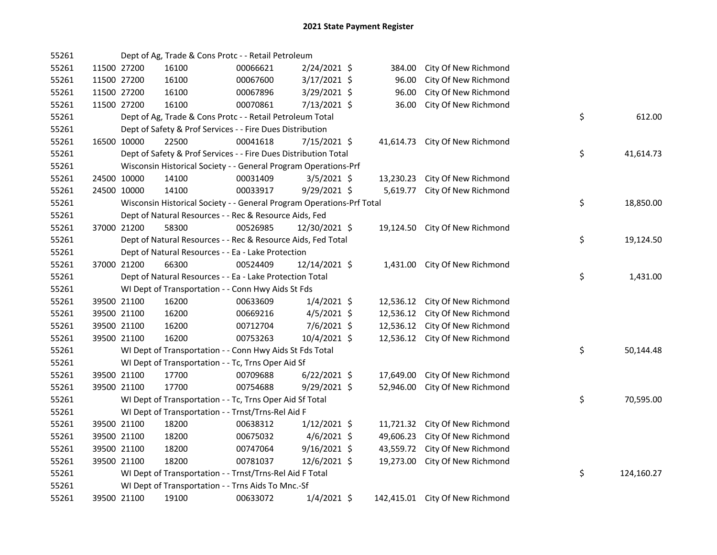| 55261 |             |             | Dept of Ag, Trade & Cons Protc - - Retail Petroleum                   |          |                |           |                                 |    |            |
|-------|-------------|-------------|-----------------------------------------------------------------------|----------|----------------|-----------|---------------------------------|----|------------|
| 55261 |             | 11500 27200 | 16100                                                                 | 00066621 | 2/24/2021 \$   | 384.00    | City Of New Richmond            |    |            |
| 55261 | 11500 27200 |             | 16100                                                                 | 00067600 | $3/17/2021$ \$ | 96.00     | City Of New Richmond            |    |            |
| 55261 | 11500 27200 |             | 16100                                                                 | 00067896 | 3/29/2021 \$   | 96.00     | City Of New Richmond            |    |            |
| 55261 |             | 11500 27200 | 16100                                                                 | 00070861 | 7/13/2021 \$   | 36.00     | City Of New Richmond            |    |            |
| 55261 |             |             | Dept of Ag, Trade & Cons Protc - - Retail Petroleum Total             |          |                |           |                                 | \$ | 612.00     |
| 55261 |             |             | Dept of Safety & Prof Services - - Fire Dues Distribution             |          |                |           |                                 |    |            |
| 55261 |             | 16500 10000 | 22500                                                                 | 00041618 | $7/15/2021$ \$ |           | 41,614.73 City Of New Richmond  |    |            |
| 55261 |             |             | Dept of Safety & Prof Services - - Fire Dues Distribution Total       |          |                |           |                                 | \$ | 41,614.73  |
| 55261 |             |             | Wisconsin Historical Society - - General Program Operations-Prf       |          |                |           |                                 |    |            |
| 55261 |             | 24500 10000 | 14100                                                                 | 00031409 | $3/5/2021$ \$  | 13,230.23 | City Of New Richmond            |    |            |
| 55261 |             | 24500 10000 | 14100                                                                 | 00033917 | 9/29/2021 \$   | 5,619.77  | City Of New Richmond            |    |            |
| 55261 |             |             | Wisconsin Historical Society - - General Program Operations-Prf Total |          |                |           |                                 | \$ | 18,850.00  |
| 55261 |             |             | Dept of Natural Resources - - Rec & Resource Aids, Fed                |          |                |           |                                 |    |            |
| 55261 |             | 37000 21200 | 58300                                                                 | 00526985 | 12/30/2021 \$  |           | 19,124.50 City Of New Richmond  |    |            |
| 55261 |             |             | Dept of Natural Resources - - Rec & Resource Aids, Fed Total          |          |                |           |                                 | \$ | 19,124.50  |
| 55261 |             |             | Dept of Natural Resources - - Ea - Lake Protection                    |          |                |           |                                 |    |            |
| 55261 |             | 37000 21200 | 66300                                                                 | 00524409 | 12/14/2021 \$  |           | 1,431.00 City Of New Richmond   |    |            |
| 55261 |             |             | Dept of Natural Resources - - Ea - Lake Protection Total              |          |                |           |                                 | \$ | 1,431.00   |
| 55261 |             |             | WI Dept of Transportation - - Conn Hwy Aids St Fds                    |          |                |           |                                 |    |            |
| 55261 |             | 39500 21100 | 16200                                                                 | 00633609 | $1/4/2021$ \$  | 12,536.12 | City Of New Richmond            |    |            |
| 55261 |             | 39500 21100 | 16200                                                                 | 00669216 | $4/5/2021$ \$  | 12,536.12 | City Of New Richmond            |    |            |
| 55261 |             | 39500 21100 | 16200                                                                 | 00712704 | 7/6/2021 \$    | 12,536.12 | City Of New Richmond            |    |            |
| 55261 |             | 39500 21100 | 16200                                                                 | 00753263 | 10/4/2021 \$   |           | 12,536.12 City Of New Richmond  |    |            |
| 55261 |             |             | WI Dept of Transportation - - Conn Hwy Aids St Fds Total              |          |                |           |                                 | \$ | 50,144.48  |
| 55261 |             |             | WI Dept of Transportation - - Tc, Trns Oper Aid Sf                    |          |                |           |                                 |    |            |
| 55261 |             | 39500 21100 | 17700                                                                 | 00709688 | $6/22/2021$ \$ | 17,649.00 | City Of New Richmond            |    |            |
| 55261 |             | 39500 21100 | 17700                                                                 | 00754688 | $9/29/2021$ \$ | 52,946.00 | City Of New Richmond            |    |            |
| 55261 |             |             | WI Dept of Transportation - - Tc, Trns Oper Aid Sf Total              |          |                |           |                                 | \$ | 70,595.00  |
| 55261 |             |             | WI Dept of Transportation - - Trnst/Trns-Rel Aid F                    |          |                |           |                                 |    |            |
| 55261 |             | 39500 21100 | 18200                                                                 | 00638312 | $1/12/2021$ \$ |           | 11,721.32 City Of New Richmond  |    |            |
| 55261 |             | 39500 21100 | 18200                                                                 | 00675032 | $4/6/2021$ \$  |           | 49,606.23 City Of New Richmond  |    |            |
| 55261 |             | 39500 21100 | 18200                                                                 | 00747064 | $9/16/2021$ \$ |           | 43,559.72 City Of New Richmond  |    |            |
| 55261 |             | 39500 21100 | 18200                                                                 | 00781037 | 12/6/2021 \$   |           | 19,273.00 City Of New Richmond  |    |            |
| 55261 |             |             | WI Dept of Transportation - - Trnst/Trns-Rel Aid F Total              |          |                |           |                                 | \$ | 124,160.27 |
| 55261 |             |             | WI Dept of Transportation - - Trns Aids To Mnc.-Sf                    |          |                |           |                                 |    |            |
| 55261 |             | 39500 21100 | 19100                                                                 | 00633072 | $1/4/2021$ \$  |           | 142,415.01 City Of New Richmond |    |            |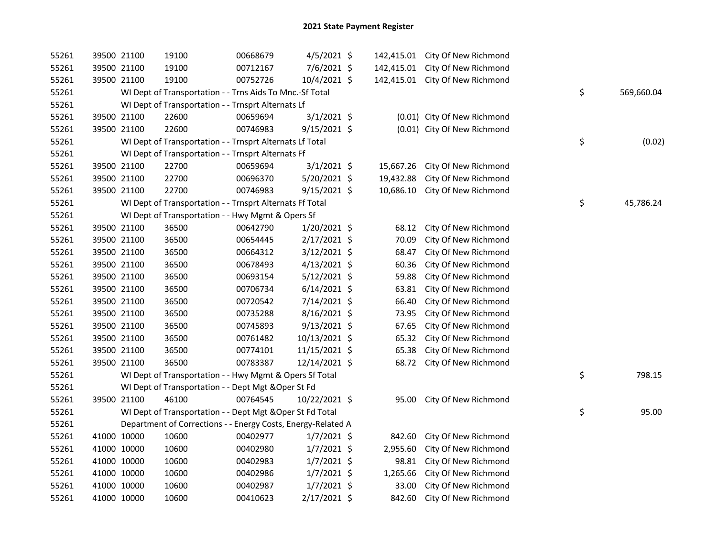| 55261 |             | 39500 21100 | 19100                                                        | 00668679 | $4/5/2021$ \$  |           | 142,415.01 City Of New Richmond |    |            |
|-------|-------------|-------------|--------------------------------------------------------------|----------|----------------|-----------|---------------------------------|----|------------|
| 55261 | 39500 21100 |             | 19100                                                        | 00712167 | 7/6/2021 \$    |           | 142,415.01 City Of New Richmond |    |            |
| 55261 |             | 39500 21100 | 19100                                                        | 00752726 | 10/4/2021 \$   |           | 142,415.01 City Of New Richmond |    |            |
| 55261 |             |             | WI Dept of Transportation - - Trns Aids To Mnc.-Sf Total     |          |                |           |                                 | \$ | 569,660.04 |
| 55261 |             |             | WI Dept of Transportation - - Trnsprt Alternats Lf           |          |                |           |                                 |    |            |
| 55261 | 39500 21100 |             | 22600                                                        | 00659694 | $3/1/2021$ \$  |           | (0.01) City Of New Richmond     |    |            |
| 55261 | 39500 21100 |             | 22600                                                        | 00746983 | 9/15/2021 \$   |           | (0.01) City Of New Richmond     |    |            |
| 55261 |             |             | WI Dept of Transportation - - Trnsprt Alternats Lf Total     |          |                |           |                                 | \$ | (0.02)     |
| 55261 |             |             | WI Dept of Transportation - - Trnsprt Alternats Ff           |          |                |           |                                 |    |            |
| 55261 |             | 39500 21100 | 22700                                                        | 00659694 | $3/1/2021$ \$  | 15,667.26 | City Of New Richmond            |    |            |
| 55261 | 39500 21100 |             | 22700                                                        | 00696370 | 5/20/2021 \$   | 19,432.88 | City Of New Richmond            |    |            |
| 55261 | 39500 21100 |             | 22700                                                        | 00746983 | $9/15/2021$ \$ | 10,686.10 | City Of New Richmond            |    |            |
| 55261 |             |             | WI Dept of Transportation - - Trnsprt Alternats Ff Total     |          |                |           |                                 | \$ | 45,786.24  |
| 55261 |             |             | WI Dept of Transportation - - Hwy Mgmt & Opers Sf            |          |                |           |                                 |    |            |
| 55261 | 39500 21100 |             | 36500                                                        | 00642790 | 1/20/2021 \$   | 68.12     | City Of New Richmond            |    |            |
| 55261 | 39500 21100 |             | 36500                                                        | 00654445 | 2/17/2021 \$   | 70.09     | City Of New Richmond            |    |            |
| 55261 | 39500 21100 |             | 36500                                                        | 00664312 | $3/12/2021$ \$ | 68.47     | City Of New Richmond            |    |            |
| 55261 | 39500 21100 |             | 36500                                                        | 00678493 | $4/13/2021$ \$ | 60.36     | City Of New Richmond            |    |            |
| 55261 | 39500 21100 |             | 36500                                                        | 00693154 | $5/12/2021$ \$ | 59.88     | City Of New Richmond            |    |            |
| 55261 | 39500 21100 |             | 36500                                                        | 00706734 | $6/14/2021$ \$ | 63.81     | City Of New Richmond            |    |            |
| 55261 | 39500 21100 |             | 36500                                                        | 00720542 | 7/14/2021 \$   | 66.40     | City Of New Richmond            |    |            |
| 55261 | 39500 21100 |             | 36500                                                        | 00735288 | 8/16/2021 \$   | 73.95     | City Of New Richmond            |    |            |
| 55261 | 39500 21100 |             | 36500                                                        | 00745893 | $9/13/2021$ \$ | 67.65     | City Of New Richmond            |    |            |
| 55261 | 39500 21100 |             | 36500                                                        | 00761482 | 10/13/2021 \$  | 65.32     | City Of New Richmond            |    |            |
| 55261 | 39500 21100 |             | 36500                                                        | 00774101 | 11/15/2021 \$  | 65.38     | City Of New Richmond            |    |            |
| 55261 | 39500 21100 |             | 36500                                                        | 00783387 | 12/14/2021 \$  |           | 68.72 City Of New Richmond      |    |            |
| 55261 |             |             | WI Dept of Transportation - - Hwy Mgmt & Opers Sf Total      |          |                |           |                                 | \$ | 798.15     |
| 55261 |             |             | WI Dept of Transportation - - Dept Mgt & Oper St Fd          |          |                |           |                                 |    |            |
| 55261 | 39500 21100 |             | 46100                                                        | 00764545 | 10/22/2021 \$  | 95.00     | City Of New Richmond            |    |            |
| 55261 |             |             | WI Dept of Transportation - - Dept Mgt & Oper St Fd Total    |          |                |           |                                 | \$ | 95.00      |
| 55261 |             |             | Department of Corrections - - Energy Costs, Energy-Related A |          |                |           |                                 |    |            |
| 55261 | 41000 10000 |             | 10600                                                        | 00402977 | $1/7/2021$ \$  | 842.60    | City Of New Richmond            |    |            |
| 55261 | 41000 10000 |             | 10600                                                        | 00402980 | $1/7/2021$ \$  | 2,955.60  | City Of New Richmond            |    |            |
| 55261 | 41000 10000 |             | 10600                                                        | 00402983 | $1/7/2021$ \$  | 98.81     | City Of New Richmond            |    |            |
| 55261 | 41000 10000 |             | 10600                                                        | 00402986 | $1/7/2021$ \$  | 1,265.66  | City Of New Richmond            |    |            |
| 55261 | 41000 10000 |             | 10600                                                        | 00402987 | $1/7/2021$ \$  | 33.00     | City Of New Richmond            |    |            |
| 55261 | 41000 10000 |             | 10600                                                        | 00410623 | 2/17/2021 \$   | 842.60    | City Of New Richmond            |    |            |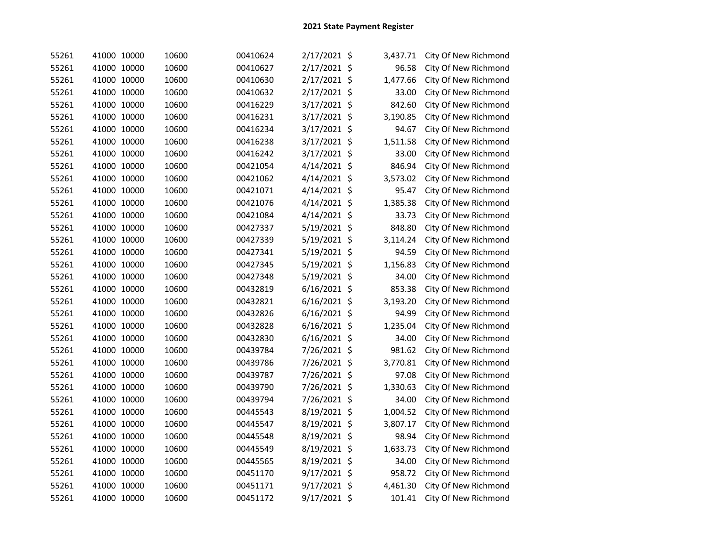| 55261 | 41000 10000 | 10600 | 00410624 | 2/17/2021 \$   | 3,437.71 | City Of New Richmond |
|-------|-------------|-------|----------|----------------|----------|----------------------|
| 55261 | 41000 10000 | 10600 | 00410627 | 2/17/2021 \$   | 96.58    | City Of New Richmond |
| 55261 | 41000 10000 | 10600 | 00410630 | 2/17/2021 \$   | 1,477.66 | City Of New Richmond |
| 55261 | 41000 10000 | 10600 | 00410632 | 2/17/2021 \$   | 33.00    | City Of New Richmond |
| 55261 | 41000 10000 | 10600 | 00416229 | 3/17/2021 \$   | 842.60   | City Of New Richmond |
| 55261 | 41000 10000 | 10600 | 00416231 | 3/17/2021 \$   | 3,190.85 | City Of New Richmond |
| 55261 | 41000 10000 | 10600 | 00416234 | 3/17/2021 \$   | 94.67    | City Of New Richmond |
| 55261 | 41000 10000 | 10600 | 00416238 | 3/17/2021 \$   | 1,511.58 | City Of New Richmond |
| 55261 | 41000 10000 | 10600 | 00416242 | 3/17/2021 \$   | 33.00    | City Of New Richmond |
| 55261 | 41000 10000 | 10600 | 00421054 | 4/14/2021 \$   | 846.94   | City Of New Richmond |
| 55261 | 41000 10000 | 10600 | 00421062 | 4/14/2021 \$   | 3,573.02 | City Of New Richmond |
| 55261 | 41000 10000 | 10600 | 00421071 | 4/14/2021 \$   | 95.47    | City Of New Richmond |
| 55261 | 41000 10000 | 10600 | 00421076 | 4/14/2021 \$   | 1,385.38 | City Of New Richmond |
| 55261 | 41000 10000 | 10600 | 00421084 | 4/14/2021 \$   | 33.73    | City Of New Richmond |
| 55261 | 41000 10000 | 10600 | 00427337 | 5/19/2021 \$   | 848.80   | City Of New Richmond |
| 55261 | 41000 10000 | 10600 | 00427339 | 5/19/2021 \$   | 3,114.24 | City Of New Richmond |
| 55261 | 41000 10000 | 10600 | 00427341 | 5/19/2021 \$   | 94.59    | City Of New Richmond |
| 55261 | 41000 10000 | 10600 | 00427345 | 5/19/2021 \$   | 1,156.83 | City Of New Richmond |
| 55261 | 41000 10000 | 10600 | 00427348 | 5/19/2021 \$   | 34.00    | City Of New Richmond |
| 55261 | 41000 10000 | 10600 | 00432819 | 6/16/2021 \$   | 853.38   | City Of New Richmond |
| 55261 | 41000 10000 | 10600 | 00432821 | $6/16/2021$ \$ | 3,193.20 | City Of New Richmond |
| 55261 | 41000 10000 | 10600 | 00432826 | 6/16/2021 \$   | 94.99    | City Of New Richmond |
| 55261 | 41000 10000 | 10600 | 00432828 | 6/16/2021 \$   | 1,235.04 | City Of New Richmond |
| 55261 | 41000 10000 | 10600 | 00432830 | $6/16/2021$ \$ | 34.00    | City Of New Richmond |
| 55261 | 41000 10000 | 10600 | 00439784 | 7/26/2021 \$   | 981.62   | City Of New Richmond |
| 55261 | 41000 10000 | 10600 | 00439786 | 7/26/2021 \$   | 3,770.81 | City Of New Richmond |
| 55261 | 41000 10000 | 10600 | 00439787 | 7/26/2021 \$   | 97.08    | City Of New Richmond |
| 55261 | 41000 10000 | 10600 | 00439790 | 7/26/2021 \$   | 1,330.63 | City Of New Richmond |
| 55261 | 41000 10000 | 10600 | 00439794 | 7/26/2021 \$   | 34.00    | City Of New Richmond |
| 55261 | 41000 10000 | 10600 | 00445543 | 8/19/2021 \$   | 1,004.52 | City Of New Richmond |
| 55261 | 41000 10000 | 10600 | 00445547 | 8/19/2021 \$   | 3,807.17 | City Of New Richmond |
| 55261 | 41000 10000 | 10600 | 00445548 | 8/19/2021 \$   | 98.94    | City Of New Richmond |
| 55261 | 41000 10000 | 10600 | 00445549 | 8/19/2021 \$   | 1,633.73 | City Of New Richmond |
| 55261 | 41000 10000 | 10600 | 00445565 | 8/19/2021 \$   | 34.00    | City Of New Richmond |
| 55261 | 41000 10000 | 10600 | 00451170 | 9/17/2021 \$   | 958.72   | City Of New Richmond |
| 55261 | 41000 10000 | 10600 | 00451171 | $9/17/2021$ \$ | 4,461.30 | City Of New Richmond |
| 55261 | 41000 10000 | 10600 | 00451172 | 9/17/2021 \$   | 101.41   | City Of New Richmond |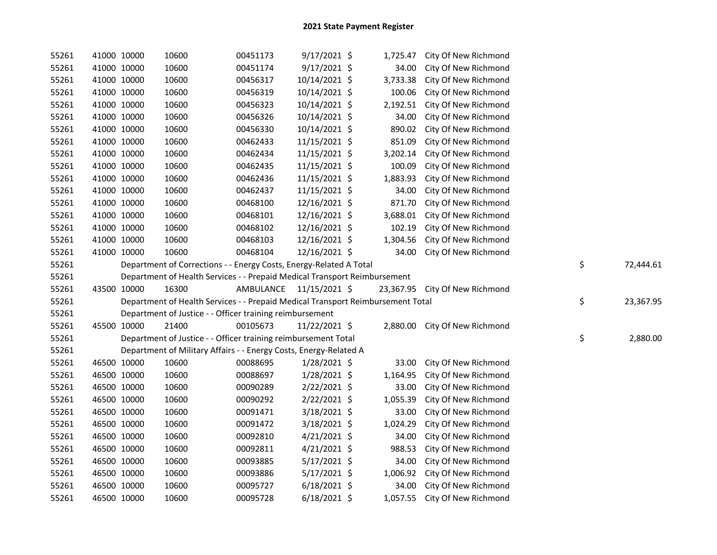| 55261 |             | 41000 10000 | 10600                                                                           | 00451173                | $9/17/2021$ \$ | 1,725.47 | City Of New Richmond           |                 |
|-------|-------------|-------------|---------------------------------------------------------------------------------|-------------------------|----------------|----------|--------------------------------|-----------------|
| 55261 |             | 41000 10000 | 10600                                                                           | 00451174                | 9/17/2021 \$   | 34.00    | City Of New Richmond           |                 |
| 55261 |             | 41000 10000 | 10600                                                                           | 00456317                | 10/14/2021 \$  | 3,733.38 | City Of New Richmond           |                 |
| 55261 |             | 41000 10000 | 10600                                                                           | 00456319                | 10/14/2021 \$  | 100.06   | City Of New Richmond           |                 |
| 55261 |             | 41000 10000 | 10600                                                                           | 00456323                | 10/14/2021 \$  | 2,192.51 | City Of New Richmond           |                 |
| 55261 |             | 41000 10000 | 10600                                                                           | 00456326                | 10/14/2021 \$  | 34.00    | City Of New Richmond           |                 |
| 55261 |             | 41000 10000 | 10600                                                                           | 00456330                | 10/14/2021 \$  | 890.02   | City Of New Richmond           |                 |
| 55261 | 41000 10000 |             | 10600                                                                           | 00462433                | 11/15/2021 \$  | 851.09   | City Of New Richmond           |                 |
| 55261 |             | 41000 10000 | 10600                                                                           | 00462434                | 11/15/2021 \$  | 3,202.14 | City Of New Richmond           |                 |
| 55261 |             | 41000 10000 | 10600                                                                           | 00462435                | 11/15/2021 \$  | 100.09   | City Of New Richmond           |                 |
| 55261 |             | 41000 10000 | 10600                                                                           | 00462436                | 11/15/2021 \$  | 1,883.93 | City Of New Richmond           |                 |
| 55261 |             | 41000 10000 | 10600                                                                           | 00462437                | 11/15/2021 \$  | 34.00    | City Of New Richmond           |                 |
| 55261 |             | 41000 10000 | 10600                                                                           | 00468100                | 12/16/2021 \$  | 871.70   | City Of New Richmond           |                 |
| 55261 |             | 41000 10000 | 10600                                                                           | 00468101                | 12/16/2021 \$  | 3,688.01 | City Of New Richmond           |                 |
| 55261 |             | 41000 10000 | 10600                                                                           | 00468102                | 12/16/2021 \$  | 102.19   | City Of New Richmond           |                 |
| 55261 |             | 41000 10000 | 10600                                                                           | 00468103                | 12/16/2021 \$  | 1,304.56 | City Of New Richmond           |                 |
| 55261 |             | 41000 10000 | 10600                                                                           | 00468104                | 12/16/2021 \$  | 34.00    | City Of New Richmond           |                 |
| 55261 |             |             | Department of Corrections - - Energy Costs, Energy-Related A Total              |                         |                |          |                                | \$<br>72,444.61 |
| 55261 |             |             | Department of Health Services - - Prepaid Medical Transport Reimbursement       |                         |                |          |                                |                 |
| 55261 |             | 43500 10000 | 16300                                                                           | AMBULANCE 11/15/2021 \$ |                |          | 23,367.95 City Of New Richmond |                 |
| 55261 |             |             | Department of Health Services - - Prepaid Medical Transport Reimbursement Total |                         |                |          |                                | \$<br>23,367.95 |
| 55261 |             |             | Department of Justice - - Officer training reimbursement                        |                         |                |          |                                |                 |
| 55261 |             | 45500 10000 | 21400                                                                           | 00105673                | 11/22/2021 \$  |          | 2,880.00 City Of New Richmond  |                 |
| 55261 |             |             | Department of Justice - - Officer training reimbursement Total                  |                         |                |          |                                | \$<br>2,880.00  |
| 55261 |             |             | Department of Military Affairs - - Energy Costs, Energy-Related A               |                         |                |          |                                |                 |
| 55261 |             | 46500 10000 | 10600                                                                           | 00088695                | 1/28/2021 \$   | 33.00    | City Of New Richmond           |                 |
| 55261 |             | 46500 10000 | 10600                                                                           | 00088697                | 1/28/2021 \$   | 1,164.95 | City Of New Richmond           |                 |
| 55261 |             | 46500 10000 | 10600                                                                           | 00090289                | 2/22/2021 \$   | 33.00    | City Of New Richmond           |                 |
| 55261 | 46500 10000 |             | 10600                                                                           | 00090292                | $2/22/2021$ \$ | 1,055.39 | City Of New Richmond           |                 |
| 55261 | 46500 10000 |             | 10600                                                                           | 00091471                | 3/18/2021 \$   | 33.00    | City Of New Richmond           |                 |
| 55261 | 46500 10000 |             | 10600                                                                           | 00091472                | $3/18/2021$ \$ | 1,024.29 | City Of New Richmond           |                 |
| 55261 | 46500 10000 |             | 10600                                                                           | 00092810                | $4/21/2021$ \$ | 34.00    | City Of New Richmond           |                 |
| 55261 |             | 46500 10000 | 10600                                                                           | 00092811                | $4/21/2021$ \$ | 988.53   | City Of New Richmond           |                 |
| 55261 |             | 46500 10000 | 10600                                                                           | 00093885                | 5/17/2021 \$   | 34.00    | City Of New Richmond           |                 |
| 55261 |             | 46500 10000 | 10600                                                                           | 00093886                | $5/17/2021$ \$ | 1,006.92 | City Of New Richmond           |                 |
| 55261 | 46500 10000 |             | 10600                                                                           | 00095727                | $6/18/2021$ \$ | 34.00    | City Of New Richmond           |                 |
| 55261 | 46500 10000 |             | 10600                                                                           | 00095728                | $6/18/2021$ \$ | 1,057.55 | City Of New Richmond           |                 |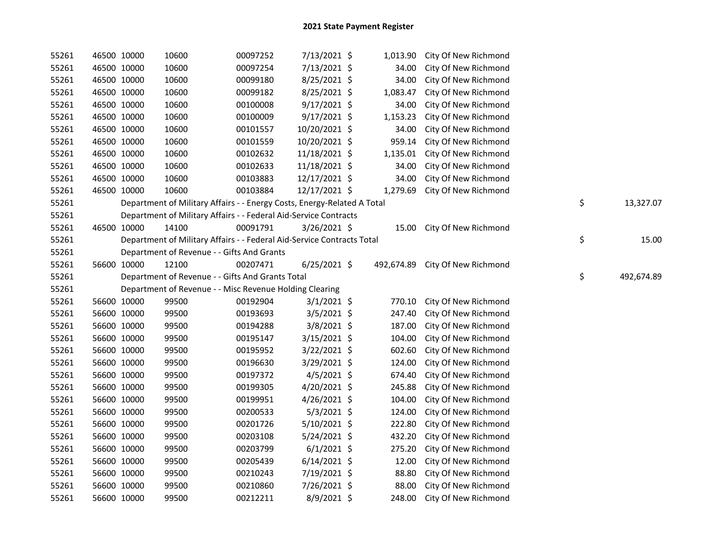| 55261 |             | 46500 10000 | 10600                                                                   | 00097252 | 7/13/2021 \$   | 1,013.90   | City Of New Richmond |                  |
|-------|-------------|-------------|-------------------------------------------------------------------------|----------|----------------|------------|----------------------|------------------|
| 55261 |             | 46500 10000 | 10600                                                                   | 00097254 | 7/13/2021 \$   | 34.00      | City Of New Richmond |                  |
| 55261 |             | 46500 10000 | 10600                                                                   | 00099180 | 8/25/2021 \$   | 34.00      | City Of New Richmond |                  |
| 55261 |             | 46500 10000 | 10600                                                                   | 00099182 | 8/25/2021 \$   | 1,083.47   | City Of New Richmond |                  |
| 55261 |             | 46500 10000 | 10600                                                                   | 00100008 | 9/17/2021 \$   | 34.00      | City Of New Richmond |                  |
| 55261 |             | 46500 10000 | 10600                                                                   | 00100009 | 9/17/2021 \$   | 1,153.23   | City Of New Richmond |                  |
| 55261 |             | 46500 10000 | 10600                                                                   | 00101557 | 10/20/2021 \$  | 34.00      | City Of New Richmond |                  |
| 55261 |             | 46500 10000 | 10600                                                                   | 00101559 | 10/20/2021 \$  | 959.14     | City Of New Richmond |                  |
| 55261 |             | 46500 10000 | 10600                                                                   | 00102632 | 11/18/2021 \$  | 1,135.01   | City Of New Richmond |                  |
| 55261 |             | 46500 10000 | 10600                                                                   | 00102633 | 11/18/2021 \$  | 34.00      | City Of New Richmond |                  |
| 55261 |             | 46500 10000 | 10600                                                                   | 00103883 | 12/17/2021 \$  | 34.00      | City Of New Richmond |                  |
| 55261 |             | 46500 10000 | 10600                                                                   | 00103884 | 12/17/2021 \$  | 1,279.69   | City Of New Richmond |                  |
| 55261 |             |             | Department of Military Affairs - - Energy Costs, Energy-Related A Total |          |                |            |                      | \$<br>13,327.07  |
| 55261 |             |             | Department of Military Affairs - - Federal Aid-Service Contracts        |          |                |            |                      |                  |
| 55261 | 46500 10000 |             | 14100                                                                   | 00091791 | $3/26/2021$ \$ | 15.00      | City Of New Richmond |                  |
| 55261 |             |             | Department of Military Affairs - - Federal Aid-Service Contracts Total  |          |                |            |                      | \$<br>15.00      |
| 55261 |             |             | Department of Revenue - - Gifts And Grants                              |          |                |            |                      |                  |
| 55261 |             | 56600 10000 | 12100                                                                   | 00207471 | $6/25/2021$ \$ | 492,674.89 | City Of New Richmond |                  |
| 55261 |             |             | Department of Revenue - - Gifts And Grants Total                        |          |                |            |                      | \$<br>492,674.89 |
| 55261 |             |             | Department of Revenue - - Misc Revenue Holding Clearing                 |          |                |            |                      |                  |
| 55261 |             | 56600 10000 | 99500                                                                   | 00192904 | $3/1/2021$ \$  | 770.10     | City Of New Richmond |                  |
| 55261 |             | 56600 10000 | 99500                                                                   | 00193693 | $3/5/2021$ \$  | 247.40     | City Of New Richmond |                  |
| 55261 |             | 56600 10000 | 99500                                                                   | 00194288 | 3/8/2021 \$    | 187.00     | City Of New Richmond |                  |
| 55261 |             | 56600 10000 | 99500                                                                   | 00195147 | $3/15/2021$ \$ | 104.00     | City Of New Richmond |                  |
| 55261 |             | 56600 10000 | 99500                                                                   | 00195952 | 3/22/2021 \$   | 602.60     | City Of New Richmond |                  |
| 55261 |             | 56600 10000 | 99500                                                                   | 00196630 | $3/29/2021$ \$ | 124.00     | City Of New Richmond |                  |
| 55261 |             | 56600 10000 | 99500                                                                   | 00197372 | 4/5/2021 \$    | 674.40     | City Of New Richmond |                  |
| 55261 |             | 56600 10000 | 99500                                                                   | 00199305 | 4/20/2021 \$   | 245.88     | City Of New Richmond |                  |
| 55261 |             | 56600 10000 | 99500                                                                   | 00199951 | 4/26/2021 \$   | 104.00     | City Of New Richmond |                  |
| 55261 |             | 56600 10000 | 99500                                                                   | 00200533 | $5/3/2021$ \$  | 124.00     | City Of New Richmond |                  |
| 55261 |             | 56600 10000 | 99500                                                                   | 00201726 | $5/10/2021$ \$ | 222.80     | City Of New Richmond |                  |
| 55261 |             | 56600 10000 | 99500                                                                   | 00203108 | $5/24/2021$ \$ | 432.20     | City Of New Richmond |                  |
| 55261 | 56600 10000 |             | 99500                                                                   | 00203799 | $6/1/2021$ \$  | 275.20     | City Of New Richmond |                  |
| 55261 |             | 56600 10000 | 99500                                                                   | 00205439 | $6/14/2021$ \$ | 12.00      | City Of New Richmond |                  |
| 55261 | 56600 10000 |             | 99500                                                                   | 00210243 | 7/19/2021 \$   | 88.80      | City Of New Richmond |                  |
| 55261 | 56600 10000 |             | 99500                                                                   | 00210860 | 7/26/2021 \$   | 88.00      | City Of New Richmond |                  |
| 55261 |             | 56600 10000 | 99500                                                                   | 00212211 | 8/9/2021 \$    | 248.00     | City Of New Richmond |                  |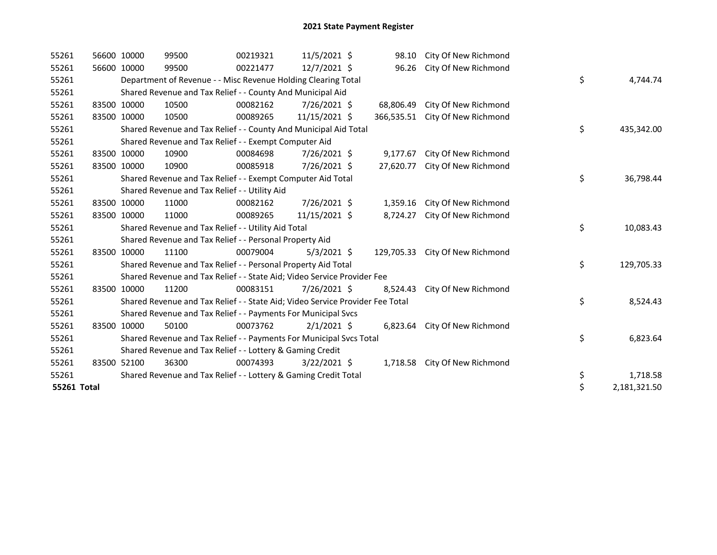| 55261       |             | 56600 10000 | 99500                                                                         | 00219321 | $11/5/2021$ \$ | 98.10      | City Of New Richmond            |    |              |
|-------------|-------------|-------------|-------------------------------------------------------------------------------|----------|----------------|------------|---------------------------------|----|--------------|
| 55261       |             | 56600 10000 | 99500                                                                         | 00221477 | 12/7/2021 \$   | 96.26      | City Of New Richmond            |    |              |
| 55261       |             |             | Department of Revenue - - Misc Revenue Holding Clearing Total                 |          |                |            |                                 | \$ | 4,744.74     |
| 55261       |             |             | Shared Revenue and Tax Relief - - County And Municipal Aid                    |          |                |            |                                 |    |              |
| 55261       |             | 83500 10000 | 10500                                                                         | 00082162 | 7/26/2021 \$   | 68,806.49  | City Of New Richmond            |    |              |
| 55261       | 83500 10000 |             | 10500                                                                         | 00089265 | 11/15/2021 \$  |            | 366,535.51 City Of New Richmond |    |              |
| 55261       |             |             | Shared Revenue and Tax Relief - - County And Municipal Aid Total              |          |                |            |                                 | \$ | 435,342.00   |
| 55261       |             |             | Shared Revenue and Tax Relief - - Exempt Computer Aid                         |          |                |            |                                 |    |              |
| 55261       |             | 83500 10000 | 10900                                                                         | 00084698 | 7/26/2021 \$   | 9,177.67   | City Of New Richmond            |    |              |
| 55261       |             | 83500 10000 | 10900                                                                         | 00085918 | 7/26/2021 \$   | 27,620.77  | City Of New Richmond            |    |              |
| 55261       |             |             | Shared Revenue and Tax Relief - - Exempt Computer Aid Total                   |          |                |            |                                 | \$ | 36,798.44    |
| 55261       |             |             | Shared Revenue and Tax Relief - - Utility Aid                                 |          |                |            |                                 |    |              |
| 55261       |             | 83500 10000 | 11000                                                                         | 00082162 | 7/26/2021 \$   | 1,359.16   | City Of New Richmond            |    |              |
| 55261       |             | 83500 10000 | 11000                                                                         | 00089265 | 11/15/2021 \$  | 8,724.27   | City Of New Richmond            |    |              |
| 55261       |             |             | Shared Revenue and Tax Relief - - Utility Aid Total                           |          |                |            |                                 | \$ | 10,083.43    |
| 55261       |             |             | Shared Revenue and Tax Relief - - Personal Property Aid                       |          |                |            |                                 |    |              |
| 55261       |             | 83500 10000 | 11100                                                                         | 00079004 | $5/3/2021$ \$  | 129,705.33 | City Of New Richmond            |    |              |
| 55261       |             |             | Shared Revenue and Tax Relief - - Personal Property Aid Total                 |          |                |            |                                 | \$ | 129,705.33   |
| 55261       |             |             | Shared Revenue and Tax Relief - - State Aid; Video Service Provider Fee       |          |                |            |                                 |    |              |
| 55261       |             | 83500 10000 | 11200                                                                         | 00083151 | 7/26/2021 \$   | 8,524.43   | City Of New Richmond            |    |              |
| 55261       |             |             | Shared Revenue and Tax Relief - - State Aid; Video Service Provider Fee Total |          |                |            |                                 | \$ | 8,524.43     |
| 55261       |             |             | Shared Revenue and Tax Relief - - Payments For Municipal Svcs                 |          |                |            |                                 |    |              |
| 55261       |             | 83500 10000 | 50100                                                                         | 00073762 | $2/1/2021$ \$  | 6,823.64   | City Of New Richmond            |    |              |
| 55261       |             |             | Shared Revenue and Tax Relief - - Payments For Municipal Svcs Total           |          |                |            |                                 | \$ | 6,823.64     |
| 55261       |             |             | Shared Revenue and Tax Relief - - Lottery & Gaming Credit                     |          |                |            |                                 |    |              |
| 55261       |             | 83500 52100 | 36300                                                                         | 00074393 | $3/22/2021$ \$ | 1,718.58   | City Of New Richmond            |    |              |
| 55261       |             |             | Shared Revenue and Tax Relief - - Lottery & Gaming Credit Total               |          |                |            |                                 | \$ | 1,718.58     |
| 55261 Total |             |             |                                                                               |          |                |            |                                 | \$ | 2,181,321.50 |